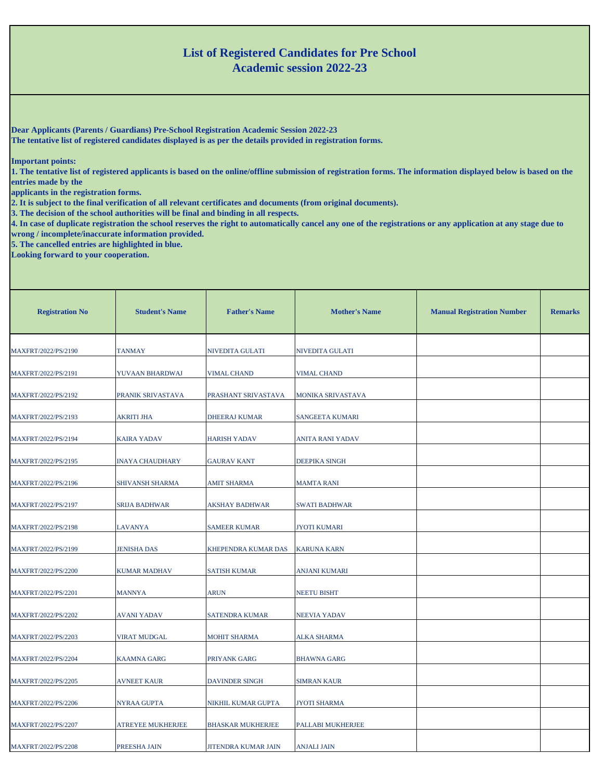## **List of Registered Candidates for Pre School Academic session 2022-23**

**Dear Applicants (Parents / Guardians) Pre-School Registration Academic Session 2022-23**

**The tentative list of registered candidates displayed is as per the details provided in registration forms.** 

**Important points:**

**1. The tentative list of registered applicants is based on the online/offline submission of registration forms. The information displayed below is based on the entries made by the**

**applicants in the registration forms.**

**2. It is subject to the final verification of all relevant certificates and documents (from original documents).**

**3. The decision of the school authorities will be final and binding in all respects.**

**4. In case of duplicate registration the school reserves the right to automatically cancel any one of the registrations or any application at any stage due to wrong / incomplete/inaccurate information provided.**

**5. The cancelled entries are highlighted in blue.**

**Looking forward to your cooperation.**

| <b>Registration No</b> | <b>Student's Name</b>  | <b>Father's Name</b>     | <b>Mother's Name</b> | <b>Manual Registration Number</b> | <b>Remarks</b> |
|------------------------|------------------------|--------------------------|----------------------|-----------------------------------|----------------|
| MAXFRT/2022/PS/2190    | <b>TANMAY</b>          | NIVEDITA GULATI          | NIVEDITA GULATI      |                                   |                |
| MAXFRT/2022/PS/2191    | YUVAAN BHARDWAJ        | <b>VIMAL CHAND</b>       | <b>VIMAL CHAND</b>   |                                   |                |
| MAXFRT/2022/PS/2192    | PRANIK SRIVASTAVA      | PRASHANT SRIVASTAVA      | MONIKA SRIVASTAVA    |                                   |                |
| MAXFRT/2022/PS/2193    | <b>AKRITI JHA</b>      | <b>DHEERAJ KUMAR</b>     | SANGEETA KUMARI      |                                   |                |
| MAXFRT/2022/PS/2194    | <b>KAIRA YADAV</b>     | <b>HARISH YADAV</b>      | ANITA RANI YADAV     |                                   |                |
| MAXFRT/2022/PS/2195    | <b>INAYA CHAUDHARY</b> | <b>GAURAV KANT</b>       | DEEPIKA SINGH        |                                   |                |
| MAXFRT/2022/PS/2196    | SHIVANSH SHARMA        | <b>AMIT SHARMA</b>       | <b>MAMTA RANI</b>    |                                   |                |
| MAXFRT/2022/PS/2197    | SRIJA BADHWAR          | <b>AKSHAY BADHWAR</b>    | SWATI BADHWAR        |                                   |                |
| MAXFRT/2022/PS/2198    | LAVANYA                | <b>SAMEER KUMAR</b>      | <b>JYOTI KUMARI</b>  |                                   |                |
| MAXFRT/2022/PS/2199    | <b>JENISHA DAS</b>     | KHEPENDRA KUMAR DAS      | <b>KARUNA KARN</b>   |                                   |                |
| MAXFRT/2022/PS/2200    | <b>KUMAR MADHAV</b>    | <b>SATISH KUMAR</b>      | ANJANI KUMARI        |                                   |                |
| MAXFRT/2022/PS/2201    | <b>MANNYA</b>          | <b>ARUN</b>              | NEETU BISHT          |                                   |                |
| MAXFRT/2022/PS/2202    | AVANI YADAV            | SATENDRA KUMAR           | NEEVIA YADAV         |                                   |                |
| MAXFRT/2022/PS/2203    | VIRAT MUDGAL           | <b>MOHIT SHARMA</b>      | <b>ALKA SHARMA</b>   |                                   |                |
| MAXFRT/2022/PS/2204    | <b>KAAMNA GARG</b>     | PRIYANK GARG             | <b>BHAWNA GARG</b>   |                                   |                |
| MAXFRT/2022/PS/2205    | AVNEET KAUR            | <b>DAVINDER SINGH</b>    | <b>SIMRAN KAUR</b>   |                                   |                |
| MAXFRT/2022/PS/2206    | NYRAA GUPTA            | NIKHIL KUMAR GUPTA       | JYOTI SHARMA         |                                   |                |
| MAXFRT/2022/PS/2207    | ATREYEE MUKHERJEE      | <b>BHASKAR MUKHERJEE</b> | PALLABI MUKHERJEE    |                                   |                |
| MAXFRT/2022/PS/2208    | PREESHA JAIN           | JITENDRA KUMAR JAIN      | <b>ANJALI JAIN</b>   |                                   |                |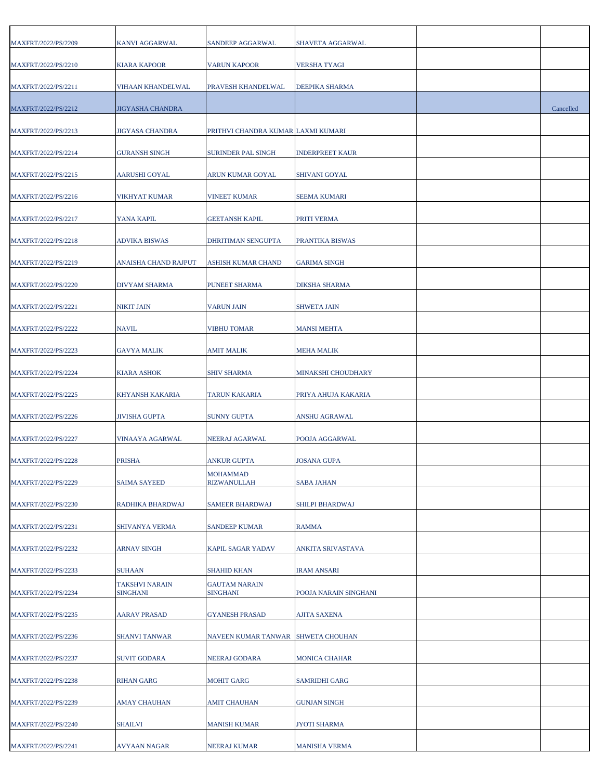| MAXFRT/2022/PS/2209 | KANVI AGGARWAL                    | SANDEEP AGGARWAL                      | SHAVETA AGGARWAL          |           |
|---------------------|-----------------------------------|---------------------------------------|---------------------------|-----------|
| MAXFRT/2022/PS/2210 | <b>KIARA KAPOOR</b>               | <b>VARUN KAPOOR</b>                   | <b>VERSHA TYAGI</b>       |           |
| MAXFRT/2022/PS/2211 | VIHAAN KHANDELWAL                 | PRAVESH KHANDELWAL                    | DEEPIKA SHARMA            |           |
| MAXFRT/2022/PS/2212 | JIGYASHA CHANDRA                  |                                       |                           | Cancelled |
| MAXFRT/2022/PS/2213 | JIGYASA CHANDRA                   | PRITHVI CHANDRA KUMAR LAXMI KUMARI    |                           |           |
| MAXFRT/2022/PS/2214 | <b>GURANSH SINGH</b>              | SURINDER PAL SINGH                    | <b>INDERPREET KAUR</b>    |           |
| MAXFRT/2022/PS/2215 | AARUSHI GOYAL                     | ARUN KUMAR GOYAL                      | <b>SHIVANI GOYAL</b>      |           |
| MAXFRT/2022/PS/2216 | VIKHYAT KUMAR                     | VINEET KUMAR                          | <b>SEEMA KUMARI</b>       |           |
| MAXFRT/2022/PS/2217 | YANA KAPIL                        | <b>GEETANSH KAPIL</b>                 | PRITI VERMA               |           |
| MAXFRT/2022/PS/2218 | <b>ADVIKA BISWAS</b>              | DHRITIMAN SENGUPTA                    | PRANTIKA BISWAS           |           |
| MAXFRT/2022/PS/2219 | ANAISHA CHAND RAJPUT              | ASHISH KUMAR CHAND                    | <b>GARIMA SINGH</b>       |           |
| MAXFRT/2022/PS/2220 | DIVYAM SHARMA                     | PUNEET SHARMA                         | <b>DIKSHA SHARMA</b>      |           |
| MAXFRT/2022/PS/2221 | NIKIT JAIN                        | <b>VARUN JAIN</b>                     | <b>SHWETA JAIN</b>        |           |
| MAXFRT/2022/PS/2222 | <b>NAVIL</b>                      | <b>VIBHU TOMAR</b>                    | <b>MANSI MEHTA</b>        |           |
| MAXFRT/2022/PS/2223 | <b>GAVYA MALIK</b>                | AMIT MALIK                            | <b>MEHA MALIK</b>         |           |
| MAXFRT/2022/PS/2224 | <b>KIARA ASHOK</b>                | <b>SHIV SHARMA</b>                    | <b>MINAKSHI CHOUDHARY</b> |           |
| MAXFRT/2022/PS/2225 | KHYANSH KAKARIA                   | TARUN KAKARIA                         | PRIYA AHUJA KAKARIA       |           |
| MAXFRT/2022/PS/2226 | <b>JIVISHA GUPTA</b>              | <b>SUNNY GUPTA</b>                    | <b>ANSHU AGRAWAL</b>      |           |
| MAXFRT/2022/PS/2227 | VINAAYA AGARWAL                   | NEERAJ AGARWAL                        | POOJA AGGARWAL            |           |
| MAXFRT/2022/PS/2228 | <b>PRISHA</b>                     | ANKUR GUPTA                           | <b>JOSANA GUPA</b>        |           |
| MAXFRT/2022/PS/2229 | <b>SAIMA SAYEED</b>               | <b>MOHAMMAD</b><br><b>RIZWANULLAH</b> | <b>SABA JAHAN</b>         |           |
| MAXFRT/2022/PS/2230 | RADHIKA BHARDWAJ                  | SAMEER BHARDWAJ                       | SHILPI BHARDWAJ           |           |
| MAXFRT/2022/PS/2231 | SHIVANYA VERMA                    | <b>SANDEEP KUMAR</b>                  | RAMMA                     |           |
| MAXFRT/2022/PS/2232 | ARNAV SINGH                       | KAPIL SAGAR YADAV                     | ANKITA SRIVASTAVA         |           |
| MAXFRT/2022/PS/2233 | <b>SUHAAN</b>                     | SHAHID KHAN                           | <b>IRAM ANSARI</b>        |           |
| MAXFRT/2022/PS/2234 | <b>TAKSHVI NARAIN</b><br>SINGHANI | <b>GAUTAM NARAIN</b><br>SINGHANI      | POOJA NARAIN SINGHANI     |           |
| MAXFRT/2022/PS/2235 | <b>AARAV PRASAD</b>               | <b>GYANESH PRASAD</b>                 | <b>AJITA SAXENA</b>       |           |
| MAXFRT/2022/PS/2236 | <b>SHANVI TANWAR</b>              | NAVEEN KUMAR TANWAR                   | <b>SHWETA CHOUHAN</b>     |           |
| MAXFRT/2022/PS/2237 | SUVIT GODARA                      | NEERAJ GODARA                         | <b>MONICA CHAHAR</b>      |           |
| MAXFRT/2022/PS/2238 | <b>RIHAN GARG</b>                 | MOHIT GARG                            | <b>SAMRIDHI GARG</b>      |           |
| MAXFRT/2022/PS/2239 | AMAY CHAUHAN                      | AMIT CHAUHAN                          | <b>GUNJAN SINGH</b>       |           |
| MAXFRT/2022/PS/2240 | <b>SHAILVI</b>                    | MANISH KUMAR                          | <b>JYOTI SHARMA</b>       |           |
| MAXFRT/2022/PS/2241 | AVYAAN NAGAR                      | NEERAJ KUMAR                          | <b>MANISHA VERMA</b>      |           |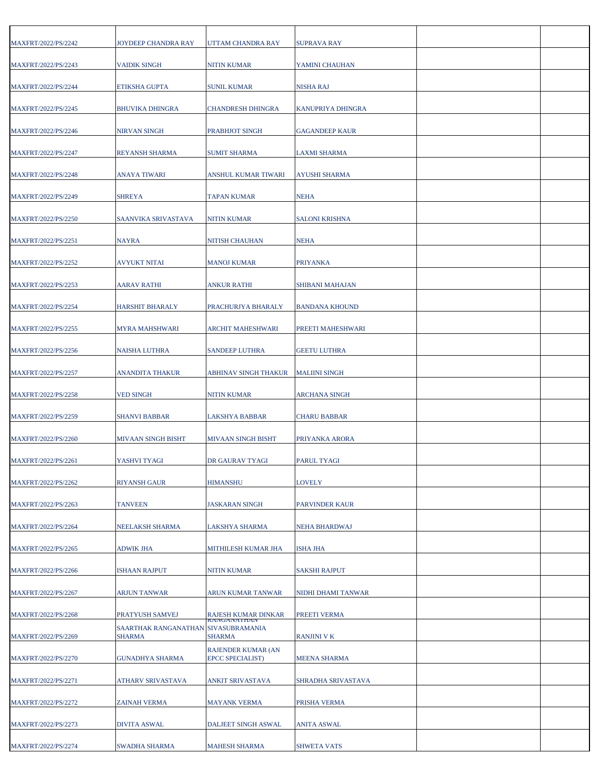| MAXFRT/2022/PS/2242 | JOYDEEP CHANDRA RAY                                  | UTTAM CHANDRA RAY                      | <b>SUPRAVA RAY</b>    |  |
|---------------------|------------------------------------------------------|----------------------------------------|-----------------------|--|
| MAXFRT/2022/PS/2243 | <b>VAIDIK SINGH</b>                                  | <b>NITIN KUMAR</b>                     | YAMINI CHAUHAN        |  |
| MAXFRT/2022/PS/2244 | ETIKSHA GUPTA                                        | <b>SUNIL KUMAR</b>                     | <b>NISHA RAJ</b>      |  |
| MAXFRT/2022/PS/2245 | <b>BHUVIKA DHINGRA</b>                               | CHANDRESH DHINGRA                      | KANUPRIYA DHINGRA     |  |
| MAXFRT/2022/PS/2246 | NIRVAN SINGH                                         | PRABHJOT SINGH                         | <b>GAGANDEEP KAUR</b> |  |
| MAXFRT/2022/PS/2247 | <b>REYANSH SHARMA</b>                                | SUMIT SHARMA                           | <b>LAXMI SHARMA</b>   |  |
| MAXFRT/2022/PS/2248 | ANAYA TIWARI                                         | ANSHUL KUMAR TIWARI                    | <b>AYUSHI SHARMA</b>  |  |
| MAXFRT/2022/PS/2249 | <b>SHREYA</b>                                        | TAPAN KUMAR                            | <b>NEHA</b>           |  |
| MAXFRT/2022/PS/2250 | SAANVIKA SRIVASTAVA                                  | NITIN KUMAR                            | <b>SALONI KRISHNA</b> |  |
| MAXFRT/2022/PS/2251 | <b>NAYRA</b>                                         | NITISH CHAUHAN                         | <b>NEHA</b>           |  |
| MAXFRT/2022/PS/2252 | <b>AVYUKT NITAI</b>                                  | MANOJ KUMAR                            | <b>PRIYANKA</b>       |  |
| MAXFRT/2022/PS/2253 | AARAV RATHI                                          | ANKUR RATHI                            | SHIBANI MAHAJAN       |  |
| MAXFRT/2022/PS/2254 | <b>HARSHIT BHARALY</b>                               | PRACHURJYA BHARALY                     | <b>BANDANA KHOUND</b> |  |
| MAXFRT/2022/PS/2255 | MYRA MAHSHWARI                                       | ARCHIT MAHESHWARI                      | PREETI MAHESHWARI     |  |
| MAXFRT/2022/PS/2256 | NAISHA LUTHRA                                        | SANDEEP LUTHRA                         | <b>GEETU LUTHRA</b>   |  |
| MAXFRT/2022/PS/2257 | ANANDITA THAKUR                                      | ABHINAV SINGH THAKUR                   | <b>MALIINI SINGH</b>  |  |
| MAXFRT/2022/PS/2258 | <b>VED SINGH</b>                                     | NITIN KUMAR                            | <b>ARCHANA SINGH</b>  |  |
| MAXFRT/2022/PS/2259 | <b>SHANVI BABBAR</b>                                 | LAKSHYA BABBAR                         | <b>CHARU BABBAR</b>   |  |
| MAXFRT/2022/PS/2260 | MIVAAN SINGH BISHT                                   | MIVAAN SINGH BISHT                     | PRIYANKA ARORA        |  |
| MAXFRT/2022/PS/2261 | YASHVI TYAGI                                         | DR GAURAV TYAGI                        | <b>PARUL TYAGI</b>    |  |
| MAXFRT/2022/PS/2262 | <b>RIYANSH GAUR</b>                                  | HIMANSHU                               | <b>LOVELY</b>         |  |
| MAXFRT/2022/PS/2263 | <b>TANVEEN</b>                                       | <b>JASKARAN SINGH</b>                  | PARVINDER KAUR        |  |
| MAXFRT/2022/PS/2264 | NEELAKSH SHARMA                                      | LAKSHYA SHARMA                         | <b>NEHA BHARDWAJ</b>  |  |
| MAXFRT/2022/PS/2265 | <b>ADWIK JHA</b>                                     | MITHILESH KUMAR JHA                    | <b>ISHA JHA</b>       |  |
| MAXFRT/2022/PS/2266 | <b>ISHAAN RAJPUT</b>                                 | NITIN KUMAR                            | <b>SAKSHI RAJPUT</b>  |  |
| MAXFRT/2022/PS/2267 | ARJUN TANWAR                                         | ARUN KUMAR TANWAR                      | NIDHI DHAMI TANWAR    |  |
| MAXFRT/2022/PS/2268 | PRATYUSH SAMVEJ                                      | RAJESH KUMAR DINKAR                    | PREETI VERMA          |  |
| MAXFRT/2022/PS/2269 | SAARTHAK RANGANATHAN SIVASUBRAMANIA<br><b>SHARMA</b> | KANGANA I HAN<br><b>SHARMA</b>         | <b>RANJINI V K</b>    |  |
| MAXFRT/2022/PS/2270 | <b>GUNADHYA SHARMA</b>                               | RAJENDER KUMAR (AN<br>EPCC SPECIALIST) | <b>MEENA SHARMA</b>   |  |
| MAXFRT/2022/PS/2271 | ATHARV SRIVASTAVA                                    | ANKIT SRIVASTAVA                       | SHRADHA SRIVASTAVA    |  |
| MAXFRT/2022/PS/2272 | <b>ZAINAH VERMA</b>                                  | <b>MAYANK VERMA</b>                    | PRISHA VERMA          |  |
| MAXFRT/2022/PS/2273 | <b>DIVITA ASWAL</b>                                  | DALJEET SINGH ASWAL                    | <b>ANITA ASWAL</b>    |  |
| MAXFRT/2022/PS/2274 | SWADHA SHARMA                                        | MAHESH SHARMA                          | <b>SHWETA VATS</b>    |  |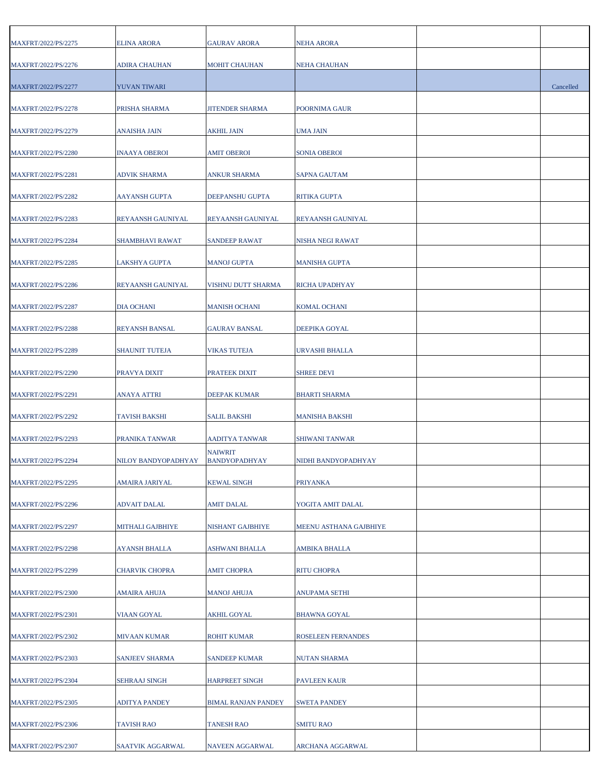| MAXFRT/2022/PS/2275 | ELINA ARORA           | <b>GAURAV ARORA</b>                    | NEHA ARORA             |           |
|---------------------|-----------------------|----------------------------------------|------------------------|-----------|
| MAXFRT/2022/PS/2276 | ADIRA CHAUHAN         | <b>MOHIT CHAUHAN</b>                   | <b>NEHA CHAUHAN</b>    |           |
| MAXFRT/2022/PS/2277 | YUVAN TIWARI          |                                        |                        | Cancelled |
|                     | PRISHA SHARMA         |                                        |                        |           |
| MAXFRT/2022/PS/2278 |                       | JITENDER SHARMA                        | POORNIMA GAUR          |           |
| MAXFRT/2022/PS/2279 | <b>ANAISHA JAIN</b>   | AKHIL JAIN                             | UMA JAIN               |           |
| MAXFRT/2022/PS/2280 | <b>INAAYA OBEROI</b>  | <b>AMIT OBEROI</b>                     | <b>SONIA OBEROI</b>    |           |
| MAXFRT/2022/PS/2281 | <b>ADVIK SHARMA</b>   | ANKUR SHARMA                           | <b>SAPNA GAUTAM</b>    |           |
| MAXFRT/2022/PS/2282 | AAYANSH GUPTA         | DEEPANSHU GUPTA                        | RITIKA GUPTA           |           |
| MAXFRT/2022/PS/2283 | REYAANSH GAUNIYAL     | REYAANSH GAUNIYAL                      | REYAANSH GAUNIYAL      |           |
| MAXFRT/2022/PS/2284 | SHAMBHAVI RAWAT       | <b>SANDEEP RAWAT</b>                   | NISHA NEGI RAWAT       |           |
| MAXFRT/2022/PS/2285 | LAKSHYA GUPTA         | MANOJ GUPTA                            | <b>MANISHA GUPTA</b>   |           |
| MAXFRT/2022/PS/2286 | REYAANSH GAUNIYAL     | VISHNU DUTT SHARMA                     | RICHA UPADHYAY         |           |
| MAXFRT/2022/PS/2287 | <b>DIA OCHANI</b>     | <b>MANISH OCHANI</b>                   | <b>KOMAL OCHANI</b>    |           |
| MAXFRT/2022/PS/2288 | <b>REYANSH BANSAL</b> | <b>GAURAV BANSAL</b>                   | DEEPIKA GOYAL          |           |
| MAXFRT/2022/PS/2289 | <b>SHAUNIT TUTEJA</b> | <b>VIKAS TUTEJA</b>                    | URVASHI BHALLA         |           |
| MAXFRT/2022/PS/2290 | PRAVYA DIXIT          | PRATEEK DIXIT                          | <b>SHREE DEVI</b>      |           |
| MAXFRT/2022/PS/2291 | <b>ANAYA ATTRI</b>    | DEEPAK KUMAR                           | <b>BHARTI SHARMA</b>   |           |
| MAXFRT/2022/PS/2292 | <b>TAVISH BAKSHI</b>  | <b>SALIL BAKSHI</b>                    | <b>MANISHA BAKSHI</b>  |           |
| MAXFRT/2022/PS/2293 | PRANIKA TANWAR        | AADITYA TANWAR                         | SHIWANI TANWAR         |           |
| MAXFRT/2022/PS/2294 | NILOY BANDYOPADHYAY   | <b>NAIWRIT</b><br><b>BANDYOPADHYAY</b> | NIDHI BANDYOPADHYAY    |           |
| MAXFRT/2022/PS/2295 | <b>AMAIRA JARIYAL</b> | <b>KEWAL SINGH</b>                     | <b>PRIYANKA</b>        |           |
| MAXFRT/2022/PS/2296 | ADVAIT DALAL          | <b>AMIT DALAL</b>                      | YOGITA AMIT DALAL      |           |
| MAXFRT/2022/PS/2297 | MITHALI GAJBHIYE      | NISHANT GAJBHIYE                       | MEENU ASTHANA GAJBHIYE |           |
| MAXFRT/2022/PS/2298 | AYANSH BHALLA         | ASHWANI BHALLA                         | AMBIKA BHALLA          |           |
| MAXFRT/2022/PS/2299 | CHARVIK CHOPRA        | <b>AMIT CHOPRA</b>                     | <b>RITU CHOPRA</b>     |           |
| MAXFRT/2022/PS/2300 | AMAIRA AHUJA          | MANOJ AHUJA                            | ANUPAMA SETHI          |           |
| MAXFRT/2022/PS/2301 | VIAAN GOYAL           | AKHIL GOYAL                            | <b>BHAWNA GOYAL</b>    |           |
| MAXFRT/2022/PS/2302 | MIVAAN KUMAR          | ROHIT KUMAR                            | ROSELEEN FERNANDES     |           |
| MAXFRT/2022/PS/2303 | SANJEEV SHARMA        | SANDEEP KUMAR                          | NUTAN SHARMA           |           |
| MAXFRT/2022/PS/2304 | <b>SEHRAAJ SINGH</b>  | <b>HARPREET SINGH</b>                  | <b>PAVLEEN KAUR</b>    |           |
| MAXFRT/2022/PS/2305 | ADITYA PANDEY         | <b>BIMAL RANJAN PANDEY</b>             | <b>SWETA PANDEY</b>    |           |
| MAXFRT/2022/PS/2306 | <b>TAVISH RAO</b>     | <b>TANESH RAO</b>                      | <b>SMITU RAO</b>       |           |
| MAXFRT/2022/PS/2307 | SAATVIK AGGARWAL      | NAVEEN AGGARWAL                        | ARCHANA AGGARWAL       |           |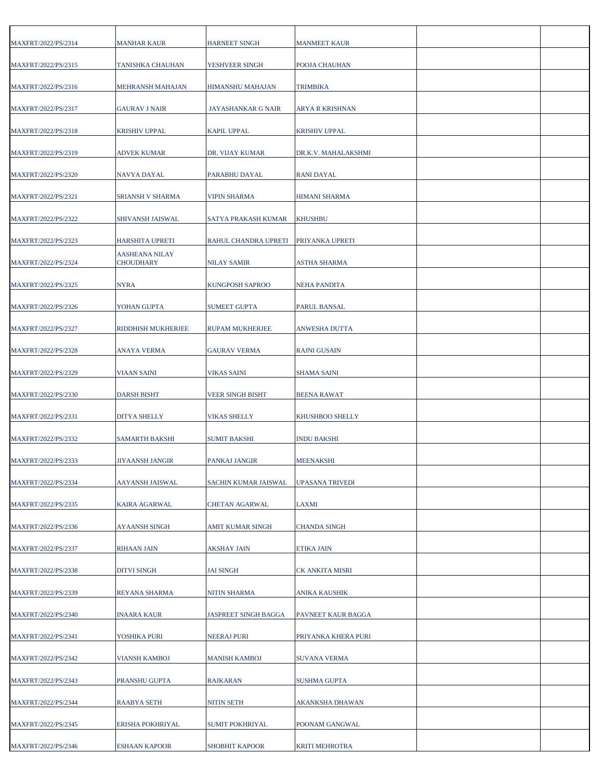| MAXFRT/2022/PS/2314 | <b>MANHAR KAUR</b>                        | HARNEET SINGH               | <b>MANMEET KAUR</b>    |  |
|---------------------|-------------------------------------------|-----------------------------|------------------------|--|
| MAXFRT/2022/PS/2315 | TANISHKA CHAUHAN                          | YESHVEER SINGH              | POOJA CHAUHAN          |  |
| MAXFRT/2022/PS/2316 | MEHRANSH MAHAJAN                          | HIMANSHU MAHAJAN            | <b>TRIMBIKA</b>        |  |
| MAXFRT/2022/PS/2317 | <b>GAURAV J NAIR</b>                      | JAYASHANKAR G NAIR          | ARYA R KRISHNAN        |  |
| MAXFRT/2022/PS/2318 | <b>KRISHIV UPPAL</b>                      | KAPIL UPPAL                 | <b>KRISHIV UPPAL</b>   |  |
| MAXFRT/2022/PS/2319 | <b>ADVEK KUMAR</b>                        | DR. VIJAY KUMAR             | DR.K.V. MAHALAKSHMI    |  |
| MAXFRT/2022/PS/2320 | NAVYA DAYAL                               | PARABHU DAYAL               | <b>RANI DAYAL</b>      |  |
| MAXFRT/2022/PS/2321 | SRIANSH V SHARMA                          | <b>VIPIN SHARMA</b>         | <b>HIMANI SHARMA</b>   |  |
| MAXFRT/2022/PS/2322 | SHIVANSH JAISWAL                          | SATYA PRAKASH KUMAR         | <b>KHUSHBU</b>         |  |
| MAXFRT/2022/PS/2323 | <b>HARSHITA UPRETI</b>                    | RAHUL CHANDRA UPRETI        | PRIYANKA UPRETI        |  |
| MAXFRT/2022/PS/2324 | <b>AASHEANA NILAY</b><br><b>CHOUDHARY</b> | NILAY SAMIR                 | ASTHA SHARMA           |  |
| MAXFRT/2022/PS/2325 | NYRA                                      | KUNGPOSH SAPROO             | <b>NEHA PANDITA</b>    |  |
| MAXFRT/2022/PS/2326 | YOHAN GUPTA                               | SUMEET GUPTA                | PARUL BANSAL           |  |
| MAXFRT/2022/PS/2327 | RIDDHISH MUKHERJEE                        | RUPAM MUKHERJEE             | <b>ANWESHA DUTTA</b>   |  |
|                     |                                           |                             |                        |  |
| MAXFRT/2022/PS/2328 | <b>ANAYA VERMA</b>                        | GAURAV VERMA                | <b>RAJNI GUSAIN</b>    |  |
| MAXFRT/2022/PS/2329 | <b>VIAAN SAINI</b>                        | <b>VIKAS SAINI</b>          | <b>SHAMA SAINI</b>     |  |
| MAXFRT/2022/PS/2330 | <b>DARSH BISHT</b>                        | <b>VEER SINGH BISHT</b>     | <b>BEENA RAWAT</b>     |  |
| MAXFRT/2022/PS/2331 | <b>DITYA SHELLY</b>                       | VIKAS SHELLY                | KHUSHBOO SHELLY        |  |
| MAXFRT/2022/PS/2332 | <b>SAMARTH BAKSHI</b>                     | SUMIT BAKSHI                | <b>INDU BAKSHI</b>     |  |
| MAXFRT/2022/PS/2333 | <b>JIYAANSH JANGIR</b>                    | PANKAJ JANGIR               | <b>MEENAKSHI</b>       |  |
| MAXFRT/2022/PS/2334 | AAYANSH JAISWAL                           | SACHIN KUMAR JAISWAL        | <b>UPASANA TRIVEDI</b> |  |
| MAXFRT/2022/PS/2335 | KAIRA AGARWAL                             | <b>CHETAN AGARWAL</b>       | LAXMI                  |  |
| MAXFRT/2022/PS/2336 | <b>AYAANSH SINGH</b>                      | AMIT KUMAR SINGH            | <b>CHANDA SINGH</b>    |  |
| MAXFRT/2022/PS/2337 | RIHAAN JAIN                               | AKSHAY JAIN                 | ETIKA JAIN             |  |
| MAXFRT/2022/PS/2338 | <b>DITVI SINGH</b>                        | <b>JAI SINGH</b>            | CK ANKITA MISRI        |  |
| MAXFRT/2022/PS/2339 | REYANA SHARMA                             | NITIN SHARMA                | <b>ANIKA KAUSHIK</b>   |  |
| MAXFRT/2022/PS/2340 | <b>INAARA KAUR</b>                        | <b>JASPREET SINGH BAGGA</b> | PAVNEET KAUR BAGGA     |  |
| MAXFRT/2022/PS/2341 | YOSHIKA PURI                              | NEERAJ PURI                 | PRIYANKA KHERA PURI    |  |
| MAXFRT/2022/PS/2342 | <b>VIANSH KAMBOJ</b>                      | MANISH KAMBOJ               | <b>SUVANA VERMA</b>    |  |
| MAXFRT/2022/PS/2343 | PRANSHU GUPTA                             | <b>RAJKARAN</b>             | <b>SUSHMA GUPTA</b>    |  |
| MAXFRT/2022/PS/2344 | <b>RAABYA SETH</b>                        | NITIN SETH                  | AKANKSHA DHAWAN        |  |
| MAXFRT/2022/PS/2345 | ERISHA POKHRIYAL                          | SUMIT POKHRIYAL             | POONAM GANGWAL         |  |
| MAXFRT/2022/PS/2346 | ESHAAN KAPOOR                             | SHOBHIT KAPOOR              | <b>KRITI MEHROTRA</b>  |  |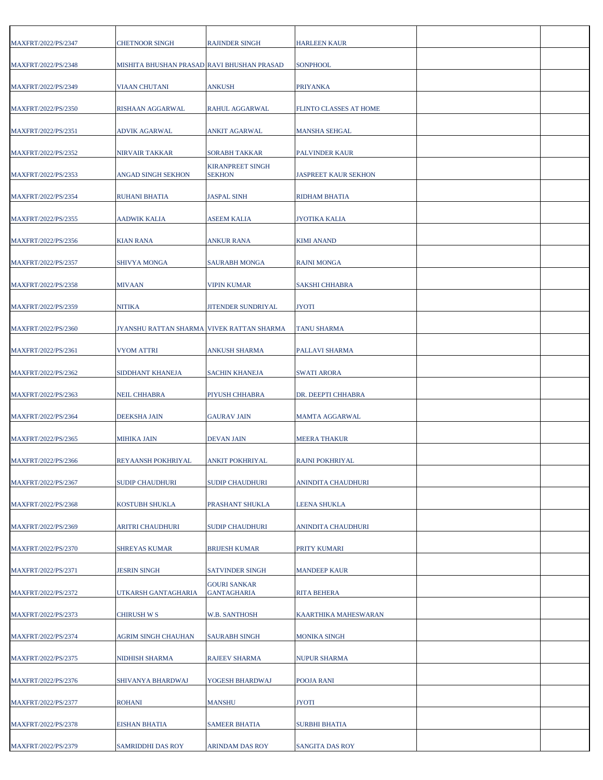| MAXFRT/2022/PS/2347 | <b>CHETNOOR SINGH</b>                      | RAJINDER SINGH                            | <b>HARLEEN KAUR</b>         |  |
|---------------------|--------------------------------------------|-------------------------------------------|-----------------------------|--|
| MAXFRT/2022/PS/2348 | MISHITA BHUSHAN PRASAD RAVI BHUSHAN PRASAD |                                           | <b>SONPHOOL</b>             |  |
| MAXFRT/2022/PS/2349 | <b>VIAAN CHUTANI</b>                       | ANKUSH                                    | <b>PRIYANKA</b>             |  |
| MAXFRT/2022/PS/2350 | RISHAAN AGGARWAL                           | RAHUL AGGARWAL                            | FLINTO CLASSES AT HOME      |  |
| MAXFRT/2022/PS/2351 | ADVIK AGARWAL                              | ANKIT AGARWAL                             | <b>MANSHA SEHGAL</b>        |  |
|                     |                                            |                                           |                             |  |
| MAXFRT/2022/PS/2352 | NIRVAIR TAKKAR                             | SORABH TAKKAR<br><b>KIRANPREET SINGH</b>  | <b>PALVINDER KAUR</b>       |  |
| MAXFRT/2022/PS/2353 | ANGAD SINGH SEKHON                         | SEKHON                                    | <b>JASPREET KAUR SEKHON</b> |  |
| MAXFRT/2022/PS/2354 | RUHANI BHATIA                              | <b>JASPAL SINH</b>                        | RIDHAM BHATIA               |  |
| MAXFRT/2022/PS/2355 | <b>AADWIK KALIA</b>                        | ASEEM KALIA                               | <b>JYOTIKA KALIA</b>        |  |
| MAXFRT/2022/PS/2356 | KIAN RANA                                  | <b>ANKUR RANA</b>                         | <b>KIMI ANAND</b>           |  |
| MAXFRT/2022/PS/2357 | <b>SHIVYA MONGA</b>                        | SAURABH MONGA                             | <b>RAJNI MONGA</b>          |  |
| MAXFRT/2022/PS/2358 | <b>MIVAAN</b>                              | <b>VIPIN KUMAR</b>                        | <b>SAKSHI CHHABRA</b>       |  |
| MAXFRT/2022/PS/2359 | <b>NITIKA</b>                              | <b>JITENDER SUNDRIYAL</b>                 | <b>JYOTI</b>                |  |
| MAXFRT/2022/PS/2360 | JYANSHU RATTAN SHARMA VIVEK RATTAN SHARMA  |                                           | <b>TANU SHARMA</b>          |  |
| MAXFRT/2022/PS/2361 | VYOM ATTRI                                 | ANKUSH SHARMA                             | PALLAVI SHARMA              |  |
| MAXFRT/2022/PS/2362 | SIDDHANT KHANEJA                           | <b>SACHIN KHANEJA</b>                     | <b>SWATI ARORA</b>          |  |
| MAXFRT/2022/PS/2363 | <b>NEIL CHHABRA</b>                        | PIYUSH CHHABRA                            | DR. DEEPTI CHHABRA          |  |
| MAXFRT/2022/PS/2364 | <b>DEEKSHA JAIN</b>                        | GAURAV JAIN                               | <b>MAMTA AGGARWAL</b>       |  |
| MAXFRT/2022/PS/2365 | <b>MIHIKA JAIN</b>                         | DEVAN JAIN                                | <b>MEERA THAKUR</b>         |  |
| MAXFRT/2022/PS/2366 | REYAANSH POKHRIYAL                         | ANKIT POKHRIYAL                           | <b>RAJNI POKHRIYAL</b>      |  |
| MAXFRT/2022/PS/2367 | <b>SUDIP CHAUDHURI</b>                     | <b>SUDIP CHAUDHURI</b>                    | ANINDITA CHAUDHURI          |  |
| MAXFRT/2022/PS/2368 | KOSTUBH SHUKLA                             | PRASHANT SHUKLA                           | <b>LEENA SHUKLA</b>         |  |
| MAXFRT/2022/PS/2369 | ARITRI CHAUDHURI                           | <b>SUDIP CHAUDHURI</b>                    | ANINDITA CHAUDHURI          |  |
| MAXFRT/2022/PS/2370 | <b>SHREYAS KUMAR</b>                       | BRIJESH KUMAR                             | PRITY KUMARI                |  |
| MAXFRT/2022/PS/2371 | <b>JESRIN SINGH</b>                        | <b>SATVINDER SINGH</b>                    | <b>MANDEEP KAUR</b>         |  |
| MAXFRT/2022/PS/2372 | UTKARSH GANTAGHARIA                        | <b>GOURI SANKAR</b><br><b>GANTAGHARIA</b> | <b>RITA BEHERA</b>          |  |
| MAXFRT/2022/PS/2373 | <b>CHIRUSH W S</b>                         | <b>W.B. SANTHOSH</b>                      | KAARTHIKA MAHESWARAN        |  |
| MAXFRT/2022/PS/2374 | AGRIM SINGH CHAUHAN                        | <b>SAURABH SINGH</b>                      | <b>MONIKA SINGH</b>         |  |
| MAXFRT/2022/PS/2375 | NIDHISH SHARMA                             | RAJEEV SHARMA                             | <b>NUPUR SHARMA</b>         |  |
| MAXFRT/2022/PS/2376 | SHIVANYA BHARDWAJ                          | YOGESH BHARDWAJ                           | <b>POOJA RANI</b>           |  |
| MAXFRT/2022/PS/2377 | <b>ROHANI</b>                              | MANSHU                                    | <b>JYOTI</b>                |  |
| MAXFRT/2022/PS/2378 | EISHAN BHATIA                              | <b>SAMEER BHATIA</b>                      | <b>SURBHI BHATIA</b>        |  |
| MAXFRT/2022/PS/2379 | SAMRIDDHI DAS ROY                          | ARINDAM DAS ROY                           | <b>SANGITA DAS ROY</b>      |  |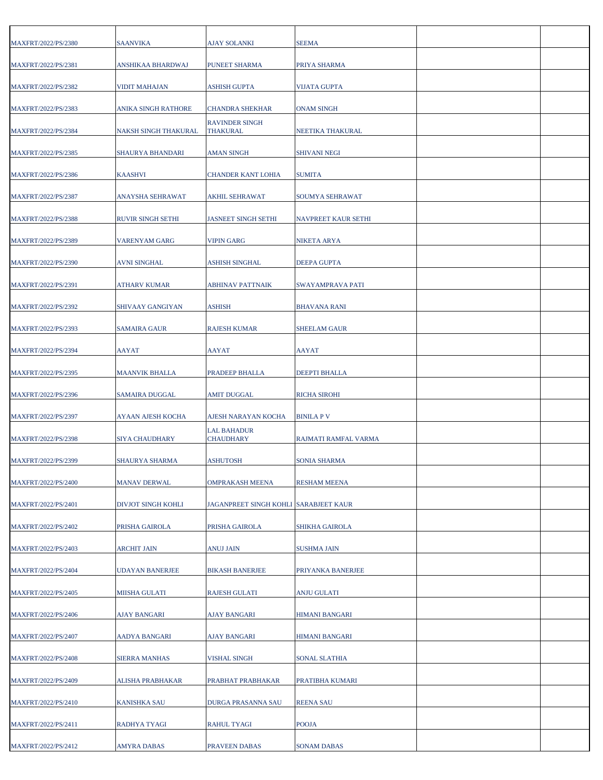| MAXFRT/2022/PS/2380 | <b>SAANVIKA</b>          | AJAY SOLANKI                          | <b>SEEMA</b>          |  |
|---------------------|--------------------------|---------------------------------------|-----------------------|--|
| MAXFRT/2022/PS/2381 | ANSHIKAA BHARDWAJ        | <b>PUNEET SHARMA</b>                  | PRIYA SHARMA          |  |
| MAXFRT/2022/PS/2382 | VIDIT MAHAJAN            | ASHISH GUPTA                          | <b>VIJATA GUPTA</b>   |  |
| MAXFRT/2022/PS/2383 | ANIKA SINGH RATHORE      | <b>CHANDRA SHEKHAR</b>                | <b>ONAM SINGH</b>     |  |
| MAXFRT/2022/PS/2384 | NAKSH SINGH THAKURAL     | <b>RAVINDER SINGH</b><br>THAKURAL     | NEETIKA THAKURAL      |  |
| MAXFRT/2022/PS/2385 | <b>SHAURYA BHANDARI</b>  | AMAN SINGH                            | <b>SHIVANI NEGI</b>   |  |
| MAXFRT/2022/PS/2386 | <b>KAASHVI</b>           | CHANDER KANT LOHIA                    | <b>SUMITA</b>         |  |
| MAXFRT/2022/PS/2387 | ANAYSHA SEHRAWAT         | AKHIL SEHRAWAT                        | SOUMYA SEHRAWAT       |  |
| MAXFRT/2022/PS/2388 | <b>RUVIR SINGH SETHI</b> | <b>JASNEET SINGH SETHI</b>            | NAVPREET KAUR SETHI   |  |
| MAXFRT/2022/PS/2389 | <b>VARENYAM GARG</b>     | <b>VIPIN GARG</b>                     | NIKETA ARYA           |  |
| MAXFRT/2022/PS/2390 | <b>AVNI SINGHAL</b>      | <b>ASHISH SINGHAL</b>                 | DEEPA GUPTA           |  |
| MAXFRT/2022/PS/2391 | ATHARV KUMAR             | ABHINAV PATTNAIK                      | SWAYAMPRAVA PATI      |  |
| MAXFRT/2022/PS/2392 | SHIVAAY GANGIYAN         | ASHISH                                | <b>BHAVANA RANI</b>   |  |
| MAXFRT/2022/PS/2393 | <b>SAMAIRA GAUR</b>      | RAJESH KUMAR                          | <b>SHEELAM GAUR</b>   |  |
| MAXFRT/2022/PS/2394 | AAYAT                    | AAYAT                                 | AAYAT                 |  |
| MAXFRT/2022/PS/2395 | <b>MAANVIK BHALLA</b>    | PRADEEP BHALLA                        | DEEPTI BHALLA         |  |
| MAXFRT/2022/PS/2396 | SAMAIRA DUGGAL           | AMIT DUGGAL                           | <b>RICHA SIROHI</b>   |  |
| MAXFRT/2022/PS/2397 | AYAAN AJESH KOCHA        | AJESH NARAYAN KOCHA                   | <b>BINILA P V</b>     |  |
| MAXFRT/2022/PS/2398 | SIYA CHAUDHARY           | <b>LAL BAHADUR</b><br>CHAUDHARY       | RAJMATI RAMFAL VARMA  |  |
| MAXFRT/2022/PS/2399 | SHAURYA SHARMA           | <b>ASHUTOSH</b>                       | <b>SONIA SHARMA</b>   |  |
| MAXFRT/2022/PS/2400 | <b>MANAV DERWAL</b>      | <b>OMPRAKASH MEENA</b>                | <b>RESHAM MEENA</b>   |  |
| MAXFRT/2022/PS/2401 | DIVJOT SINGH KOHLI       | JAGANPREET SINGH KOHLI SARABJEET KAUR |                       |  |
| MAXFRT/2022/PS/2402 | PRISHA GAIROLA           | PRISHA GAIROLA                        | SHIKHA GAIROLA        |  |
| MAXFRT/2022/PS/2403 | <b>ARCHIT JAIN</b>       | ANUJ JAIN                             | SUSHMA JAIN           |  |
| MAXFRT/2022/PS/2404 | <b>UDAYAN BANERJEE</b>   | <b>BIKASH BANERJEE</b>                | PRIYANKA BANERJEE     |  |
| MAXFRT/2022/PS/2405 | MIISHA GULATI            | RAJESH GULATI                         | ANJU GULATI           |  |
| MAXFRT/2022/PS/2406 | <b>AJAY BANGARI</b>      | <b>AJAY BANGARI</b>                   | <b>HIMANI BANGARI</b> |  |
| MAXFRT/2022/PS/2407 | <b>AADYA BANGARI</b>     | <b>AJAY BANGARI</b>                   | <b>HIMANI BANGARI</b> |  |
| MAXFRT/2022/PS/2408 | <b>SIERRA MANHAS</b>     | <b>VISHAL SINGH</b>                   | <b>SONAL SLATHIA</b>  |  |
| MAXFRT/2022/PS/2409 | ALISHA PRABHAKAR         | PRABHAT PRABHAKAR                     | PRATIBHA KUMARI       |  |
| MAXFRT/2022/PS/2410 | <b>KANISHKA SAU</b>      | DURGA PRASANNA SAU                    | <b>REENA SAU</b>      |  |
| MAXFRT/2022/PS/2411 | RADHYA TYAGI             | RAHUL TYAGI                           | <b>POOJA</b>          |  |
| MAXFRT/2022/PS/2412 | AMYRA DABAS              | PRAVEEN DABAS                         | SONAM DABAS           |  |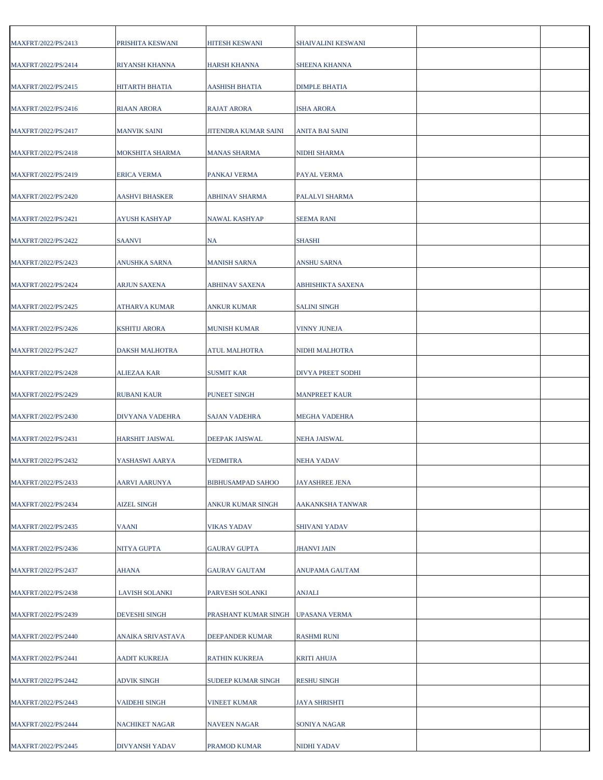| MAXFRT/2022/PS/2413 | PRISHITA KESWANI       | HITESH KESWANI           | <b>SHAIVALINI KESWANI</b> |  |
|---------------------|------------------------|--------------------------|---------------------------|--|
| MAXFRT/2022/PS/2414 | <b>RIYANSH KHANNA</b>  | <b>HARSH KHANNA</b>      | <b>SHEENA KHANNA</b>      |  |
| MAXFRT/2022/PS/2415 | <b>HITARTH BHATIA</b>  | AASHISH BHATIA           | <b>DIMPLE BHATIA</b>      |  |
| MAXFRT/2022/PS/2416 | RIAAN ARORA            | RAJAT ARORA              | <b>ISHA ARORA</b>         |  |
| MAXFRT/2022/PS/2417 | <b>MANVIK SAINI</b>    | JITENDRA KUMAR SAINI     | <b>ANITA BAI SAINI</b>    |  |
| MAXFRT/2022/PS/2418 | MOKSHITA SHARMA        | MANAS SHARMA             | NIDHI SHARMA              |  |
| MAXFRT/2022/PS/2419 | <b>ERICA VERMA</b>     | PANKAJ VERMA             | PAYAL VERMA               |  |
| MAXFRT/2022/PS/2420 | <b>AASHVI BHASKER</b>  | ABHINAV SHARMA           | PALALVI SHARMA            |  |
| MAXFRT/2022/PS/2421 | AYUSH KASHYAP          | <b>NAWAL KASHYAP</b>     | <b>SEEMA RANI</b>         |  |
| MAXFRT/2022/PS/2422 | <b>SAANVI</b>          | NA                       | <b>SHASHI</b>             |  |
| MAXFRT/2022/PS/2423 | ANUSHKA SARNA          | <b>MANISH SARNA</b>      | <b>ANSHU SARNA</b>        |  |
| MAXFRT/2022/PS/2424 | ARJUN SAXENA           | ABHINAV SAXENA           | <b>ABHISHIKTA SAXENA</b>  |  |
| MAXFRT/2022/PS/2425 | ATHARVA KUMAR          | <b>ANKUR KUMAR</b>       | <b>SALINI SINGH</b>       |  |
| MAXFRT/2022/PS/2426 | <b>KSHITIJ ARORA</b>   | MUNISH KUMAR             | <b>VINNY JUNEJA</b>       |  |
| MAXFRT/2022/PS/2427 | DAKSH MALHOTRA         | <b>ATUL MALHOTRA</b>     | NIDHI MALHOTRA            |  |
| MAXFRT/2022/PS/2428 | <b>ALIEZAA KAR</b>     | <b>SUSMIT KAR</b>        | DIVYA PREET SODHI         |  |
| MAXFRT/2022/PS/2429 | <b>RUBANI KAUR</b>     | <b>PUNEET SINGH</b>      | <b>MANPREET KAUR</b>      |  |
| MAXFRT/2022/PS/2430 | DIVYANA VADEHRA        | SAJAN VADEHRA            | <b>MEGHA VADEHRA</b>      |  |
| MAXFRT/2022/PS/2431 | <b>HARSHIT JAISWAL</b> | DEEPAK JAISWAL           | <b>NEHA JAISWAL</b>       |  |
| MAXFRT/2022/PS/2432 | YASHASWI AARYA         | <b>VEDMITRA</b>          | <b>NEHA YADAV</b>         |  |
| MAXFRT/2022/PS/2433 | AARVI AARUNYA          | <b>BIBHUSAMPAD SAHOO</b> | <b>JAYASHREE JENA</b>     |  |
| MAXFRT/2022/PS/2434 | <b>AIZEL SINGH</b>     | ANKUR KUMAR SINGH        | AAKANKSHA TANWAR          |  |
| MAXFRT/2022/PS/2435 | <b>VAANI</b>           | <b>VIKAS YADAV</b>       | <b>SHIVANI YADAV</b>      |  |
| MAXFRT/2022/PS/2436 | NITYA GUPTA            | GAURAV GUPTA             | <b>JHANVI JAIN</b>        |  |
| MAXFRT/2022/PS/2437 | <b>AHANA</b>           | <b>GAURAV GAUTAM</b>     | <b>ANUPAMA GAUTAM</b>     |  |
| MAXFRT/2022/PS/2438 | <b>LAVISH SOLANKI</b>  | PARVESH SOLANKI          | <b>ANJALI</b>             |  |
| MAXFRT/2022/PS/2439 | <b>DEVESHI SINGH</b>   | PRASHANT KUMAR SINGH     | <b>UPASANA VERMA</b>      |  |
| MAXFRT/2022/PS/2440 | ANAIKA SRIVASTAVA      | DEEPANDER KUMAR          | <b>RASHMI RUNI</b>        |  |
| MAXFRT/2022/PS/2441 | AADIT KUKREJA          | RATHIN KUKREJA           | <b>KRITI AHUJA</b>        |  |
| MAXFRT/2022/PS/2442 | <b>ADVIK SINGH</b>     | SUDEEP KUMAR SINGH       | <b>RESHU SINGH</b>        |  |
| MAXFRT/2022/PS/2443 | <b>VAIDEHI SINGH</b>   | VINEET KUMAR             | <b>JAYA SHRISHTI</b>      |  |
| MAXFRT/2022/PS/2444 | <b>NACHIKET NAGAR</b>  | NAVEEN NAGAR             | <b>SONIYA NAGAR</b>       |  |
| MAXFRT/2022/PS/2445 | DIVYANSH YADAV         | PRAMOD KUMAR             | <b>NIDHI YADAV</b>        |  |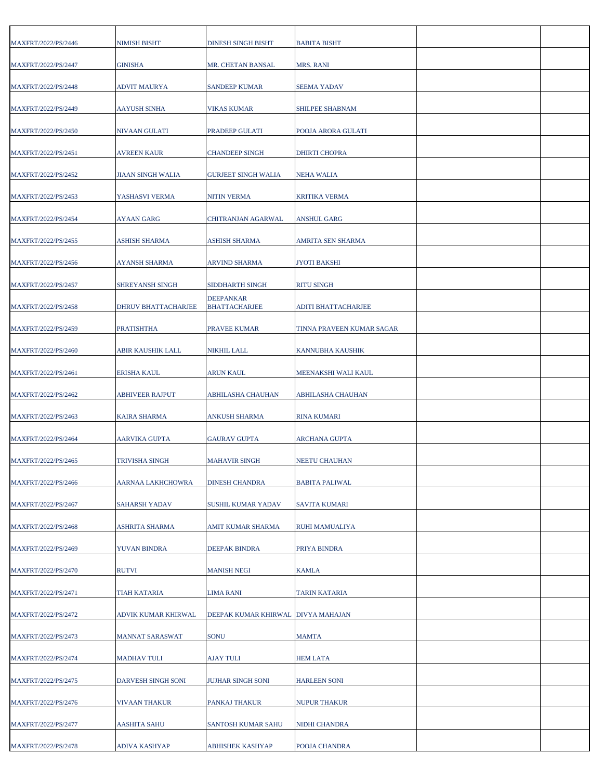| MAXFRT/2022/PS/2446 | NIMISH BISHT             | <b>DINESH SINGH BISHT</b>                | <b>BABITA BISHT</b>       |  |
|---------------------|--------------------------|------------------------------------------|---------------------------|--|
| MAXFRT/2022/PS/2447 | <b>GINISHA</b>           | MR. CHETAN BANSAL                        | <b>MRS. RANI</b>          |  |
| MAXFRT/2022/PS/2448 | <b>ADVIT MAURYA</b>      | <b>SANDEEP KUMAR</b>                     | <b>SEEMA YADAV</b>        |  |
| MAXFRT/2022/PS/2449 | <b>AAYUSH SINHA</b>      | VIKAS KUMAR                              | SHILPEE SHABNAM           |  |
| MAXFRT/2022/PS/2450 | NIVAAN GULATI            | PRADEEP GULATI                           | POOJA ARORA GULATI        |  |
|                     |                          |                                          |                           |  |
| MAXFRT/2022/PS/2451 | <b>AVREEN KAUR</b>       | <b>CHANDEEP SINGH</b>                    | <b>DHIRTI CHOPRA</b>      |  |
| MAXFRT/2022/PS/2452 | <b>JIAAN SINGH WALIA</b> | <b>GURJEET SINGH WALIA</b>               | NEHA WALIA                |  |
| MAXFRT/2022/PS/2453 | YASHASVI VERMA           | NITIN VERMA                              | <b>KRITIKA VERMA</b>      |  |
| MAXFRT/2022/PS/2454 | AYAAN GARG               | CHITRANJAN AGARWAL                       | ANSHUL GARG               |  |
| MAXFRT/2022/PS/2455 | <b>ASHISH SHARMA</b>     | ASHISH SHARMA                            | <b>AMRITA SEN SHARMA</b>  |  |
| MAXFRT/2022/PS/2456 | <b>AYANSH SHARMA</b>     | ARVIND SHARMA                            | <b>JYOTI BAKSHI</b>       |  |
| MAXFRT/2022/PS/2457 | SHREYANSH SINGH          | SIDDHARTH SINGH                          | <b>RITU SINGH</b>         |  |
| MAXFRT/2022/PS/2458 | DHRUV BHATTACHARJEE      | <b>DEEPANKAR</b><br><b>BHATTACHARJEE</b> | ADITI BHATTACHARJEE       |  |
| MAXFRT/2022/PS/2459 | <b>PRATISHTHA</b>        | PRAVEE KUMAR                             | TINNA PRAVEEN KUMAR SAGAR |  |
| MAXFRT/2022/PS/2460 | ABIR KAUSHIK LALL        | NIKHIL LALL                              | KANNUBHA KAUSHIK          |  |
| MAXFRT/2022/PS/2461 | <b>ERISHA KAUL</b>       | ARUN KAUL                                | MEENAKSHI WALI KAUL       |  |
| MAXFRT/2022/PS/2462 | <b>ABHIVEER RAJPUT</b>   | ABHILASHA CHAUHAN                        | ABHILASHA CHAUHAN         |  |
| MAXFRT/2022/PS/2463 | <b>KAIRA SHARMA</b>      | ANKUSH SHARMA                            | <b>RINA KUMARI</b>        |  |
| MAXFRT/2022/PS/2464 | AARVIKA GUPTA            | <b>GAURAV GUPTA</b>                      | ARCHANA GUPTA             |  |
| MAXFRT/2022/PS/2465 | TRIVISHA SINGH           | <b>MAHAVIR SINGH</b>                     | <b>NEETU CHAUHAN</b>      |  |
| MAXFRT/2022/PS/2466 | AARNAA LAKHCHOWRA        | DINESH CHANDRA                           | <b>BABITA PALIWAL</b>     |  |
| MAXFRT/2022/PS/2467 | SAHARSH YADAV            | SUSHIL KUMAR YADAV                       | <b>SAVITA KUMARI</b>      |  |
| MAXFRT/2022/PS/2468 | ASHRITA SHARMA           | AMIT KUMAR SHARMA                        | RUHI MAMUALIYA            |  |
| MAXFRT/2022/PS/2469 | YUVAN BINDRA             | DEEPAK BINDRA                            | PRIYA BINDRA              |  |
| MAXFRT/2022/PS/2470 | <b>RUTVI</b>             | <b>MANISH NEGI</b>                       | <b>KAMLA</b>              |  |
| MAXFRT/2022/PS/2471 | TIAH KATARIA             | LIMA RANI                                | TARIN KATARIA             |  |
| MAXFRT/2022/PS/2472 | ADVIK KUMAR KHIRWAL      | DEEPAK KUMAR KHIRWAL                     | <b>DIVYA MAHAJAN</b>      |  |
| MAXFRT/2022/PS/2473 | MANNAT SARASWAT          | SONU                                     | <b>MAMTA</b>              |  |
|                     |                          |                                          |                           |  |
| MAXFRT/2022/PS/2474 | <b>MADHAV TULI</b>       | AJAY TULI                                | <b>HEM LATA</b>           |  |
| MAXFRT/2022/PS/2475 | DARVESH SINGH SONI       | <b>JUJHAR SINGH SONI</b>                 | <b>HARLEEN SONI</b>       |  |
| MAXFRT/2022/PS/2476 | VIVAAN THAKUR            | PANKAJ THAKUR                            | <b>NUPUR THAKUR</b>       |  |
| MAXFRT/2022/PS/2477 | AASHITA SAHU             | SANTOSH KUMAR SAHU                       | NIDHI CHANDRA             |  |
| MAXFRT/2022/PS/2478 | ADIVA KASHYAP            | ABHISHEK KASHYAP                         | POOJA CHANDRA             |  |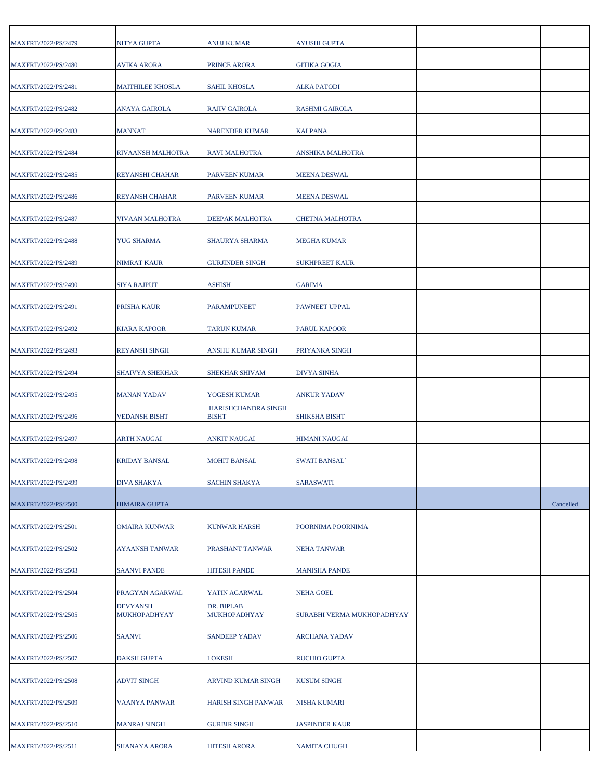| MAXFRT/2022/PS/2479 | NITYA GUPTA                     | <b>ANUJ KUMAR</b>                   | <b>AYUSHI GUPTA</b>        |           |
|---------------------|---------------------------------|-------------------------------------|----------------------------|-----------|
| MAXFRT/2022/PS/2480 | <b>AVIKA ARORA</b>              | PRINCE ARORA                        | <b>GITIKA GOGIA</b>        |           |
| MAXFRT/2022/PS/2481 | <b>MAITHILEE KHOSLA</b>         | SAHIL KHOSLA                        | <b>ALKA PATODI</b>         |           |
| MAXFRT/2022/PS/2482 | ANAYA GAIROLA                   | RAJIV GAIROLA                       | <b>RASHMI GAIROLA</b>      |           |
| MAXFRT/2022/PS/2483 | <b>MANNAT</b>                   | <b>NARENDER KUMAR</b>               | <b>KALPANA</b>             |           |
| MAXFRT/2022/PS/2484 | RIVAANSH MALHOTRA               | RAVI MALHOTRA                       | ANSHIKA MALHOTRA           |           |
| MAXFRT/2022/PS/2485 | <b>REYANSHI CHAHAR</b>          | PARVEEN KUMAR                       | <b>MEENA DESWAL</b>        |           |
| MAXFRT/2022/PS/2486 | <b>REYANSH CHAHAR</b>           | PARVEEN KUMAR                       | <b>MEENA DESWAL</b>        |           |
| MAXFRT/2022/PS/2487 | VIVAAN MALHOTRA                 | DEEPAK MALHOTRA                     | <b>CHETNA MALHOTRA</b>     |           |
| MAXFRT/2022/PS/2488 | <b>YUG SHARMA</b>               | SHAURYA SHARMA                      | MEGHA KUMAR                |           |
| MAXFRT/2022/PS/2489 | NIMRAT KAUR                     | <b>GURJINDER SINGH</b>              | <b>SUKHPREET KAUR</b>      |           |
| MAXFRT/2022/PS/2490 | <b>SIYA RAJPUT</b>              | ASHISH                              | <b>GARIMA</b>              |           |
| MAXFRT/2022/PS/2491 | PRISHA KAUR                     | PARAMPUNEET                         | PAWNEET UPPAL              |           |
| MAXFRT/2022/PS/2492 | <b>KIARA KAPOOR</b>             | <b>TARUN KUMAR</b>                  | <b>PARUL KAPOOR</b>        |           |
| MAXFRT/2022/PS/2493 | <b>REYANSH SINGH</b>            | ANSHU KUMAR SINGH                   | PRIYANKA SINGH             |           |
| MAXFRT/2022/PS/2494 | <b>SHAIVYA SHEKHAR</b>          | SHEKHAR SHIVAM                      | <b>DIVYA SINHA</b>         |           |
| MAXFRT/2022/PS/2495 | <b>MANAN YADAV</b>              | YOGESH KUMAR                        | <b>ANKUR YADAV</b>         |           |
| MAXFRT/2022/PS/2496 | <b>VEDANSH BISHT</b>            | HARISHCHANDRA SINGH<br><b>BISHT</b> | <b>SHIKSHA BISHT</b>       |           |
| MAXFRT/2022/PS/2497 | <b>ARTH NAUGAI</b>              | ANKIT NAUGAI                        | <b>HIMANI NAUGAI</b>       |           |
| MAXFRT/2022/PS/2498 | <b>KRIDAY BANSAL</b>            | <b>MOHIT BANSAL</b>                 | <b>SWATI BANSAL</b>        |           |
| MAXFRT/2022/PS/2499 | DIVA SHAKYA                     | <b>SACHIN SHAKYA</b>                | <b>SARASWATI</b>           |           |
| MAXFRT/2022/PS/2500 | HIMAIRA GUPTA                   |                                     |                            | Cancelled |
| MAXFRT/2022/PS/2501 | OMAIRA KUNWAR                   | KUNWAR HARSH                        | POORNIMA POORNIMA          |           |
|                     |                                 |                                     |                            |           |
| MAXFRT/2022/PS/2502 | <b>AYAANSH TANWAR</b>           | PRASHANT TANWAR                     | <b>NEHA TANWAR</b>         |           |
| MAXFRT/2022/PS/2503 | <b>SAANVI PANDE</b>             | <b>HITESH PANDE</b>                 | <b>MANISHA PANDE</b>       |           |
| MAXFRT/2022/PS/2504 | PRAGYAN AGARWAL                 | YATIN AGARWAL                       | <b>NEHA GOEL</b>           |           |
| MAXFRT/2022/PS/2505 | <b>DEVYANSH</b><br>MUKHOPADHYAY | DR. BIPLAB<br>MUKHOPADHYAY          | SURABHI VERMA MUKHOPADHYAY |           |
| MAXFRT/2022/PS/2506 | <b>SAANVI</b>                   | <b>SANDEEP YADAV</b>                | <b>ARCHANA YADAV</b>       |           |
| MAXFRT/2022/PS/2507 | DAKSH GUPTA                     | LOKESH                              | <b>RUCHIO GUPTA</b>        |           |
| MAXFRT/2022/PS/2508 | <b>ADVIT SINGH</b>              | ARVIND KUMAR SINGH                  | <b>KUSUM SINGH</b>         |           |
| MAXFRT/2022/PS/2509 | VAANYA PANWAR                   | HARISH SINGH PANWAR                 | NISHA KUMARI               |           |
| MAXFRT/2022/PS/2510 | <b>MANRAJ SINGH</b>             | <b>GURBIR SINGH</b>                 | <b>JASPINDER KAUR</b>      |           |
| MAXFRT/2022/PS/2511 | <b>SHANAYA ARORA</b>            | <b>HITESH ARORA</b>                 | <b>NAMITA CHUGH</b>        |           |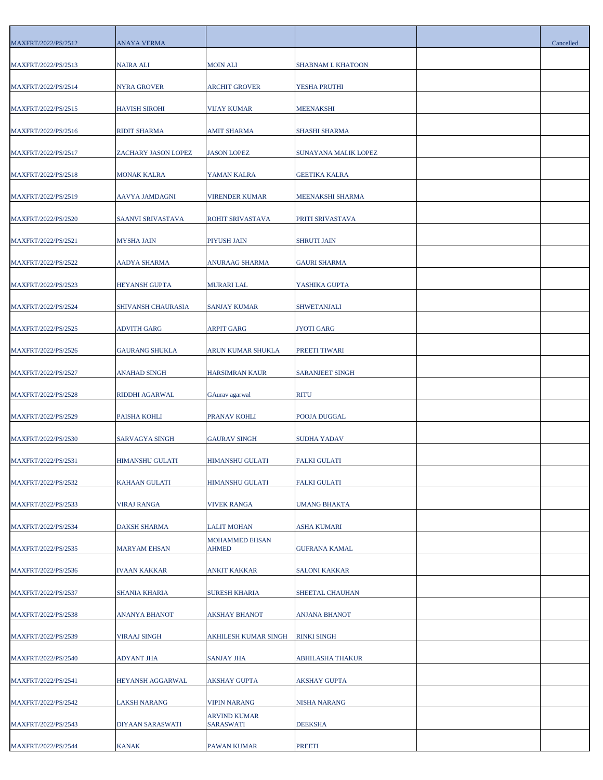| MAXFRT/2022/PS/2512 | ANAYA VERMA             |                           |                        | Cancelled |
|---------------------|-------------------------|---------------------------|------------------------|-----------|
| MAXFRT/2022/PS/2513 | NAIRA ALI               | <b>MOIN ALI</b>           | SHABNAM L KHATOON      |           |
| MAXFRT/2022/PS/2514 | <b>NYRA GROVER</b>      | <b>ARCHIT GROVER</b>      | YESHA PRUTHI           |           |
| MAXFRT/2022/PS/2515 | <b>HAVISH SIROHI</b>    | VIJAY KUMAR               | <b>MEENAKSHI</b>       |           |
| MAXFRT/2022/PS/2516 | <b>RIDIT SHARMA</b>     | AMIT SHARMA               | <b>SHASHI SHARMA</b>   |           |
| MAXFRT/2022/PS/2517 | ZACHARY JASON LOPEZ     | <b>JASON LOPEZ</b>        | SUNAYANA MALIK LOPEZ   |           |
| MAXFRT/2022/PS/2518 | MONAK KALRA             | YAMAN KALRA               | <b>GEETIKA KALRA</b>   |           |
| MAXFRT/2022/PS/2519 | AAVYA JAMDAGNI          | VIRENDER KUMAR            | MEENAKSHI SHARMA       |           |
| MAXFRT/2022/PS/2520 | SAANVI SRIVASTAVA       | ROHIT SRIVASTAVA          | PRITI SRIVASTAVA       |           |
| MAXFRT/2022/PS/2521 | <b>MYSHA JAIN</b>       | PIYUSH JAIN               | <b>SHRUTI JAIN</b>     |           |
| MAXFRT/2022/PS/2522 | AADYA SHARMA            | ANURAAG SHARMA            | <b>GAURI SHARMA</b>    |           |
| MAXFRT/2022/PS/2523 | <b>HEYANSH GUPTA</b>    | MURARI LAL                | YASHIKA GUPTA          |           |
| MAXFRT/2022/PS/2524 | SHIVANSH CHAURASIA      | SANJAY KUMAR              | SHWETANJALI            |           |
| MAXFRT/2022/PS/2525 | <b>ADVITH GARG</b>      | ARPIT GARG                | <b>JYOTI GARG</b>      |           |
| MAXFRT/2022/PS/2526 | <b>GAURANG SHUKLA</b>   | ARUN KUMAR SHUKLA         | PREETI TIWARI          |           |
| MAXFRT/2022/PS/2527 | ANAHAD SINGH            | HARSIMRAN KAUR            | <b>SARANJEET SINGH</b> |           |
| MAXFRT/2022/PS/2528 | RIDDHI AGARWAL          | GAurav agarwal            | <b>RITU</b>            |           |
| MAXFRT/2022/PS/2529 | PAISHA KOHLI            | PRANAV KOHLI              | POOJA DUGGAL           |           |
| MAXFRT/2022/PS/2530 | SARVAGYA SINGH          | <b>GAURAV SINGH</b>       | <b>SUDHA YADAV</b>     |           |
| MAXFRT/2022/PS/2531 | <b>HIMANSHU GULATI</b>  | <b>HIMANSHU GULATI</b>    | <b>FALKI GULATI</b>    |           |
| MAXFRT/2022/PS/2532 | <b>KAHAAN GULATI</b>    | HIMANSHU GULATI           | <b>FALKI GULATI</b>    |           |
| MAXFRT/2022/PS/2533 | <b>VIRAJ RANGA</b>      | <b>VIVEK RANGA</b>        | <b>UMANG BHAKTA</b>    |           |
| MAXFRT/2022/PS/2534 | DAKSH SHARMA            | <b>LALIT MOHAN</b>        | ASHA KUMARI            |           |
| MAXFRT/2022/PS/2535 | <b>MARYAM EHSAN</b>     | MOHAMMED EHSAN<br>AHMED   | <b>GUFRANA KAMAL</b>   |           |
| MAXFRT/2022/PS/2536 | <b>IVAAN KAKKAR</b>     | ANKIT KAKKAR              | <b>SALONI KAKKAR</b>   |           |
| MAXFRT/2022/PS/2537 | <b>SHANIA KHARIA</b>    | SURESH KHARIA             | SHEETAL CHAUHAN        |           |
| MAXFRT/2022/PS/2538 | <b>ANANYA BHANOT</b>    | AKSHAY BHANOT             | <b>ANJANA BHANOT</b>   |           |
| MAXFRT/2022/PS/2539 | <b>VIRAAJ SINGH</b>     | AKHILESH KUMAR SINGH      | <b>RINKI SINGH</b>     |           |
| MAXFRT/2022/PS/2540 | ADYANT JHA              | SANJAY JHA                | ABHILASHA THAKUR       |           |
| MAXFRT/2022/PS/2541 | <b>HEYANSH AGGARWAL</b> | AKSHAY GUPTA              | AKSHAY GUPTA           |           |
| MAXFRT/2022/PS/2542 | LAKSH NARANG            | <b>VIPIN NARANG</b>       | <b>NISHA NARANG</b>    |           |
| MAXFRT/2022/PS/2543 | DIYAAN SARASWATI        | ARVIND KUMAR<br>SARASWATI | <b>DEEKSHA</b>         |           |
| MAXFRT/2022/PS/2544 | <b>KANAK</b>            | PAWAN KUMAR               | <b>PREETI</b>          |           |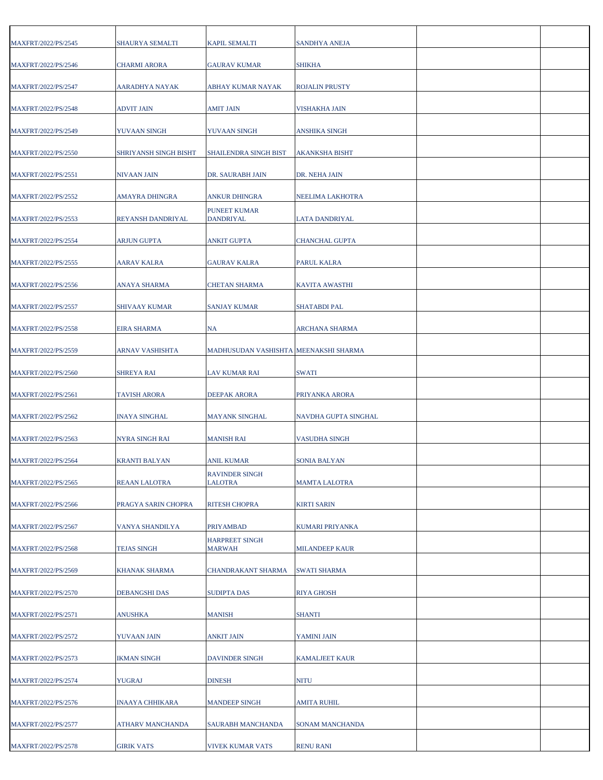| MAXFRT/2022/PS/2545 | SHAURYA SEMALTI        | KAPIL SEMALTI                         | <b>SANDHYA ANEJA</b>   |  |
|---------------------|------------------------|---------------------------------------|------------------------|--|
| MAXFRT/2022/PS/2546 | <b>CHARMI ARORA</b>    | <b>GAURAV KUMAR</b>                   | <b>SHIKHA</b>          |  |
| MAXFRT/2022/PS/2547 | AARADHYA NAYAK         | ABHAY KUMAR NAYAK                     | <b>ROJALIN PRUSTY</b>  |  |
| MAXFRT/2022/PS/2548 | ADVIT JAIN             | AMIT JAIN                             | VISHAKHA JAIN          |  |
| MAXFRT/2022/PS/2549 | YUVAAN SINGH           | YUVAAN SINGH                          | ANSHIKA SINGH          |  |
| MAXFRT/2022/PS/2550 | SHRIYANSH SINGH BISHT  | SHAILENDRA SINGH BIST                 | <b>AKANKSHA BISHT</b>  |  |
| MAXFRT/2022/PS/2551 | NIVAAN JAIN            | DR. SAURABH JAIN                      | DR. NEHA JAIN          |  |
| MAXFRT/2022/PS/2552 | AMAYRA DHINGRA         | ANKUR DHINGRA                         | NEELIMA LAKHOTRA       |  |
| MAXFRT/2022/PS/2553 | REYANSH DANDRIYAL      | PUNEET KUMAR<br>DANDRIYAL             | LATA DANDRIYAL         |  |
| MAXFRT/2022/PS/2554 | <b>ARJUN GUPTA</b>     | <b>ANKIT GUPTA</b>                    | <b>CHANCHAL GUPTA</b>  |  |
| MAXFRT/2022/PS/2555 | <b>AARAV KALRA</b>     | <b>GAURAV KALRA</b>                   | <b>PARUL KALRA</b>     |  |
| MAXFRT/2022/PS/2556 | ANAYA SHARMA           | <b>CHETAN SHARMA</b>                  | <b>KAVITA AWASTHI</b>  |  |
| MAXFRT/2022/PS/2557 | <b>SHIVAAY KUMAR</b>   | <b>SANJAY KUMAR</b>                   | <b>SHATABDI PAL</b>    |  |
| MAXFRT/2022/PS/2558 | <b>EIRA SHARMA</b>     | NA                                    | <b>ARCHANA SHARMA</b>  |  |
|                     |                        |                                       |                        |  |
| MAXFRT/2022/PS/2559 | ARNAV VASHISHTA        | MADHUSUDAN VASHISHTA MEENAKSHI SHARMA |                        |  |
| MAXFRT/2022/PS/2560 | <b>SHREYA RAI</b>      | LAV KUMAR RAI                         | <b>SWATI</b>           |  |
| MAXFRT/2022/PS/2561 | <b>TAVISH ARORA</b>    | DEEPAK ARORA                          | PRIYANKA ARORA         |  |
| MAXFRT/2022/PS/2562 | <b>INAYA SINGHAL</b>   | <b>MAYANK SINGHAL</b>                 | NAVDHA GUPTA SINGHAL   |  |
| MAXFRT/2022/PS/2563 | NYRA SINGH RAI         | MANISH RAI                            | <b>VASUDHA SINGH</b>   |  |
| MAXFRT/2022/PS/2564 | <b>KRANTI BALYAN</b>   | ANIL KUMAR                            | <b>SONIA BALYAN</b>    |  |
| MAXFRT/2022/PS/2565 | REAAN LALOTRA          | <b>RAVINDER SINGH</b><br>LALOTRA      | <b>MAMTA LALOTRA</b>   |  |
| MAXFRT/2022/PS/2566 | PRAGYA SARIN CHOPRA    | RITESH CHOPRA                         | <b>KIRTI SARIN</b>     |  |
| MAXFRT/2022/PS/2567 | VANYA SHANDILYA        | <b>PRIYAMBAD</b>                      | <b>KUMARI PRIYANKA</b> |  |
| MAXFRT/2022/PS/2568 | <b>TEJAS SINGH</b>     | <b>HARPREET SINGH</b><br>MARWAH       | <b>MILANDEEP KAUR</b>  |  |
| MAXFRT/2022/PS/2569 | KHANAK SHARMA          | CHANDRAKANT SHARMA                    | <b>SWATI SHARMA</b>    |  |
| MAXFRT/2022/PS/2570 | <b>DEBANGSHI DAS</b>   | <b>SUDIPTA DAS</b>                    | <b>RIYA GHOSH</b>      |  |
| MAXFRT/2022/PS/2571 | <b>ANUSHKA</b>         | <b>MANISH</b>                         | <b>SHANTI</b>          |  |
| MAXFRT/2022/PS/2572 | YUVAAN JAIN            | <b>ANKIT JAIN</b>                     | YAMINI JAIN            |  |
| MAXFRT/2022/PS/2573 | <b>IKMAN SINGH</b>     | DAVINDER SINGH                        | <b>KAMALJEET KAUR</b>  |  |
| MAXFRT/2022/PS/2574 | <b>YUGRAJ</b>          | <b>DINESH</b>                         | <b>NITU</b>            |  |
| MAXFRT/2022/PS/2576 | <b>INAAYA CHHIKARA</b> | <b>MANDEEP SINGH</b>                  | <b>AMITA RUHIL</b>     |  |
| MAXFRT/2022/PS/2577 | ATHARV MANCHANDA       | SAURABH MANCHANDA                     | <b>SONAM MANCHANDA</b> |  |
| MAXFRT/2022/PS/2578 | <b>GIRIK VATS</b>      | VIVEK KUMAR VATS                      | <b>RENU RANI</b>       |  |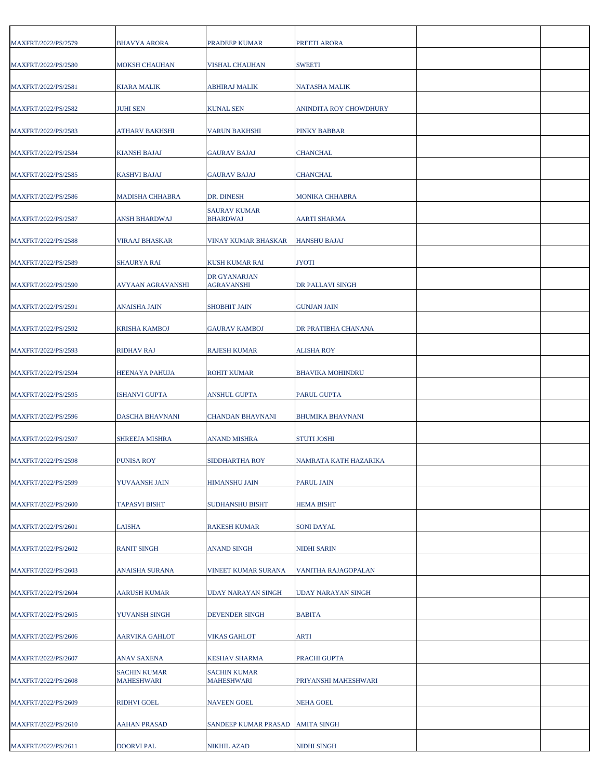| MAXFRT/2022/PS/2579 | <b>BHAVYA ARORA</b>                      | PRADEEP KUMAR                            | PREETI ARORA            |  |
|---------------------|------------------------------------------|------------------------------------------|-------------------------|--|
| MAXFRT/2022/PS/2580 | <b>MOKSH CHAUHAN</b>                     | VISHAL CHAUHAN                           | <b>SWEETI</b>           |  |
| MAXFRT/2022/PS/2581 | KIARA MALIK                              | <b>ABHIRAJ MALIK</b>                     | <b>NATASHA MALIK</b>    |  |
| MAXFRT/2022/PS/2582 | <b>JUHI SEN</b>                          | <b>KUNAL SEN</b>                         | ANINDITA ROY CHOWDHURY  |  |
| MAXFRT/2022/PS/2583 | ATHARV BAKHSHI                           | VARUN BAKHSHI                            | <b>PINKY BABBAR</b>     |  |
| MAXFRT/2022/PS/2584 | <b>KIANSH BAJAJ</b>                      | <b>GAURAV BAJAJ</b>                      | <b>CHANCHAL</b>         |  |
| MAXFRT/2022/PS/2585 | <b>KASHVI BAJAJ</b>                      | <b>GAURAV BAJAJ</b>                      | <b>CHANCHAL</b>         |  |
| MAXFRT/2022/PS/2586 | MADISHA CHHABRA                          | DR. DINESH                               | <b>MONIKA CHHABRA</b>   |  |
| MAXFRT/2022/PS/2587 | ANSH BHARDWAJ                            | <b>SAURAV KUMAR</b><br><b>BHARDWAJ</b>   | AARTI SHARMA            |  |
| MAXFRT/2022/PS/2588 | <b>VIRAAJ BHASKAR</b>                    | VINAY KUMAR BHASKAR                      | <b>HANSHU BAJAJ</b>     |  |
| MAXFRT/2022/PS/2589 | <b>SHAURYA RAI</b>                       | KUSH KUMAR RAI                           | <b>JYOTI</b>            |  |
| MAXFRT/2022/PS/2590 | AVYAAN AGRAVANSHI                        | DR GYANARJAN<br><b>AGRAVANSHI</b>        | DR PALLAVI SINGH        |  |
| MAXFRT/2022/PS/2591 | <b>ANAISHA JAIN</b>                      | <b>SHOBHIT JAIN</b>                      | <b>GUNJAN JAIN</b>      |  |
| MAXFRT/2022/PS/2592 | <b>KRISHA KAMBOJ</b>                     | <b>GAURAV KAMBOJ</b>                     | DR PRATIBHA CHANANA     |  |
| MAXFRT/2022/PS/2593 | <b>RIDHAV RAJ</b>                        | RAJESH KUMAR                             | ALISHA ROY              |  |
| MAXFRT/2022/PS/2594 | <b>HEENAYA PAHUJA</b>                    | ROHIT KUMAR                              | <b>BHAVIKA MOHINDRU</b> |  |
| MAXFRT/2022/PS/2595 | <b>ISHANVI GUPTA</b>                     | ANSHUL GUPTA                             | PARUL GUPTA             |  |
| MAXFRT/2022/PS/2596 | <b>DASCHA BHAVNANI</b>                   | <b>CHANDAN BHAVNANI</b>                  | <b>BHUMIKA BHAVNANI</b> |  |
| MAXFRT/2022/PS/2597 | SHREEJA MISHRA                           | ANAND MISHRA                             | <b>STUTI JOSHI</b>      |  |
| MAXFRT/2022/PS/2598 | <b>PUNISA ROY</b>                        | SIDDHARTHA ROY                           | NAMRATA KATH HAZARIKA   |  |
| MAXFRT/2022/PS/2599 | YUVAANSH JAIN                            | HIMANSHU JAIN                            | <b>PARUL JAIN</b>       |  |
| MAXFRT/2022/PS/2600 | <b>TAPASVI BISHT</b>                     | <b>SUDHANSHU BISHT</b>                   | <b>HEMA BISHT</b>       |  |
| MAXFRT/2022/PS/2601 | LAISHA                                   | RAKESH KUMAR                             | SONI DAYAL              |  |
| MAXFRT/2022/PS/2602 | <b>RANIT SINGH</b>                       | ANAND SINGH                              | <b>NIDHI SARIN</b>      |  |
| MAXFRT/2022/PS/2603 | ANAISHA SURANA                           | VINEET KUMAR SURANA                      | VANITHA RAJAGOPALAN     |  |
| MAXFRT/2022/PS/2604 | <b>AARUSH KUMAR</b>                      | <b>UDAY NARAYAN SINGH</b>                | UDAY NARAYAN SINGH      |  |
| MAXFRT/2022/PS/2605 | YUVANSH SINGH                            | <b>DEVENDER SINGH</b>                    | <b>BABITA</b>           |  |
| MAXFRT/2022/PS/2606 | <b>AARVIKA GAHLOT</b>                    | <b>VIKAS GAHLOT</b>                      | ARTI                    |  |
| MAXFRT/2022/PS/2607 | <b>ANAV SAXENA</b>                       | <b>KESHAV SHARMA</b>                     | PRACHI GUPTA            |  |
| MAXFRT/2022/PS/2608 | <b>SACHIN KUMAR</b><br><b>MAHESHWARI</b> | <b>SACHIN KUMAR</b><br><b>MAHESHWARI</b> | PRIYANSHI MAHESHWARI    |  |
| MAXFRT/2022/PS/2609 | <b>RIDHVI GOEL</b>                       | <b>NAVEEN GOEL</b>                       | <b>NEHA GOEL</b>        |  |
| MAXFRT/2022/PS/2610 | <b>AAHAN PRASAD</b>                      | SANDEEP KUMAR PRASAD                     | <b>AMITA SINGH</b>      |  |
| MAXFRT/2022/PS/2611 | <b>DOORVI PAL</b>                        | NIKHIL AZAD                              | NIDHI SINGH             |  |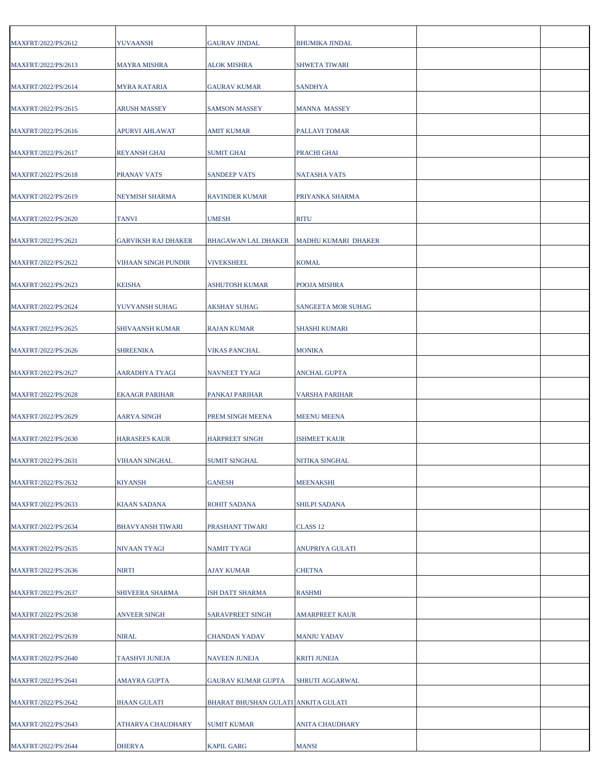| MAXFRT/2022/PS/2612 | YUVAANSH                   | GAURAV JINDAL                       | <b>BHUMIKA JINDAL</b>     |  |
|---------------------|----------------------------|-------------------------------------|---------------------------|--|
| MAXFRT/2022/PS/2613 | <b>MAYRA MISHRA</b>        | ALOK MISHRA                         | <b>SHWETA TIWARI</b>      |  |
| MAXFRT/2022/PS/2614 | <b>MYRA KATARIA</b>        | <b>GAURAV KUMAR</b>                 | <b>SANDHYA</b>            |  |
| MAXFRT/2022/PS/2615 | ARUSH MASSEY               | <b>SAMSON MASSEY</b>                | <b>MANNA MASSEY</b>       |  |
| MAXFRT/2022/PS/2616 | APURVI AHLAWAT             | <b>AMIT KUMAR</b>                   | PALLAVI TOMAR             |  |
| MAXFRT/2022/PS/2617 | <b>REYANSH GHAI</b>        | SUMIT GHAI                          | PRACHI GHAI               |  |
| MAXFRT/2022/PS/2618 | PRANAV VATS                | SANDEEP VATS                        | NATASHA VATS              |  |
| MAXFRT/2022/PS/2619 | NEYMISH SHARMA             | RAVINDER KUMAR                      | PRIYANKA SHARMA           |  |
| MAXFRT/2022/PS/2620 | <b>TANVI</b>               | <b>UMESH</b>                        | <b>RITU</b>               |  |
| MAXFRT/2022/PS/2621 | <b>GARVIKSH RAJ DHAKER</b> | <b>BHAGAWAN LAL DHAKER</b>          | MADHU KUMARI DHAKER       |  |
| MAXFRT/2022/PS/2622 | VIHAAN SINGH PUNDIR        | VIVEKSHEEL                          | <b>KOMAL</b>              |  |
| MAXFRT/2022/PS/2623 | <b>KEISHA</b>              | ASHUTOSH KUMAR                      | POOJA MISHRA              |  |
| MAXFRT/2022/PS/2624 | YUVYANSH SUHAG             | <b>AKSHAY SUHAG</b>                 | <b>SANGEETA MOR SUHAG</b> |  |
| MAXFRT/2022/PS/2625 | <b>SHIVAANSH KUMAR</b>     | RAJAN KUMAR                         | <b>SHASHI KUMARI</b>      |  |
| MAXFRT/2022/PS/2626 | <b>SHREENIKA</b>           | VIKAS PANCHAL                       | <b>MONIKA</b>             |  |
| MAXFRT/2022/PS/2627 | AARADHYA TYAGI             | NAVNEET TYAGI                       | <b>ANCHAL GUPTA</b>       |  |
| MAXFRT/2022/PS/2628 | <b>EKAAGR PARIHAR</b>      | PANKAJ PARIHAR                      | <b>VARSHA PARIHAR</b>     |  |
| MAXFRT/2022/PS/2629 | <b>AARYA SINGH</b>         | PREM SINGH MEENA                    | <b>MEENU MEENA</b>        |  |
| MAXFRT/2022/PS/2630 | <b>HARASEES KAUR</b>       | HARPREET SINGH                      | <b>ISHMEET KAUR</b>       |  |
| MAXFRT/2022/PS/2631 | <b>VIHAAN SINGHAL</b>      | SUMIT SINGHAL                       | NITIKA SINGHAL            |  |
| MAXFRT/2022/PS/2632 | <b>KIYANSH</b>             | <b>GANESH</b>                       | <b>MEENAKSHI</b>          |  |
| MAXFRT/2022/PS/2633 | <b>KIAAN SADANA</b>        | ROHIT SADANA                        | <b>SHILPI SADANA</b>      |  |
| MAXFRT/2022/PS/2634 | <b>BHAVYANSH TIWARI</b>    | PRASHANT TIWARI                     | CLASS <sub>12</sub>       |  |
| MAXFRT/2022/PS/2635 | NIVAAN TYAGI               | <b>NAMIT TYAGI</b>                  | ANUPRIYA GULATI           |  |
| MAXFRT/2022/PS/2636 | <b>NIRTI</b>               | AJAY KUMAR                          | <b>CHETNA</b>             |  |
| MAXFRT/2022/PS/2637 | SHIVEERA SHARMA            | ISH DATT SHARMA                     | <b>RASHMI</b>             |  |
| MAXFRT/2022/PS/2638 | <b>ANVEER SINGH</b>        | SARAVPREET SINGH                    | <b>AMARPREET KAUR</b>     |  |
| MAXFRT/2022/PS/2639 | <b>NIRAL</b>               | <b>CHANDAN YADAV</b>                | <b>MANJU YADAV</b>        |  |
| MAXFRT/2022/PS/2640 | <b>TAASHVI JUNEJA</b>      | NAVEEN JUNEJA                       | <b>KRITI JUNEJA</b>       |  |
| MAXFRT/2022/PS/2641 | AMAYRA GUPTA               | GAURAV KUMAR GUPTA                  | SHRUTI AGGARWAL           |  |
| MAXFRT/2022/PS/2642 | <b>IHAAN GULATI</b>        | BHARAT BHUSHAN GULATI ANKITA GULATI |                           |  |
| MAXFRT/2022/PS/2643 | ATHARVA CHAUDHARY          | SUMIT KUMAR                         | <b>ANITA CHAUDHARY</b>    |  |
| MAXFRT/2022/PS/2644 | <b>DHERYA</b>              | <b>KAPIL GARG</b>                   | <b>MANSI</b>              |  |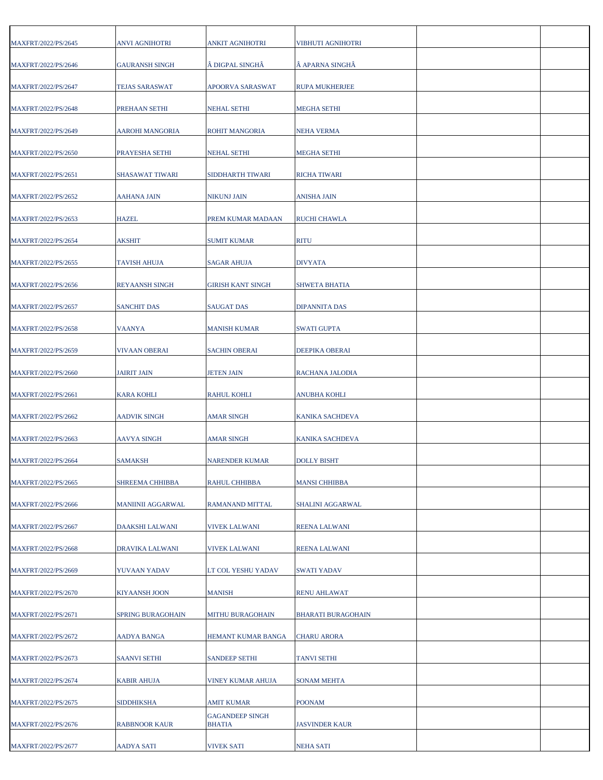| MAXFRT/2022/PS/2645 | <b>ANVI AGNIHOTRI</b>  | <b>ANKIT AGNIHOTRI</b>           | VIBHUTI AGNIHOTRI         |  |
|---------------------|------------------------|----------------------------------|---------------------------|--|
| MAXFRT/2022/PS/2646 | <b>GAURANSH SINGH</b>  | DIGPAL SINGHÂ                    | APARNA SINGHÂ             |  |
| MAXFRT/2022/PS/2647 | <b>TEJAS SARASWAT</b>  | APOORVA SARASWAT                 | <b>RUPA MUKHERJEE</b>     |  |
| MAXFRT/2022/PS/2648 | PREHAAN SETHI          | NEHAL SETHI                      | MEGHA SETHI               |  |
| MAXFRT/2022/PS/2649 | AAROHI MANGORIA        | ROHIT MANGORIA                   | NEHA VERMA                |  |
| MAXFRT/2022/PS/2650 | PRAYESHA SETHI         | <b>NEHAL SETHI</b>               | <b>MEGHA SETHI</b>        |  |
| MAXFRT/2022/PS/2651 | <b>SHASAWAT TIWARI</b> | SIDDHARTH TIWARI                 | <b>RICHA TIWARI</b>       |  |
| MAXFRT/2022/PS/2652 | AAHANA JAIN            | NIKUNJ JAIN                      | ANISHA JAIN               |  |
| MAXFRT/2022/PS/2653 | <b>HAZEL</b>           | PREM KUMAR MADAAN                | <b>RUCHI CHAWLA</b>       |  |
| MAXFRT/2022/PS/2654 | <b>AKSHIT</b>          | <b>SUMIT KUMAR</b>               | <b>RITU</b>               |  |
| MAXFRT/2022/PS/2655 | <b>TAVISH AHUJA</b>    | SAGAR AHUJA                      | <b>DIVYATA</b>            |  |
| MAXFRT/2022/PS/2656 | REYAANSH SINGH         | <b>GIRISH KANT SINGH</b>         | <b>SHWETA BHATIA</b>      |  |
| MAXFRT/2022/PS/2657 | <b>SANCHIT DAS</b>     | <b>SAUGAT DAS</b>                | <b>DIPANNITA DAS</b>      |  |
| MAXFRT/2022/PS/2658 | <b>VAANYA</b>          | <b>MANISH KUMAR</b>              | <b>SWATI GUPTA</b>        |  |
|                     |                        |                                  |                           |  |
| MAXFRT/2022/PS/2659 | VIVAAN OBERAI          | <b>SACHIN OBERAI</b>             | DEEPIKA OBERAI            |  |
| MAXFRT/2022/PS/2660 | <b>JAIRIT JAIN</b>     | <b>JETEN JAIN</b>                | RACHANA JALODIA           |  |
| MAXFRT/2022/PS/2661 | <b>KARA KOHLI</b>      | <b>RAHUL KOHLI</b>               | <b>ANUBHA KOHLI</b>       |  |
| MAXFRT/2022/PS/2662 | <b>AADVIK SINGH</b>    | <b>AMAR SINGH</b>                | <b>KANIKA SACHDEVA</b>    |  |
| MAXFRT/2022/PS/2663 | AAVYA SINGH            | AMAR SINGH                       | KANIKA SACHDEVA           |  |
| MAXFRT/2022/PS/2664 | <b>SAMAKSH</b>         | <b>NARENDER KUMAR</b>            | <b>DOLLY BISHT</b>        |  |
| MAXFRT/2022/PS/2665 | <b>SHREEMA CHHIBBA</b> | RAHUL CHHIBBA                    | MANSI CHHIBBA             |  |
| MAXFRT/2022/PS/2666 | MANIINII AGGARWAL      | RAMANAND MITTAL                  | SHALINI AGGARWAL          |  |
| MAXFRT/2022/PS/2667 | DAAKSHI LALWANI        | <b>VIVEK LALWANI</b>             | <b>REENA LALWANI</b>      |  |
| MAXFRT/2022/PS/2668 | DRAVIKA LALWANI        | VIVEK LALWANI                    | <b>REENA LALWANI</b>      |  |
| MAXFRT/2022/PS/2669 | YUVAAN YADAV           | LT COL YESHU YADAV               | <b>SWATI YADAV</b>        |  |
| MAXFRT/2022/PS/2670 | <b>KIYAANSH JOON</b>   | <b>MANISH</b>                    | <b>RENU AHLAWAT</b>       |  |
| MAXFRT/2022/PS/2671 | SPRING BURAGOHAIN      | MITHU BURAGOHAIN                 | <b>BHARATI BURAGOHAIN</b> |  |
| MAXFRT/2022/PS/2672 | AADYA BANGA            | HEMANT KUMAR BANGA               | <b>CHARU ARORA</b>        |  |
| MAXFRT/2022/PS/2673 | <b>SAANVI SETHI</b>    | <b>SANDEEP SETHI</b>             | TANVI SETHI               |  |
| MAXFRT/2022/PS/2674 | <b>KABIR AHUJA</b>     | VINEY KUMAR AHUJA                | SONAM MEHTA               |  |
| MAXFRT/2022/PS/2675 | <b>SIDDHIKSHA</b>      | AMIT KUMAR                       | <b>POONAM</b>             |  |
| MAXFRT/2022/PS/2676 | RABBNOOR KAUR          | <b>GAGANDEEP SINGH</b><br>BHATIA | <b>JASVINDER KAUR</b>     |  |
| MAXFRT/2022/PS/2677 | <b>AADYA SATI</b>      | <b>VIVEK SATI</b>                | <b>NEHA SATI</b>          |  |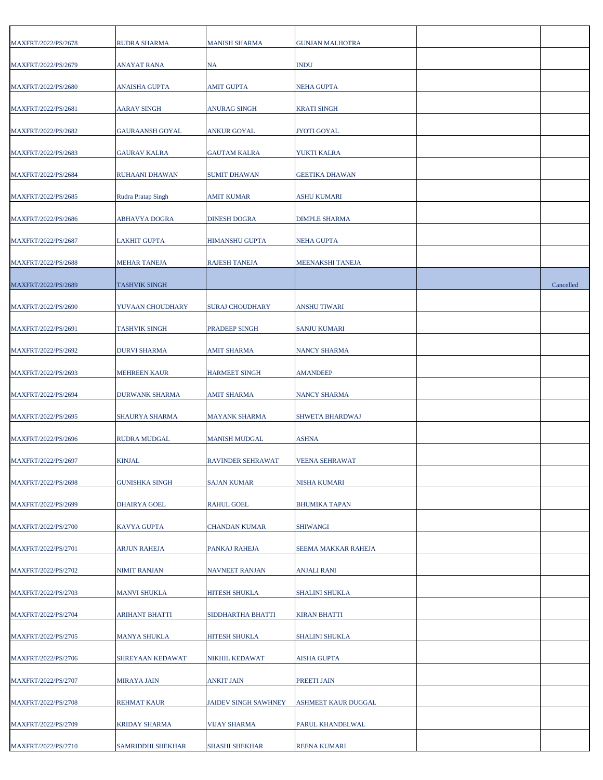| MAXFRT/2022/PS/2678 | RUDRA SHARMA          | <b>MANISH SHARMA</b>     | <b>GUNJAN MALHOTRA</b> |           |
|---------------------|-----------------------|--------------------------|------------------------|-----------|
| MAXFRT/2022/PS/2679 | <b>ANAYAT RANA</b>    | NA                       | <b>INDU</b>            |           |
| MAXFRT/2022/PS/2680 | <b>ANAISHA GUPTA</b>  | <b>AMIT GUPTA</b>        | NEHA GUPTA             |           |
| MAXFRT/2022/PS/2681 | <b>AARAV SINGH</b>    | ANURAG SINGH             | <b>KRATI SINGH</b>     |           |
| MAXFRT/2022/PS/2682 | GAURAANSH GOYAL       | ANKUR GOYAL              | JYOTI GOYAL            |           |
| MAXFRT/2022/PS/2683 | <b>GAURAV KALRA</b>   | <b>GAUTAM KALRA</b>      | YUKTI KALRA            |           |
| MAXFRT/2022/PS/2684 | RUHAANI DHAWAN        | <b>SUMIT DHAWAN</b>      | <b>GEETIKA DHAWAN</b>  |           |
| MAXFRT/2022/PS/2685 | Rudra Pratap Singh    | AMIT KUMAR               | ASHU KUMARI            |           |
| MAXFRT/2022/PS/2686 | ABHAVYA DOGRA         | <b>DINESH DOGRA</b>      | <b>DIMPLE SHARMA</b>   |           |
| MAXFRT/2022/PS/2687 | <b>LAKHIT GUPTA</b>   | <b>HIMANSHU GUPTA</b>    | NEHA GUPTA             |           |
| MAXFRT/2022/PS/2688 | <b>MEHAR TANEJA</b>   | <b>RAJESH TANEJA</b>     | MEENAKSHI TANEJA       |           |
| MAXFRT/2022/PS/2689 | TASHVIK SINGH         |                          |                        | Cancelled |
| MAXFRT/2022/PS/2690 | YUVAAN CHOUDHARY      | <b>SURAJ CHOUDHARY</b>   | ANSHU TIWARI           |           |
| MAXFRT/2022/PS/2691 | <b>TASHVIK SINGH</b>  | PRADEEP SINGH            | <b>SANJU KUMARI</b>    |           |
| MAXFRT/2022/PS/2692 | <b>DURVI SHARMA</b>   | AMIT SHARMA              | <b>NANCY SHARMA</b>    |           |
| MAXFRT/2022/PS/2693 | <b>MEHREEN KAUR</b>   | <b>HARMEET SINGH</b>     | <b>AMANDEEP</b>        |           |
| MAXFRT/2022/PS/2694 | <b>DURWANK SHARMA</b> | <b>AMIT SHARMA</b>       | <b>NANCY SHARMA</b>    |           |
| MAXFRT/2022/PS/2695 | SHAURYA SHARMA        | <b>MAYANK SHARMA</b>     | SHWETA BHARDWAJ        |           |
| MAXFRT/2022/PS/2696 | RUDRA MUDGAL          | <b>MANISH MUDGAL</b>     | ASHNA                  |           |
| MAXFRT/2022/PS/2697 | <b>KINJAL</b>         | <b>RAVINDER SEHRAWAT</b> | <b>VEENA SEHRAWAT</b>  |           |
| MAXFRT/2022/PS/2698 | <b>GUNISHKA SINGH</b> | SAJAN KUMAR              | NISHA KUMARI           |           |
| MAXFRT/2022/PS/2699 | DHAIRYA GOEL          | RAHUL GOEL               | <b>BHUMIKA TAPAN</b>   |           |
| MAXFRT/2022/PS/2700 | KAVYA GUPTA           | CHANDAN KUMAR            | <b>SHIWANGI</b>        |           |
| MAXFRT/2022/PS/2701 | <b>ARJUN RAHEJA</b>   | PANKAJ RAHEJA            | SEEMA MAKKAR RAHEJA    |           |
| MAXFRT/2022/PS/2702 | <b>NIMIT RANJAN</b>   | <b>NAVNEET RANJAN</b>    | ANJALI RANI            |           |
| MAXFRT/2022/PS/2703 | <b>MANVI SHUKLA</b>   | HITESH SHUKLA            | <b>SHALINI SHUKLA</b>  |           |
| MAXFRT/2022/PS/2704 | <b>ARIHANT BHATTI</b> | SIDDHARTHA BHATTI        | <b>KIRAN BHATTI</b>    |           |
| MAXFRT/2022/PS/2705 | <b>MANYA SHUKLA</b>   | HITESH SHUKLA            | <b>SHALINI SHUKLA</b>  |           |
| MAXFRT/2022/PS/2706 | SHREYAAN KEDAWAT      | NIKHIL KEDAWAT           | AISHA GUPTA            |           |
| MAXFRT/2022/PS/2707 | <b>MIRAYA JAIN</b>    | ANKIT JAIN               | PREETI JAIN            |           |
| MAXFRT/2022/PS/2708 | REHMAT KAUR           | JAIDEV SINGH SAWHNEY     | ASHMEET KAUR DUGGAL    |           |
| MAXFRT/2022/PS/2709 | KRIDAY SHARMA         | <b>VIJAY SHARMA</b>      | PARUL KHANDELWAL       |           |
| MAXFRT/2022/PS/2710 | SAMRIDDHI SHEKHAR     | <b>SHASHI SHEKHAR</b>    | <b>REENA KUMARI</b>    |           |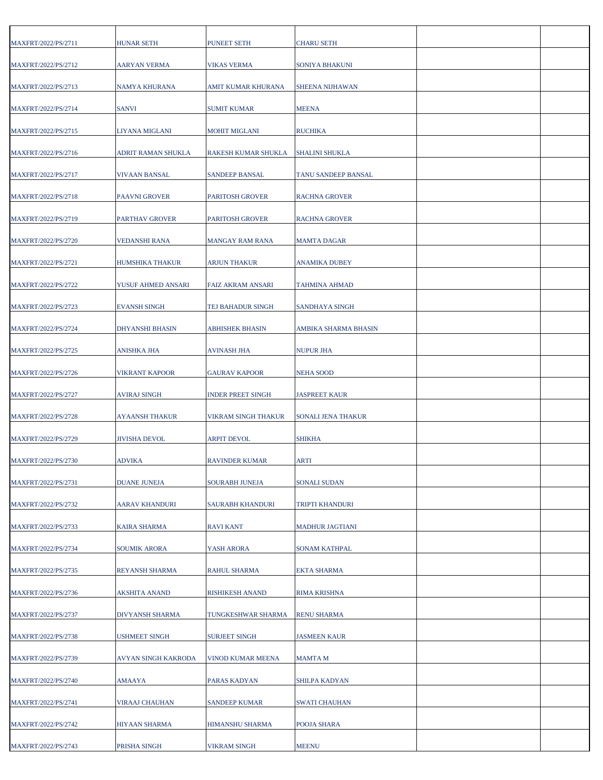| MAXFRT/2022/PS/2711 | <b>HUNAR SETH</b>      | PUNEET SETH              | <b>CHARU SETH</b>         |  |
|---------------------|------------------------|--------------------------|---------------------------|--|
| MAXFRT/2022/PS/2712 | <b>AARYAN VERMA</b>    | <b>VIKAS VERMA</b>       | SONIYA BHAKUNI            |  |
| MAXFRT/2022/PS/2713 | NAMYA KHURANA          | AMIT KUMAR KHURANA       | <b>SHEENA NIJHAWAN</b>    |  |
| MAXFRT/2022/PS/2714 | <b>SANVI</b>           | SUMIT KUMAR              | <b>MEENA</b>              |  |
| MAXFRT/2022/PS/2715 | LIYANA MIGLANI         | MOHIT MIGLANI            | <b>RUCHIKA</b>            |  |
| MAXFRT/2022/PS/2716 | ADRIT RAMAN SHUKLA     | RAKESH KUMAR SHUKLA      | <b>SHALINI SHUKLA</b>     |  |
| MAXFRT/2022/PS/2717 | VIVAAN BANSAL          | SANDEEP BANSAL           | TANU SANDEEP BANSAL       |  |
| MAXFRT/2022/PS/2718 | <b>PAAVNI GROVER</b>   | PARITOSH GROVER          | <b>RACHNA GROVER</b>      |  |
| MAXFRT/2022/PS/2719 | <b>PARTHAV GROVER</b>  | <b>PARITOSH GROVER</b>   | <b>RACHNA GROVER</b>      |  |
| MAXFRT/2022/PS/2720 | <b>VEDANSHI RANA</b>   | <b>MANGAY RAM RANA</b>   | <b>MAMTA DAGAR</b>        |  |
| MAXFRT/2022/PS/2721 | HUMSHIKA THAKUR        | ARJUN THAKUR             | <b>ANAMIKA DUBEY</b>      |  |
| MAXFRT/2022/PS/2722 | YUSUF AHMED ANSARI     | <b>FAIZ AKRAM ANSARI</b> | <b>TAHMINA AHMAD</b>      |  |
| MAXFRT/2022/PS/2723 | <b>EVANSH SINGH</b>    | TEJ BAHADUR SINGH        | <b>SANDHAYA SINGH</b>     |  |
| MAXFRT/2022/PS/2724 | <b>DHYANSHI BHASIN</b> | ABHISHEK BHASIN          | AMBIKA SHARMA BHASIN      |  |
| MAXFRT/2022/PS/2725 | ANISHKA JHA            | AVINASH JHA              | <b>NUPUR JHA</b>          |  |
| MAXFRT/2022/PS/2726 | VIKRANT KAPOOR         | <b>GAURAV KAPOOR</b>     | <b>NEHA SOOD</b>          |  |
| MAXFRT/2022/PS/2727 | <b>AVIRAJ SINGH</b>    | <b>INDER PREET SINGH</b> | <b>JASPREET KAUR</b>      |  |
| MAXFRT/2022/PS/2728 | AYAANSH THAKUR         | VIKRAM SINGH THAKUR      | <b>SONALI JENA THAKUR</b> |  |
| MAXFRT/2022/PS/2729 | <b>JIVISHA DEVOL</b>   | <b>ARPIT DEVOL</b>       | <b>SHIKHA</b>             |  |
| MAXFRT/2022/PS/2730 | <b>ADVIKA</b>          | <b>RAVINDER KUMAR</b>    | <b>ARTI</b>               |  |
| MAXFRT/2022/PS/2731 | <b>DUANE JUNEJA</b>    | SOURABH JUNEJA           | <b>SONALI SUDAN</b>       |  |
| MAXFRT/2022/PS/2732 | <b>AARAV KHANDURI</b>  | SAURABH KHANDURI         | TRIPTI KHANDURI           |  |
| MAXFRT/2022/PS/2733 | KAIRA SHARMA           | RAVI KANT                | <b>MADHUR JAGTIANI</b>    |  |
| MAXFRT/2022/PS/2734 | <b>SOUMIK ARORA</b>    | YASH ARORA               | <b>SONAM KATHPAL</b>      |  |
| MAXFRT/2022/PS/2735 | REYANSH SHARMA         | RAHUL SHARMA             | <b>EKTA SHARMA</b>        |  |
| MAXFRT/2022/PS/2736 | AKSHITA ANAND          | RISHIKESH ANAND          | <b>RIMA KRISHNA</b>       |  |
| MAXFRT/2022/PS/2737 | DIVYANSH SHARMA        | TUNGKESHWAR SHARMA       | <b>RENU SHARMA</b>        |  |
| MAXFRT/2022/PS/2738 | <b>USHMEET SINGH</b>   | <b>SURJEET SINGH</b>     | <b>JASMEEN KAUR</b>       |  |
| MAXFRT/2022/PS/2739 | AVYAN SINGH KAKRODA    | VINOD KUMAR MEENA        | MAMTA M                   |  |
| MAXFRT/2022/PS/2740 | AMAAYA                 | PARAS KADYAN             | SHILPA KADYAN             |  |
| MAXFRT/2022/PS/2741 | VIRAAJ CHAUHAN         | SANDEEP KUMAR            | <b>SWATI CHAUHAN</b>      |  |
| MAXFRT/2022/PS/2742 | HIYAAN SHARMA          | HIMANSHU SHARMA          | POOJA SHARA               |  |
| MAXFRT/2022/PS/2743 | PRISHA SINGH           | <b>VIKRAM SINGH</b>      | <b>MEENU</b>              |  |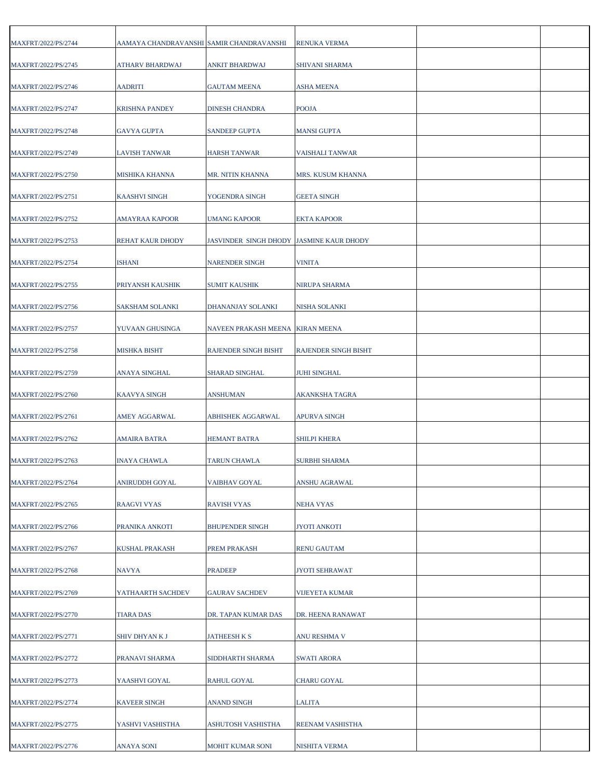| MAXFRT/2022/PS/2744 | AAMAYA CHANDRAVANSHI SAMIR CHANDRAVANSHI |                                          | RENUKA VERMA                |  |
|---------------------|------------------------------------------|------------------------------------------|-----------------------------|--|
| MAXFRT/2022/PS/2745 | <b>ATHARV BHARDWAJ</b>                   | <b>ANKIT BHARDWAJ</b>                    | SHIVANI SHARMA              |  |
| MAXFRT/2022/PS/2746 | <b>AADRITI</b>                           | <b>GAUTAM MEENA</b>                      | <b>ASHA MEENA</b>           |  |
| MAXFRT/2022/PS/2747 | <b>KRISHNA PANDEY</b>                    | DINESH CHANDRA                           | <b>POOJA</b>                |  |
| MAXFRT/2022/PS/2748 | <b>GAVYA GUPTA</b>                       | SANDEEP GUPTA                            | <b>MANSI GUPTA</b>          |  |
| MAXFRT/2022/PS/2749 | <b>LAVISH TANWAR</b>                     | HARSH TANWAR                             | <b>VAISHALI TANWAR</b>      |  |
| MAXFRT/2022/PS/2750 | <b>MISHIKA KHANNA</b>                    | MR. NITIN KHANNA                         | MRS. KUSUM KHANNA           |  |
| MAXFRT/2022/PS/2751 | KAASHVI SINGH                            | YOGENDRA SINGH                           | <b>GEETA SINGH</b>          |  |
| MAXFRT/2022/PS/2752 | AMAYRAA KAPOOR                           | <b>UMANG KAPOOR</b>                      | <b>EKTA KAPOOR</b>          |  |
| MAXFRT/2022/PS/2753 | REHAT KAUR DHODY                         | JASVINDER SINGH DHODY JASMINE KAUR DHODY |                             |  |
| MAXFRT/2022/PS/2754 | <b>ISHANI</b>                            | <b>NARENDER SINGH</b>                    | <b>VINITA</b>               |  |
| MAXFRT/2022/PS/2755 | PRIYANSH KAUSHIK                         | SUMIT KAUSHIK                            | <b>NIRUPA SHARMA</b>        |  |
| MAXFRT/2022/PS/2756 | <b>SAKSHAM SOLANKI</b>                   | DHANANJAY SOLANKI                        | <b>NISHA SOLANKI</b>        |  |
| MAXFRT/2022/PS/2757 | YUVAAN GHUSINGA                          | NAVEEN PRAKASH MEENA                     | <b>KIRAN MEENA</b>          |  |
| MAXFRT/2022/PS/2758 | MISHKA BISHT                             | RAJENDER SINGH BISHT                     | <b>RAJENDER SINGH BISHT</b> |  |
| MAXFRT/2022/PS/2759 | ANAYA SINGHAL                            | SHARAD SINGHAL                           | <b>JUHI SINGHAL</b>         |  |
| MAXFRT/2022/PS/2760 | <b>KAAVYA SINGH</b>                      | ANSHUMAN                                 | <b>AKANKSHA TAGRA</b>       |  |
|                     |                                          |                                          |                             |  |
| MAXFRT/2022/PS/2761 | AMEY AGGARWAL                            | ABHISHEK AGGARWAL                        | <b>APURVA SINGH</b>         |  |
| MAXFRT/2022/PS/2762 | AMAIRA BATRA                             | HEMANT BATRA                             | <b>SHILPI KHERA</b>         |  |
| MAXFRT/2022/PS/2763 | <b>INAYA CHAWLA</b>                      | <b>TARUN CHAWLA</b>                      | <b>SURBHI SHARMA</b>        |  |
| MAXFRT/2022/PS/2764 | ANIRUDDH GOYAL                           | VAIBHAV GOYAL                            | ANSHU AGRAWAL               |  |
| MAXFRT/2022/PS/2765 | RAAGVI VYAS                              | RAVISH VYAS                              | NEHA VYAS                   |  |
| MAXFRT/2022/PS/2766 | PRANIKA ANKOTI                           | <b>BHUPENDER SINGH</b>                   | <b>JYOTI ANKOTI</b>         |  |
| MAXFRT/2022/PS/2767 | <b>KUSHAL PRAKASH</b>                    | PREM PRAKASH                             | <b>RENU GAUTAM</b>          |  |
| MAXFRT/2022/PS/2768 | NAVYA                                    | <b>PRADEEP</b>                           | <b>JYOTI SEHRAWAT</b>       |  |
| MAXFRT/2022/PS/2769 | YATHAARTH SACHDEV                        | <b>GAURAV SACHDEV</b>                    | <b>VIJEYETA KUMAR</b>       |  |
| MAXFRT/2022/PS/2770 | <b>TIARA DAS</b>                         | DR. TAPAN KUMAR DAS                      | DR. HEENA RANAWAT           |  |
| MAXFRT/2022/PS/2771 | SHIV DHYAN K J                           | <b>JATHEESH K S</b>                      | <b>ANU RESHMA V</b>         |  |
| MAXFRT/2022/PS/2772 | PRANAVI SHARMA                           | SIDDHARTH SHARMA                         | <b>SWATI ARORA</b>          |  |
| MAXFRT/2022/PS/2773 | YAASHVI GOYAL                            | RAHUL GOYAL                              | <b>CHARU GOYAL</b>          |  |
| MAXFRT/2022/PS/2774 | <b>KAVEER SINGH</b>                      | <b>ANAND SINGH</b>                       | <b>LALITA</b>               |  |
| MAXFRT/2022/PS/2775 | YASHVI VASHISTHA                         | ASHUTOSH VASHISTHA                       | REENAM VASHISTHA            |  |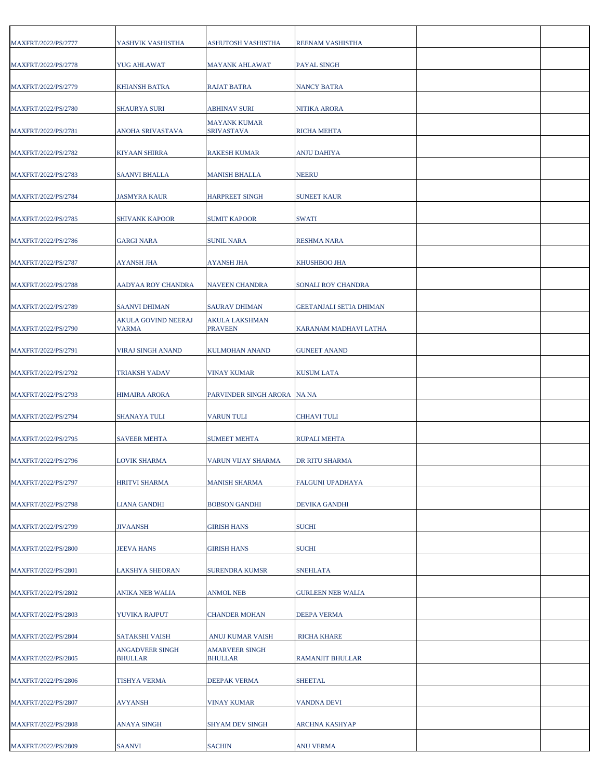| MAXFRT/2022/PS/2777 | YASHVIK VASHISTHA                 | ASHUTOSH VASHISTHA                      | REENAM VASHISTHA               |  |
|---------------------|-----------------------------------|-----------------------------------------|--------------------------------|--|
| MAXFRT/2022/PS/2778 | <b>YUG AHLAWAT</b>                | <b>MAYANK AHLAWAT</b>                   | <b>PAYAL SINGH</b>             |  |
| MAXFRT/2022/PS/2779 | <b>KHIANSH BATRA</b>              | RAJAT BATRA                             | <b>NANCY BATRA</b>             |  |
| MAXFRT/2022/PS/2780 | <b>SHAURYA SURI</b>               | ABHINAV SURI                            | <b>NITIKA ARORA</b>            |  |
| MAXFRT/2022/PS/2781 | ANOHA SRIVASTAVA                  | <b>MAYANK KUMAR</b><br>SRIVASTAVA       | <b>RICHA MEHTA</b>             |  |
| MAXFRT/2022/PS/2782 | <b>KIYAAN SHIRRA</b>              | <b>RAKESH KUMAR</b>                     | <b>ANJU DAHIYA</b>             |  |
| MAXFRT/2022/PS/2783 | <b>SAANVI BHALLA</b>              | MANISH BHALLA                           | <b>NEERU</b>                   |  |
| MAXFRT/2022/PS/2784 | JASMYRA KAUR                      | HARPREET SINGH                          | <b>SUNEET KAUR</b>             |  |
| MAXFRT/2022/PS/2785 | <b>SHIVANK KAPOOR</b>             | <b>SUMIT KAPOOR</b>                     | <b>SWATI</b>                   |  |
| MAXFRT/2022/PS/2786 | <b>GARGI NARA</b>                 | <b>SUNIL NARA</b>                       | <b>RESHMA NARA</b>             |  |
| MAXFRT/2022/PS/2787 | AYANSH JHA                        | AYANSH JHA                              | KHUSHBOO JHA                   |  |
| MAXFRT/2022/PS/2788 | AADYAA ROY CHANDRA                | <b>NAVEEN CHANDRA</b>                   | SONALI ROY CHANDRA             |  |
| MAXFRT/2022/PS/2789 | <b>SAANVI DHIMAN</b>              | <b>SAURAV DHIMAN</b>                    | <b>GEETANJALI SETIA DHIMAN</b> |  |
| MAXFRT/2022/PS/2790 | AKULA GOVIND NEERAJ<br>VARMA      | AKULA LAKSHMAN<br><b>PRAVEEN</b>        | KARANAM MADHAVI LATHA          |  |
| MAXFRT/2022/PS/2791 | VIRAJ SINGH ANAND                 | KULMOHAN ANAND                          | <b>GUNEET ANAND</b>            |  |
| MAXFRT/2022/PS/2792 | TRIAKSH YADAV                     | VINAY KUMAR                             | <b>KUSUM LATA</b>              |  |
| MAXFRT/2022/PS/2793 | <b>HIMAIRA ARORA</b>              | PARVINDER SINGH ARORA NA NA             |                                |  |
| MAXFRT/2022/PS/2794 | <b>SHANAYA TULI</b>               | <b>VARUN TULI</b>                       | <b>CHHAVI TULI</b>             |  |
| MAXFRT/2022/PS/2795 | <b>SAVEER MEHTA</b>               | SUMEET MEHTA                            | <b>RUPALI MEHTA</b>            |  |
| MAXFRT/2022/PS/2796 | LOVIK SHARMA                      | <b>VARUN VIJAY SHARMA</b>               | DR RITU SHARMA                 |  |
| MAXFRT/2022/PS/2797 | <b>HRITVI SHARMA</b>              | <b>MANISH SHARMA</b>                    | FALGUNI UPADHAYA               |  |
| MAXFRT/2022/PS/2798 | LIANA GANDHI                      | <b>BOBSON GANDHI</b>                    | <b>DEVIKA GANDHI</b>           |  |
| MAXFRT/2022/PS/2799 | <b>JIVAANSH</b>                   | GIRISH HANS                             | <b>SUCHI</b>                   |  |
| MAXFRT/2022/PS/2800 | <b>JEEVA HANS</b>                 | <b>GIRISH HANS</b>                      | <b>SUCHI</b>                   |  |
| MAXFRT/2022/PS/2801 | LAKSHYA SHEORAN                   | <b>SURENDRA KUMSR</b>                   | <b>SNEHLATA</b>                |  |
| MAXFRT/2022/PS/2802 | ANIKA NEB WALIA                   | ANMOL NEB                               | <b>GURLEEN NEB WALIA</b>       |  |
| MAXFRT/2022/PS/2803 | YUVIKA RAJPUT                     | <b>CHANDER MOHAN</b>                    | <b>DEEPA VERMA</b>             |  |
| MAXFRT/2022/PS/2804 | <b>SATAKSHI VAISH</b>             | ANUJ KUMAR VAISH                        | <b>RICHA KHARE</b>             |  |
| MAXFRT/2022/PS/2805 | ANGADVEER SINGH<br><b>BHULLAR</b> | <b>AMARVEER SINGH</b><br><b>BHULLAR</b> | <b>RAMANJIT BHULLAR</b>        |  |
| MAXFRT/2022/PS/2806 | <b>TISHYA VERMA</b>               | DEEPAK VERMA                            | <b>SHEETAL</b>                 |  |
| MAXFRT/2022/PS/2807 | <b>AVYANSH</b>                    | VINAY KUMAR                             | <b>VANDNA DEVI</b>             |  |
| MAXFRT/2022/PS/2808 | ANAYA SINGH                       | SHYAM DEV SINGH                         | <b>ARCHNA KASHYAP</b>          |  |
| MAXFRT/2022/PS/2809 | <b>SAANVI</b>                     | <b>SACHIN</b>                           | <b>ANU VERMA</b>               |  |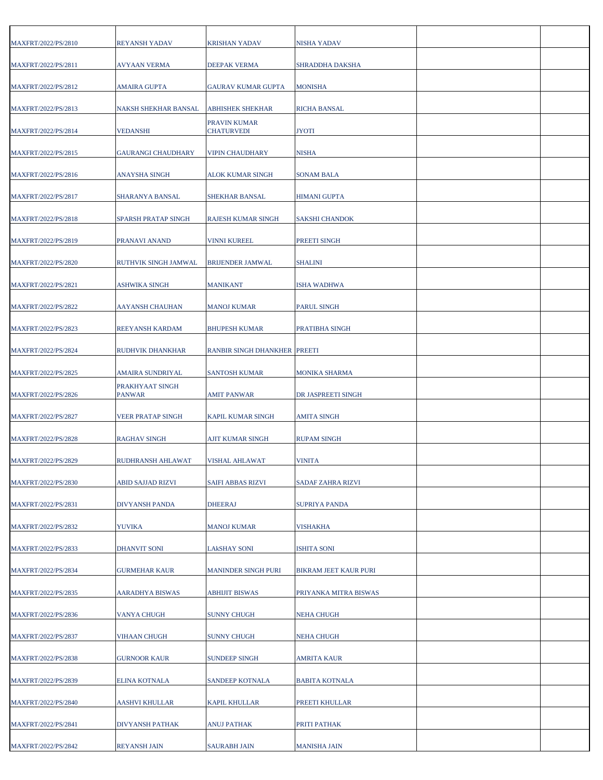| MAXFRT/2022/PS/2810 | <b>REYANSH YADAV</b>             | <b>KRISHAN YADAV</b>              | NISHA YADAV                  |  |
|---------------------|----------------------------------|-----------------------------------|------------------------------|--|
| MAXFRT/2022/PS/2811 | <b>AVYAAN VERMA</b>              | <b>DEEPAK VERMA</b>               | SHRADDHA DAKSHA              |  |
| MAXFRT/2022/PS/2812 | AMAIRA GUPTA                     | GAURAV KUMAR GUPTA                | <b>MONISHA</b>               |  |
| MAXFRT/2022/PS/2813 | NAKSH SHEKHAR BANSAL             | ABHISHEK SHEKHAR                  | <b>RICHA BANSAL</b>          |  |
| MAXFRT/2022/PS/2814 | VEDANSHI                         | PRAVIN KUMAR<br><b>CHATURVEDI</b> | <b>JYOTI</b>                 |  |
| MAXFRT/2022/PS/2815 | <b>GAURANGI CHAUDHARY</b>        | <b>VIPIN CHAUDHARY</b>            | <b>NISHA</b>                 |  |
| MAXFRT/2022/PS/2816 | ANAYSHA SINGH                    | ALOK KUMAR SINGH                  | <b>SONAM BALA</b>            |  |
| MAXFRT/2022/PS/2817 | SHARANYA BANSAL                  | SHEKHAR BANSAL                    | <b>HIMANI GUPTA</b>          |  |
| MAXFRT/2022/PS/2818 | SPARSH PRATAP SINGH              | RAJESH KUMAR SINGH                | <b>SAKSHI CHANDOK</b>        |  |
| MAXFRT/2022/PS/2819 | PRANAVI ANAND                    | <b>VINNI KUREEL</b>               | PREETI SINGH                 |  |
| MAXFRT/2022/PS/2820 | RUTHVIK SINGH JAMWAL             | <b>BRIJENDER JAMWAL</b>           | <b>SHALINI</b>               |  |
| MAXFRT/2022/PS/2821 | <b>ASHWIKA SINGH</b>             | MANIKANT                          | <b>ISHA WADHWA</b>           |  |
| MAXFRT/2022/PS/2822 | AAYANSH CHAUHAN                  | MANOJ KUMAR                       | <b>PARUL SINGH</b>           |  |
| MAXFRT/2022/PS/2823 | REEYANSH KARDAM                  | <b>BHUPESH KUMAR</b>              | PRATIBHA SINGH               |  |
| MAXFRT/2022/PS/2824 | RUDHVIK DHANKHAR                 | RANBIR SINGH DHANKHER PREETI      |                              |  |
| MAXFRT/2022/PS/2825 | AMAIRA SUNDRIYAL                 | <b>SANTOSH KUMAR</b>              | <b>MONIKA SHARMA</b>         |  |
| MAXFRT/2022/PS/2826 | PRAKHYAAT SINGH<br><b>PANWAR</b> | <b>AMIT PANWAR</b>                | DR JASPREETI SINGH           |  |
| MAXFRT/2022/PS/2827 | <b>VEER PRATAP SINGH</b>         | KAPIL KUMAR SINGH                 | <b>AMITA SINGH</b>           |  |
| MAXFRT/2022/PS/2828 | RAGHAV SINGH                     | AJIT KUMAR SINGH                  | <b>RUPAM SINGH</b>           |  |
| MAXFRT/2022/PS/2829 | RUDHRANSH AHLAWAT                | VISHAL AHLAWAT                    | <b>VINITA</b>                |  |
| MAXFRT/2022/PS/2830 | ABID SAJJAD RIZVI                | SAIFI ABBAS RIZVI                 | <b>SADAF ZAHRA RIZVI</b>     |  |
| MAXFRT/2022/PS/2831 | DIVYANSH PANDA                   | <b>DHEERAJ</b>                    | <b>SUPRIYA PANDA</b>         |  |
| MAXFRT/2022/PS/2832 | <b>YUVIKA</b>                    | MANOJ KUMAR                       | <b>VISHAKHA</b>              |  |
| MAXFRT/2022/PS/2833 | DHANVIT SONI                     | LAkSHAY SONI                      | <b>ISHITA SONI</b>           |  |
| MAXFRT/2022/PS/2834 | <b>GURMEHAR KAUR</b>             | <b>MANINDER SINGH PURI</b>        | <b>BIKRAM JEET KAUR PURI</b> |  |
| MAXFRT/2022/PS/2835 | AARADHYA BISWAS                  | <b>ABHIJIT BISWAS</b>             | PRIYANKA MITRA BISWAS        |  |
| MAXFRT/2022/PS/2836 | <b>VANYA CHUGH</b>               | <b>SUNNY CHUGH</b>                | <b>NEHA CHUGH</b>            |  |
| MAXFRT/2022/PS/2837 | <b>VIHAAN CHUGH</b>              | <b>SUNNY CHUGH</b>                | <b>NEHA CHUGH</b>            |  |
| MAXFRT/2022/PS/2838 | <b>GURNOOR KAUR</b>              | SUNDEEP SINGH                     | <b>AMRITA KAUR</b>           |  |
| MAXFRT/2022/PS/2839 | ELINA KOTNALA                    | SANDEEP KOTNALA                   | <b>BABITA KOTNALA</b>        |  |
| MAXFRT/2022/PS/2840 | <b>AASHVI KHULLAR</b>            | <b>KAPIL KHULLAR</b>              | PREETI KHULLAR               |  |
| MAXFRT/2022/PS/2841 | DIVYANSH PATHAK                  | ANUJ PATHAK                       | PRITI PATHAK                 |  |
| MAXFRT/2022/PS/2842 | <b>REYANSH JAIN</b>              | <b>SAURABH JAIN</b>               | <b>MANISHA JAIN</b>          |  |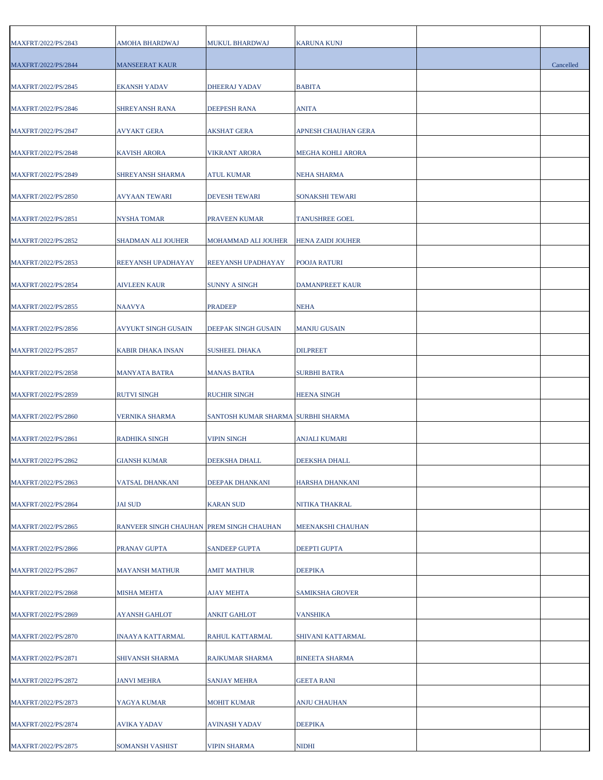| MAXFRT/2022/PS/2843        | AMOHA BHARDWAJ                           | MUKUL BHARDWAJ                     | KARUNA KUNJ              |           |
|----------------------------|------------------------------------------|------------------------------------|--------------------------|-----------|
| MAXFRT/2022/PS/2844        | <b>MANSEERAT KAUR</b>                    |                                    |                          | Cancelled |
| MAXFRT/2022/PS/2845        | <b>EKANSH YADAV</b>                      | DHEERAJ YADAV                      | <b>BABITA</b>            |           |
| <b>MAXFRT/2022/PS/2846</b> | SHREYANSH RANA                           | DEEPESH RANA                       | ANITA                    |           |
| MAXFRT/2022/PS/2847        | <b>AVYAKT GERA</b>                       | AKSHAT GERA                        | APNESH CHAUHAN GERA      |           |
| MAXFRT/2022/PS/2848        | <b>KAVISH ARORA</b>                      | <b>VIKRANT ARORA</b>               | <b>MEGHA KOHLI ARORA</b> |           |
| MAXFRT/2022/PS/2849        | SHREYANSH SHARMA                         | ATUL KUMAR                         | <b>NEHA SHARMA</b>       |           |
| MAXFRT/2022/PS/2850        | <b>AVYAAN TEWARI</b>                     | <b>DEVESH TEWARI</b>               | SONAKSHI TEWARI          |           |
| MAXFRT/2022/PS/2851        | <b>NYSHA TOMAR</b>                       | PRAVEEN KUMAR                      | <b>TANUSHREE GOEL</b>    |           |
| MAXFRT/2022/PS/2852        | SHADMAN ALI JOUHER                       | MOHAMMAD ALI JOUHER                | <b>HENA ZAIDI JOUHER</b> |           |
| MAXFRT/2022/PS/2853        | REEYANSH UPADHAYAY                       | REEYANSH UPADHAYAY                 | <b>POOJA RATURI</b>      |           |
| MAXFRT/2022/PS/2854        | <b>AIVLEEN KAUR</b>                      | <b>SUNNY A SINGH</b>               | <b>DAMANPREET KAUR</b>   |           |
| MAXFRT/2022/PS/2855        | <b>NAAVYA</b>                            | <b>PRADEEP</b>                     | <b>NEHA</b>              |           |
| MAXFRT/2022/PS/2856        | <b>AVYUKT SINGH GUSAIN</b>               | DEEPAK SINGH GUSAIN                | <b>MANJU GUSAIN</b>      |           |
|                            |                                          |                                    |                          |           |
| MAXFRT/2022/PS/2857        | KABIR DHAKA INSAN                        | <b>SUSHEEL DHAKA</b>               | <b>DILPREET</b>          |           |
| MAXFRT/2022/PS/2858        | <b>MANYATA BATRA</b>                     | <b>MANAS BATRA</b>                 | <b>SURBHI BATRA</b>      |           |
| MAXFRT/2022/PS/2859        | <b>RUTVI SINGH</b>                       | <b>RUCHIR SINGH</b>                | <b>HEENA SINGH</b>       |           |
| MAXFRT/2022/PS/2860        | <b>VERNIKA SHARMA</b>                    | SANTOSH KUMAR SHARMA SURBHI SHARMA |                          |           |
| MAXFRT/2022/PS/2861        | RADHIKA SINGH                            | VIPIN SINGH                        | ANJALI KUMARI            |           |
| MAXFRT/2022/PS/2862        | <b>GIANSH KUMAR</b>                      | DEEKSHA DHALL                      | DEEKSHA DHALL            |           |
| MAXFRT/2022/PS/2863        | VATSAL DHANKANI                          | DEEPAK DHANKANI                    | HARSHA DHANKANI          |           |
| MAXFRT/2022/PS/2864        | <b>JAI SUD</b>                           | KARAN SUD                          | NITIKA THAKRAL           |           |
| MAXFRT/2022/PS/2865        | RANVEER SINGH CHAUHAN PREM SINGH CHAUHAN |                                    | MEENAKSHI CHAUHAN        |           |
| MAXFRT/2022/PS/2866        | PRANAV GUPTA                             | <b>SANDEEP GUPTA</b>               | <b>DEEPTI GUPTA</b>      |           |
| MAXFRT/2022/PS/2867        | <b>MAYANSH MATHUR</b>                    | AMIT MATHUR                        | <b>DEEPIKA</b>           |           |
| MAXFRT/2022/PS/2868        | MISHA MEHTA                              | AJAY MEHTA                         | <b>SAMIKSHA GROVER</b>   |           |
| MAXFRT/2022/PS/2869        | <b>AYANSH GAHLOT</b>                     | <b>ANKIT GAHLOT</b>                | <b>VANSHIKA</b>          |           |
| MAXFRT/2022/PS/2870        | INAAYA KATTARMAL                         | RAHUL KATTARMAL                    | SHIVANI KATTARMAL        |           |
| MAXFRT/2022/PS/2871        | SHIVANSH SHARMA                          | RAJKUMAR SHARMA                    | <b>BINEETA SHARMA</b>    |           |
| MAXFRT/2022/PS/2872        | <b>JANVI MEHRA</b>                       | <b>SANJAY MEHRA</b>                | <b>GEETA RANI</b>        |           |
| MAXFRT/2022/PS/2873        | YAGYA KUMAR                              | MOHIT KUMAR                        | ANJU CHAUHAN             |           |
| MAXFRT/2022/PS/2874        | AVIKA YADAV                              | AVINASH YADAV                      | <b>DEEPIKA</b>           |           |
| MAXFRT/2022/PS/2875        | SOMANSH VASHIST                          | <b>VIPIN SHARMA</b>                | <b>NIDHI</b>             |           |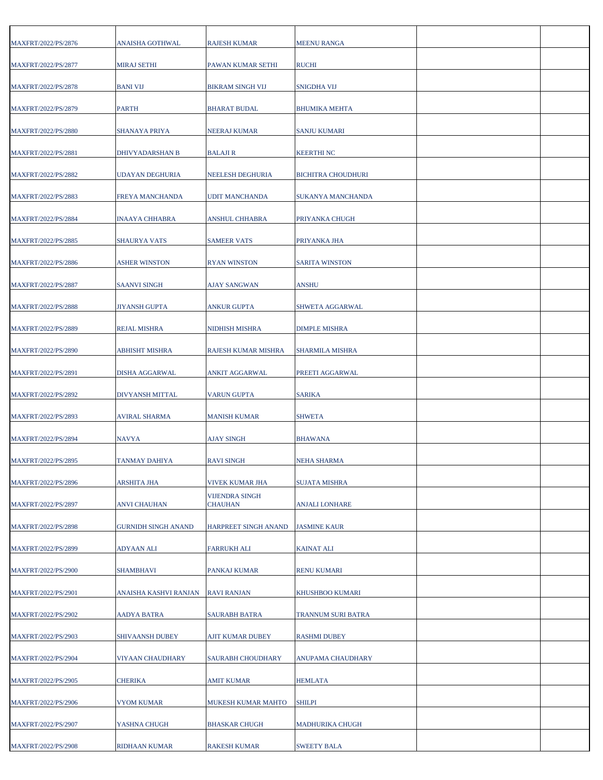| MAXFRT/2022/PS/2876 | ANAISHA GOTHWAL            | <b>RAJESH KUMAR</b>              | <b>MEENU RANGA</b>        |  |
|---------------------|----------------------------|----------------------------------|---------------------------|--|
| MAXFRT/2022/PS/2877 | <b>MIRAJ SETHI</b>         | PAWAN KUMAR SETHI                | <b>RUCHI</b>              |  |
| MAXFRT/2022/PS/2878 | <b>BANI VIJ</b>            | BIKRAM SINGH VIJ                 | <b>SNIGDHA VIJ</b>        |  |
| MAXFRT/2022/PS/2879 | <b>PARTH</b>               | BHARAT BUDAL                     | <b>BHUMIKA MEHTA</b>      |  |
| MAXFRT/2022/PS/2880 | SHANAYA PRIYA              | <b>NEERAJ KUMAR</b>              | <b>SANJU KUMARI</b>       |  |
| MAXFRT/2022/PS/2881 | DHIVYADARSHAN B            | BALAJI R                         | <b>KEERTHINC</b>          |  |
| MAXFRT/2022/PS/2882 | <b>UDAYAN DEGHURIA</b>     | NEELESH DEGHURIA                 | <b>BICHITRA CHOUDHURI</b> |  |
| MAXFRT/2022/PS/2883 | FREYA MANCHANDA            | <b>UDIT MANCHANDA</b>            | SUKANYA MANCHANDA         |  |
| MAXFRT/2022/PS/2884 | <b>INAAYA CHHABRA</b>      | <b>ANSHUL CHHABRA</b>            | PRIYANKA CHUGH            |  |
| MAXFRT/2022/PS/2885 | SHAURYA VATS               | <b>SAMEER VATS</b>               | PRIYANKA JHA              |  |
| MAXFRT/2022/PS/2886 | ASHER WINSTON              | RYAN WINSTON                     | <b>SARITA WINSTON</b>     |  |
| MAXFRT/2022/PS/2887 | <b>SAANVI SINGH</b>        | <b>AJAY SANGWAN</b>              | <b>ANSHU</b>              |  |
| MAXFRT/2022/PS/2888 | <b>JIYANSH GUPTA</b>       | ANKUR GUPTA                      | <b>SHWETA AGGARWAL</b>    |  |
| MAXFRT/2022/PS/2889 | <b>REJAL MISHRA</b>        | NIDHISH MISHRA                   | <b>DIMPLE MISHRA</b>      |  |
| MAXFRT/2022/PS/2890 | ABHISHT MISHRA             | RAJESH KUMAR MISHRA              | SHARMILA MISHRA           |  |
| MAXFRT/2022/PS/2891 | DISHA AGGARWAL             | ANKIT AGGARWAL                   | PREETI AGGARWAL           |  |
| MAXFRT/2022/PS/2892 | DIVYANSH MITTAL            | <b>VARUN GUPTA</b>               | <b>SARIKA</b>             |  |
| MAXFRT/2022/PS/2893 | AVIRAL SHARMA              | MANISH KUMAR                     | <b>SHWETA</b>             |  |
| MAXFRT/2022/PS/2894 | <b>NAVYA</b>               | AJAY SINGH                       | <b>BHAWANA</b>            |  |
| MAXFRT/2022/PS/2895 | TANMAY DAHIYA              | <b>RAVI SINGH</b>                | <b>NEHA SHARMA</b>        |  |
| MAXFRT/2022/PS/2896 | ARSHITA JHA                | VIVEK KUMAR JHA                  | <b>SUJATA MISHRA</b>      |  |
| MAXFRT/2022/PS/2897 | <b>ANVI CHAUHAN</b>        | <b>VIJENDRA SINGH</b><br>CHAUHAN | <b>ANJALI LONHARE</b>     |  |
| MAXFRT/2022/PS/2898 | <b>GURNIDH SINGH ANAND</b> | HARPREET SINGH ANAND             | <b>JASMINE KAUR</b>       |  |
| MAXFRT/2022/PS/2899 | ADYAAN ALI                 | FARRUKH ALI                      | <b>KAINAT ALI</b>         |  |
| MAXFRT/2022/PS/2900 | <b>SHAMBHAVI</b>           | PANKAJ KUMAR                     | <b>RENU KUMARI</b>        |  |
| MAXFRT/2022/PS/2901 | ANAISHA KASHVI RANJAN      | <b>RAVI RANJAN</b>               | KHUSHBOO KUMARI           |  |
| MAXFRT/2022/PS/2902 | <b>AADYA BATRA</b>         | <b>SAURABH BATRA</b>             | TRANNUM SURI BATRA        |  |
| MAXFRT/2022/PS/2903 | SHIVAANSH DUBEY            | AJIT KUMAR DUBEY                 | <b>RASHMI DUBEY</b>       |  |
| MAXFRT/2022/PS/2904 | VIYAAN CHAUDHARY           | SAURABH CHOUDHARY                | ANUPAMA CHAUDHARY         |  |
| MAXFRT/2022/PS/2905 | CHERIKA                    | AMIT KUMAR                       | <b>HEMLATA</b>            |  |
| MAXFRT/2022/PS/2906 | VYOM KUMAR                 | MUKESH KUMAR MAHTO               | <b>SHILPI</b>             |  |
| MAXFRT/2022/PS/2907 | YASHNA CHUGH               | BHASKAR CHUGH                    | <b>MADHURIKA CHUGH</b>    |  |
| MAXFRT/2022/PS/2908 | RIDHAAN KUMAR              | RAKESH KUMAR                     | <b>SWEETY BALA</b>        |  |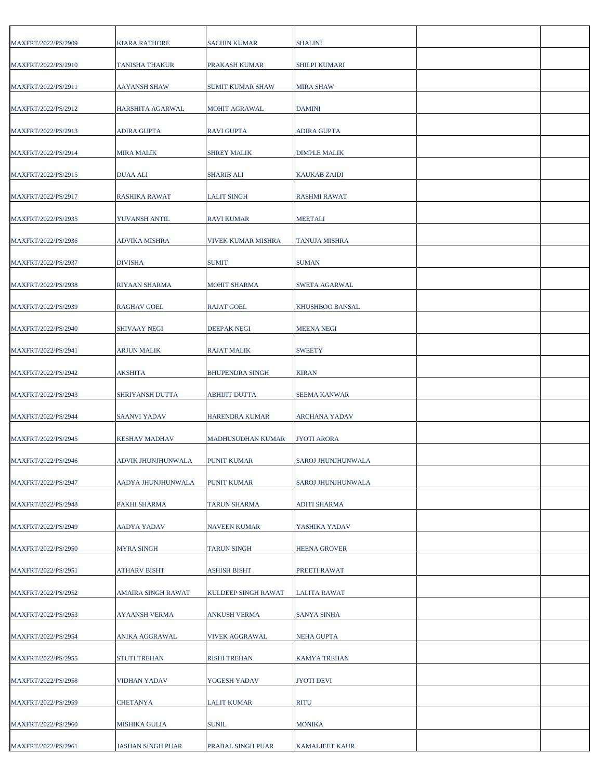| MAXFRT/2022/PS/2909 | <b>KIARA RATHORE</b>     | SACHIN KUMAR           | <b>SHALINI</b>            |  |
|---------------------|--------------------------|------------------------|---------------------------|--|
| MAXFRT/2022/PS/2910 | <b>TANISHA THAKUR</b>    | PRAKASH KUMAR          | <b>SHILPI KUMARI</b>      |  |
| MAXFRT/2022/PS/2911 | <b>AAYANSH SHAW</b>      | SUMIT KUMAR SHAW       | <b>MIRA SHAW</b>          |  |
| MAXFRT/2022/PS/2912 | HARSHITA AGARWAL         | MOHIT AGRAWAL          | <b>DAMINI</b>             |  |
| MAXFRT/2022/PS/2913 | ADIRA GUPTA              | <b>RAVI GUPTA</b>      | <b>ADIRA GUPTA</b>        |  |
| MAXFRT/2022/PS/2914 | <b>MIRA MALIK</b>        | <b>SHREY MALIK</b>     | <b>DIMPLE MALIK</b>       |  |
| MAXFRT/2022/PS/2915 | <b>DUAA ALI</b>          | SHARIB ALI             | <b>KAUKAB ZAIDI</b>       |  |
| MAXFRT/2022/PS/2917 | RASHIKA RAWAT            | LALIT SINGH            | <b>RASHMI RAWAT</b>       |  |
| MAXFRT/2022/PS/2935 | YUVANSH ANTIL            | <b>RAVI KUMAR</b>      | <b>MEETALI</b>            |  |
| MAXFRT/2022/PS/2936 | <b>ADVIKA MISHRA</b>     | VIVEK KUMAR MISHRA     | <b>TANUJA MISHRA</b>      |  |
| MAXFRT/2022/PS/2937 | <b>DIVISHA</b>           | <b>SUMIT</b>           | <b>SUMAN</b>              |  |
| MAXFRT/2022/PS/2938 | RIYAAN SHARMA            | MOHIT SHARMA           | <b>SWETA AGARWAL</b>      |  |
| MAXFRT/2022/PS/2939 | <b>RAGHAV GOEL</b>       | <b>RAJAT GOEL</b>      | <b>KHUSHBOO BANSAL</b>    |  |
| MAXFRT/2022/PS/2940 | <b>SHIVAAY NEGI</b>      | DEEPAK NEGI            | <b>MEENA NEGI</b>         |  |
| MAXFRT/2022/PS/2941 | ARJUN MALIK              | RAJAT MALIK            | <b>SWEETY</b>             |  |
| MAXFRT/2022/PS/2942 | <b>AKSHITA</b>           | <b>BHUPENDRA SINGH</b> | <b>KIRAN</b>              |  |
| MAXFRT/2022/PS/2943 | SHRIYANSH DUTTA          | ABHIJIT DUTTA          | <b>SEEMA KANWAR</b>       |  |
| MAXFRT/2022/PS/2944 | <b>SAANVI YADAV</b>      | HARENDRA KUMAR         | ARCHANA YADAV             |  |
| MAXFRT/2022/PS/2945 | KESHAV MADHAV            | MADHUSUDHAN KUMAR      | <b>JYOTI ARORA</b>        |  |
| MAXFRT/2022/PS/2946 | ADVIK JHUNJHUNWALA       | PUNIT KUMAR            | <b>SAROJ JHUNJHUNWALA</b> |  |
| MAXFRT/2022/PS/2947 | AADYA JHUNJHUNWALA       | PUNIT KUMAR            | SAROJ JHUNJHUNWALA        |  |
| MAXFRT/2022/PS/2948 | PAKHI SHARMA             | <b>TARUN SHARMA</b>    | <b>ADITI SHARMA</b>       |  |
| MAXFRT/2022/PS/2949 | AADYA YADAV              | NAVEEN KUMAR           | YASHIKA YADAV             |  |
| MAXFRT/2022/PS/2950 | <b>MYRA SINGH</b>        | <b>TARUN SINGH</b>     | <b>HEENA GROVER</b>       |  |
| MAXFRT/2022/PS/2951 | ATHARV BISHT             | <b>ASHISH BISHT</b>    | PREETI RAWAT              |  |
| MAXFRT/2022/PS/2952 | AMAIRA SINGH RAWAT       | KULDEEP SINGH RAWAT    | LALITA RAWAT              |  |
| MAXFRT/2022/PS/2953 | <b>AYAANSH VERMA</b>     | <b>ANKUSH VERMA</b>    | <b>SANYA SINHA</b>        |  |
| MAXFRT/2022/PS/2954 | ANIKA AGGRAWAL           | VIVEK AGGRAWAL         | <b>NEHA GUPTA</b>         |  |
| MAXFRT/2022/PS/2955 | <b>STUTI TREHAN</b>      | <b>RISHI TREHAN</b>    | <b>KAMYA TREHAN</b>       |  |
| MAXFRT/2022/PS/2958 | <b>VIDHAN YADAV</b>      | YOGESH YADAV           | <b>JYOTI DEVI</b>         |  |
| MAXFRT/2022/PS/2959 | <b>CHETANYA</b>          | LALIT KUMAR            | <b>RITU</b>               |  |
| MAXFRT/2022/PS/2960 | MISHIKA GULIA            | SUNIL                  | <b>MONIKA</b>             |  |
| MAXFRT/2022/PS/2961 | <b>JASHAN SINGH PUAR</b> | PRABAL SINGH PUAR      | <b>KAMALJEET KAUR</b>     |  |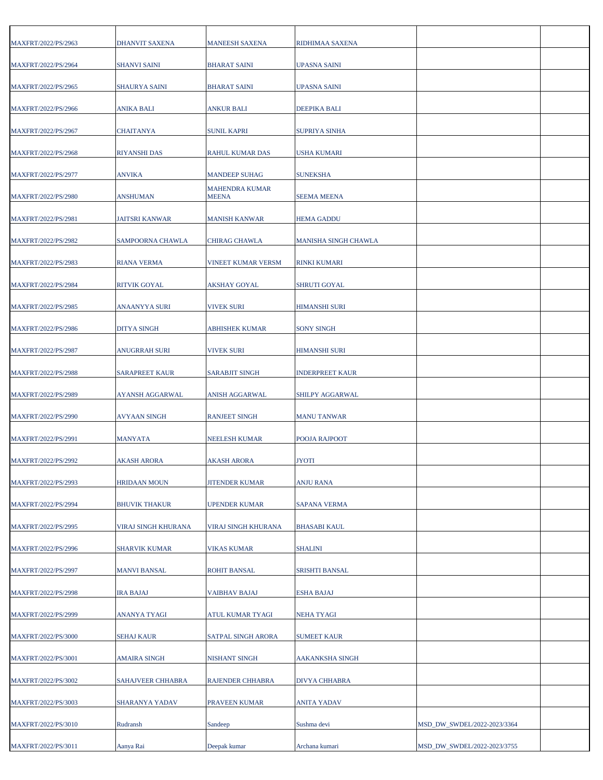| MAXFRT/2022/PS/2963 | DHANVIT SAXENA        | <b>MANEESH SAXENA</b>                 | RIDHIMAA SAXENA        |                             |  |
|---------------------|-----------------------|---------------------------------------|------------------------|-----------------------------|--|
| MAXFRT/2022/PS/2964 | <b>SHANVI SAINI</b>   | <b>BHARAT SAINI</b>                   | <b>UPASNA SAINI</b>    |                             |  |
| MAXFRT/2022/PS/2965 | <b>SHAURYA SAINI</b>  | <b>BHARAT SAINI</b>                   | <b>UPASNA SAINI</b>    |                             |  |
| MAXFRT/2022/PS/2966 | ANIKA BALI            | ANKUR BALI                            | <b>DEEPIKA BALI</b>    |                             |  |
| MAXFRT/2022/PS/2967 | CHAITANYA             | SUNIL KAPRI                           | <b>SUPRIYA SINHA</b>   |                             |  |
| MAXFRT/2022/PS/2968 | <b>RIYANSHI DAS</b>   | RAHUL KUMAR DAS                       | <b>USHA KUMARI</b>     |                             |  |
| MAXFRT/2022/PS/2977 | ANVIKA                | <b>MANDEEP SUHAG</b>                  | <b>SUNEKSHA</b>        |                             |  |
| MAXFRT/2022/PS/2980 | <b>ANSHUMAN</b>       | <b>MAHENDRA KUMAR</b><br><b>MEENA</b> | <b>SEEMA MEENA</b>     |                             |  |
| MAXFRT/2022/PS/2981 | <b>JAITSRI KANWAR</b> | <b>MANISH KANWAR</b>                  | <b>HEMA GADDU</b>      |                             |  |
| MAXFRT/2022/PS/2982 | SAMPOORNA CHAWLA      | CHIRAG CHAWLA                         | MANISHA SINGH CHAWLA   |                             |  |
| MAXFRT/2022/PS/2983 | <b>RIANA VERMA</b>    | VINEET KUMAR VERSM                    | <b>RINKI KUMARI</b>    |                             |  |
| MAXFRT/2022/PS/2984 | <b>RITVIK GOYAL</b>   | AKSHAY GOYAL                          | <b>SHRUTI GOYAL</b>    |                             |  |
| MAXFRT/2022/PS/2985 | ANAANYYA SURI         | <b>VIVEK SURI</b>                     | <b>HIMANSHI SURI</b>   |                             |  |
| MAXFRT/2022/PS/2986 | <b>DITYA SINGH</b>    | ABHISHEK KUMAR                        | <b>SONY SINGH</b>      |                             |  |
| MAXFRT/2022/PS/2987 | <b>ANUGRRAH SURI</b>  | <b>VIVEK SURI</b>                     | <b>HIMANSHI SURI</b>   |                             |  |
| MAXFRT/2022/PS/2988 | <b>SARAPREET KAUR</b> | <b>SARABJIT SINGH</b>                 | <b>INDERPREET KAUR</b> |                             |  |
| MAXFRT/2022/PS/2989 | AYANSH AGGARWAL       | ANISH AGGARWAL                        | SHILPY AGGARWAL        |                             |  |
| MAXFRT/2022/PS/2990 | <b>AVYAAN SINGH</b>   | <b>RANJEET SINGH</b>                  | <b>MANU TANWAR</b>     |                             |  |
| MAXFRT/2022/PS/2991 | <b>MANYATA</b>        | NEELESH KUMAR                         | POOJA RAJPOOT          |                             |  |
|                     |                       |                                       |                        |                             |  |
| MAXFRT/2022/PS/2992 | <b>AKASH ARORA</b>    | <b>AKASH ARORA</b>                    | <b>JYOTI</b>           |                             |  |
| MAXFRT/2022/PS/2993 | <b>HRIDAAN MOUN</b>   | <b>JITENDER KUMAR</b>                 | <b>ANJU RANA</b>       |                             |  |
| MAXFRT/2022/PS/2994 | <b>BHUVIK THAKUR</b>  | UPENDER KUMAR                         | <b>SAPANA VERMA</b>    |                             |  |
| MAXFRT/2022/PS/2995 | VIRAJ SINGH KHURANA   | VIRAJ SINGH KHURANA                   | <b>BHASABI KAUL</b>    |                             |  |
| MAXFRT/2022/PS/2996 | <b>SHARVIK KUMAR</b>  | VIKAS KUMAR                           | <b>SHALINI</b>         |                             |  |
| MAXFRT/2022/PS/2997 | <b>MANVI BANSAL</b>   | <b>ROHIT BANSAL</b>                   | <b>SRISHTI BANSAL</b>  |                             |  |
| MAXFRT/2022/PS/2998 | <b>IRA BAJAJ</b>      | <b>VAIBHAV BAJAJ</b>                  | <b>ESHA BAJAJ</b>      |                             |  |
| MAXFRT/2022/PS/2999 | ANANYA TYAGI          | ATUL KUMAR TYAGI                      | <b>NEHA TYAGI</b>      |                             |  |
| MAXFRT/2022/PS/3000 | <b>SEHAJ KAUR</b>     | SATPAL SINGH ARORA                    | <b>SUMEET KAUR</b>     |                             |  |
| MAXFRT/2022/PS/3001 | AMAIRA SINGH          | NISHANT SINGH                         | AAKANKSHA SINGH        |                             |  |
| MAXFRT/2022/PS/3002 | SAHAJVEER CHHABRA     | RAJENDER CHHABRA                      | DIVYA CHHABRA          |                             |  |
| MAXFRT/2022/PS/3003 | SHARANYA YADAV        | PRAVEEN KUMAR                         | <b>ANITA YADAV</b>     |                             |  |
| MAXFRT/2022/PS/3010 | Rudransh              | Sandeep                               | Sushma devi            | MSD_DW_SWDEL/2022-2023/3364 |  |
| MAXFRT/2022/PS/3011 | Aanya Rai             | Deepak kumar                          | Archana kumari         | MSD_DW_SWDEL/2022-2023/3755 |  |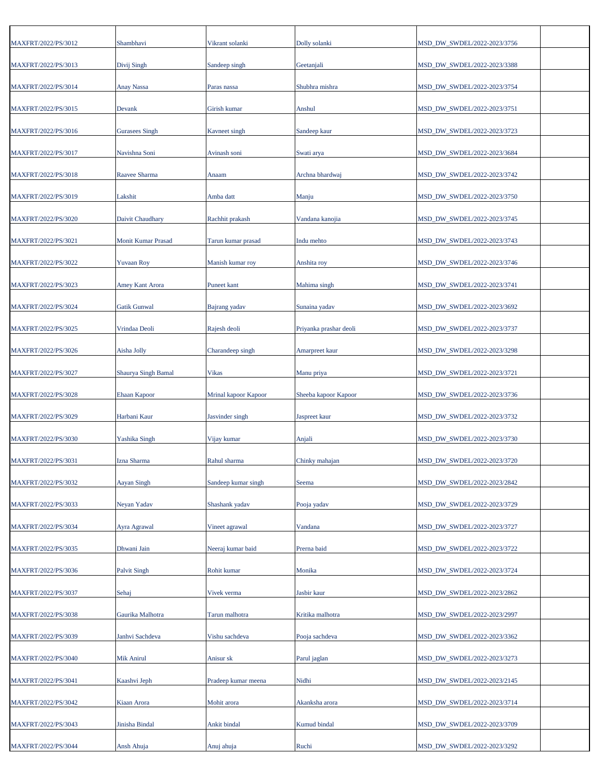| MAXFRT/2022/PS/3012 | Shambhavi                 | Vikrant solanki      | Dolly solanki          | MSD_DW_SWDEL/2022-2023/3756 |
|---------------------|---------------------------|----------------------|------------------------|-----------------------------|
| MAXFRT/2022/PS/3013 | Divij Singh               | Sandeep singh        | Geetanjali             | MSD_DW_SWDEL/2022-2023/3388 |
| MAXFRT/2022/PS/3014 | <b>Anay Nassa</b>         | Paras nassa          | Shubhra mishra         | MSD DW SWDEL/2022-2023/3754 |
| MAXFRT/2022/PS/3015 | Devank                    | Girish kumar         | Anshul                 | MSD_DW_SWDEL/2022-2023/3751 |
| MAXFRT/2022/PS/3016 | <b>Gurasees Singh</b>     | Kavneet singh        | Sandeep kaur           | MSD DW SWDEL/2022-2023/3723 |
| MAXFRT/2022/PS/3017 | Navishna Soni             | Avinash soni         | Swati arya             | MSD_DW_SWDEL/2022-2023/3684 |
| MAXFRT/2022/PS/3018 | Raavee Sharma             | Anaam                | Archna bhardwaj        | MSD_DW_SWDEL/2022-2023/3742 |
| MAXFRT/2022/PS/3019 | Lakshit                   | Amba datt            | Manju                  | MSD_DW_SWDEL/2022-2023/3750 |
| MAXFRT/2022/PS/3020 | Daivit Chaudhary          | Rachhit prakash      | Vandana kanojia        | MSD_DW_SWDEL/2022-2023/3745 |
| MAXFRT/2022/PS/3021 | <b>Monit Kumar Prasad</b> | Tarun kumar prasad   | Indu mehto             | MSD_DW_SWDEL/2022-2023/3743 |
| MAXFRT/2022/PS/3022 | <b>Yuvaan Roy</b>         | Manish kumar roy     | Anshita roy            | MSD_DW_SWDEL/2022-2023/3746 |
| MAXFRT/2022/PS/3023 | <b>Amey Kant Arora</b>    | <b>Puneet</b> kant   | Mahima singh           | MSD_DW_SWDEL/2022-2023/3741 |
| MAXFRT/2022/PS/3024 | <b>Gatik Gunwal</b>       | Bajrang yadav        | Sunaina yadav          | MSD_DW_SWDEL/2022-2023/3692 |
| MAXFRT/2022/PS/3025 | Vrindaa Deoli             | Rajesh deoli         | Priyanka prashar deoli | MSD_DW_SWDEL/2022-2023/3737 |
| MAXFRT/2022/PS/3026 | Aisha Jolly               | Charandeep singh     | Amarpreet kaur         | MSD_DW_SWDEL/2022-2023/3298 |
| MAXFRT/2022/PS/3027 | Shaurya Singh Bamal       | <b>Vikas</b>         | Manu priya             | MSD_DW_SWDEL/2022-2023/3721 |
| MAXFRT/2022/PS/3028 | <b>Ehaan Kapoor</b>       | Mrinal kapoor Kapoor | Sheeba kapoor Kapoor   | MSD_DW_SWDEL/2022-2023/3736 |
| MAXFRT/2022/PS/3029 | Harbani Kaur              | Jasvinder singh      | Jaspreet kaur          | MSD_DW_SWDEL/2022-2023/3732 |
| MAXFRT/2022/PS/3030 | Yashika Singh             | Vijay kumar          | Anjali                 | MSD_DW_SWDEL/2022-2023/3730 |
| MAXFRT/2022/PS/3031 | Izna Sharma               | Rahul sharma         | Chinky mahajan         | MSD_DW_SWDEL/2022-2023/3720 |
| MAXFRT/2022/PS/3032 | Aayan Singh               | Sandeep kumar singh  | Seema                  | MSD_DW_SWDEL/2022-2023/2842 |
| MAXFRT/2022/PS/3033 | Neyan Yadav               | Shashank yadav       | Pooja yadav            | MSD_DW_SWDEL/2022-2023/3729 |
| MAXFRT/2022/PS/3034 | Ayra Agrawal              | Vineet agrawal       | Vandana                | MSD_DW_SWDEL/2022-2023/3727 |
| MAXFRT/2022/PS/3035 | Dhwani Jain               | Neeraj kumar baid    | Prerna baid            | MSD_DW_SWDEL/2022-2023/3722 |
| MAXFRT/2022/PS/3036 | <b>Palvit Singh</b>       | Rohit kumar          | Monika                 | MSD_DW_SWDEL/2022-2023/3724 |
| MAXFRT/2022/PS/3037 | Sehaj                     | Vivek verma          | Jasbir kaur            | MSD_DW_SWDEL/2022-2023/2862 |
| MAXFRT/2022/PS/3038 | Gaurika Malhotra          | Tarun malhotra       | Kritika malhotra       | MSD_DW_SWDEL/2022-2023/2997 |
| MAXFRT/2022/PS/3039 | Janhvi Sachdeva           | Vishu sachdeva       | Pooja sachdeva         | MSD_DW_SWDEL/2022-2023/3362 |
| MAXFRT/2022/PS/3040 | Mik Anirul                | Anisur sk            | Parul jaglan           | MSD_DW_SWDEL/2022-2023/3273 |
| MAXFRT/2022/PS/3041 | Kaashvi Jeph              | Pradeep kumar meena  | Nidhi                  | MSD_DW_SWDEL/2022-2023/2145 |
| MAXFRT/2022/PS/3042 | Kiaan Arora               | Mohit arora          | Akanksha arora         | MSD_DW_SWDEL/2022-2023/3714 |
| MAXFRT/2022/PS/3043 | Jinisha Bindal            | Ankit bindal         | Kumud bindal           | MSD_DW_SWDEL/2022-2023/3709 |
| MAXFRT/2022/PS/3044 | Ansh Ahuja                | Anuj ahuja           | Ruchi                  | MSD_DW_SWDEL/2022-2023/3292 |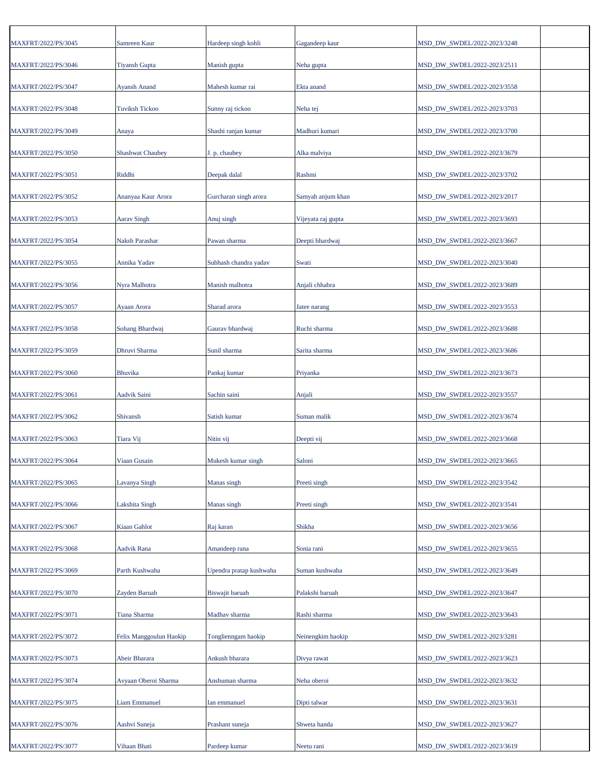| MAXFRT/2022/PS/3045 | Samreen Kaur                  | Hardeep singh kohli     | Gagandeep kaur     | MSD_DW_SWDEL/2022-2023/3248                                |  |
|---------------------|-------------------------------|-------------------------|--------------------|------------------------------------------------------------|--|
| MAXFRT/2022/PS/3046 | <b>Tiyansh Gupta</b>          | Manish gupta            | Neha gupta         | MSD_DW_SWDEL/2022-2023/2511                                |  |
| MAXFRT/2022/PS/3047 | <b>Ayansh Anand</b>           | Mahesh kumar rai        | Ekta anand         | MSD_DW_SWDEL/2022-2023/3558                                |  |
| MAXFRT/2022/PS/3048 | <b>Tuviksh Tickoo</b>         | Sunny raj tickoo        | Neha tej           | MSD_DW_SWDEL/2022-2023/3703                                |  |
| MAXFRT/2022/PS/3049 | Anaya                         | Shashi ranjan kumar     | Madhuri kumari     | MSD_DW_SWDEL/2022-2023/3700                                |  |
| MAXFRT/2022/PS/3050 | <b>Shashwat Chaubey</b>       | J. p. chaubey           | Alka malviya       | MSD DW SWDEL/2022-2023/3679                                |  |
| MAXFRT/2022/PS/3051 | Riddhi                        | Deepak dalal            | Rashmi             | MSD_DW_SWDEL/2022-2023/3702                                |  |
| MAXFRT/2022/PS/3052 | Ananyaa Kaur Arora            | Gurcharan singh arora   | Samyah anjum khan  | MSD_DW_SWDEL/2022-2023/2017                                |  |
| MAXFRT/2022/PS/3053 | Aarav Singh                   | Anuj singh              | Vijeyata raj gupta | MSD_DW_SWDEL/2022-2023/3693                                |  |
| MAXFRT/2022/PS/3054 | Naksh Parashar                | Pawan sharma            | Deepti bhardwaj    | MSD_DW_SWDEL/2022-2023/3667                                |  |
| MAXFRT/2022/PS/3055 | Annika Yadav                  | Subhash chandra yadav   | Swati              | MSD_DW_SWDEL/2022-2023/3040                                |  |
| MAXFRT/2022/PS/3056 | Nyra Malhotra                 | Manish malhotra         | Anjali chhabra     | MSD_DW_SWDEL/2022-2023/3689                                |  |
| MAXFRT/2022/PS/3057 | Ayaan Arora                   | Sharad arora            | Jatee narang       | MSD DW SWDEL/2022-2023/3553                                |  |
| MAXFRT/2022/PS/3058 | Sohang Bhardwaj               | Gaurav bhardwaj         | Ruchi sharma       | MSD_DW_SWDEL/2022-2023/3688                                |  |
| MAXFRT/2022/PS/3059 | Dhruvi Sharma                 | Sunil sharma            | Sarita sharma      | MSD_DW_SWDEL/2022-2023/3686                                |  |
| MAXFRT/2022/PS/3060 | <b>Bhuvika</b>                | Pankaj kumar            | Priyanka           | MSD_DW_SWDEL/2022-2023/3673                                |  |
| MAXFRT/2022/PS/3061 | Aadvik Saini                  | Sachin saini            | Anjali             | MSD_DW_SWDEL/2022-2023/3557                                |  |
| MAXFRT/2022/PS/3062 | Shivansh                      | Satish kumar            | Suman malik        | MSD_DW_SWDEL/2022-2023/3674                                |  |
| MAXFRT/2022/PS/3063 | Tiara Vij                     | Nitin vij               | Deepti vij         | MSD_DW_SWDEL/2022-2023/3668                                |  |
| MAXFRT/2022/PS/3064 | Viaan Gusain                  | Mukesh kumar singh      | Saloni             | MSD_DW_SWDEL/2022-2023/3665                                |  |
| MAXFRT/2022/PS/3065 | Lavanya Singh                 | Manas singh             | Preeti singh       | MSD_DW_SWDEL/2022-2023/3542                                |  |
| MAXFRT/2022/PS/3066 | Lakshita Singh                | Manas singh             | Preeti singh       | MSD_DW_SWDEL/2022-2023/3541                                |  |
| MAXFRT/2022/PS/3067 | <b>Kiaan Gahlot</b>           | Raj karan               | Shikha             | MSD DW SWDEL/2022-2023/3656                                |  |
| MAXFRT/2022/PS/3068 | Aadvik Rana                   | Amandeep rana           | Sonia rani         | MSD_DW_SWDEL/2022-2023/3655                                |  |
| MAXFRT/2022/PS/3069 | Parth Kushwaha                | Upendra pratap kushwaha | Suman kushwaha     | MSD DW SWDEL/2022-2023/3649                                |  |
| MAXFRT/2022/PS/3070 | Zayden Baruah                 | Biswajit baruah         | Palakshi baruah    | MSD_DW_SWDEL/2022-2023/3647                                |  |
| MAXFRT/2022/PS/3071 | Tiana Sharma                  | Madhav sharma           | Rashi sharma       | MSD_DW_SWDEL/2022-2023/3643                                |  |
| MAXFRT/2022/PS/3072 | Felix Manggoulun Haokip       | Tonglienngam haokip     | Neinengkim haokip  | MSD_DW_SWDEL/2022-2023/3281                                |  |
| MAXFRT/2022/PS/3073 | Abeir Bharara                 | Ankush bharara          | Divya rawat        | MSD_DW_SWDEL/2022-2023/3623                                |  |
| MAXFRT/2022/PS/3074 | Avyaan Oberoi Sharma          | Anshuman sharma         | Neha oberoi        | MSD_DW_SWDEL/2022-2023/3632                                |  |
| MAXFRT/2022/PS/3075 | <b>Liam Emmanuel</b>          | Ian emmanuel            | Dipti talwar       | MSD_DW_SWDEL/2022-2023/3631                                |  |
|                     |                               |                         |                    |                                                            |  |
| MAXFRT/2022/PS/3076 | Aashvi Suneja<br>Vihaan Bhati | Prashant suneja         | Shweta handa       | MSD_DW_SWDEL/2022-2023/3627<br>MSD_DW_SWDEL/2022-2023/3619 |  |
| MAXFRT/2022/PS/3077 |                               | Pardeep kumar           | Neetu rani         |                                                            |  |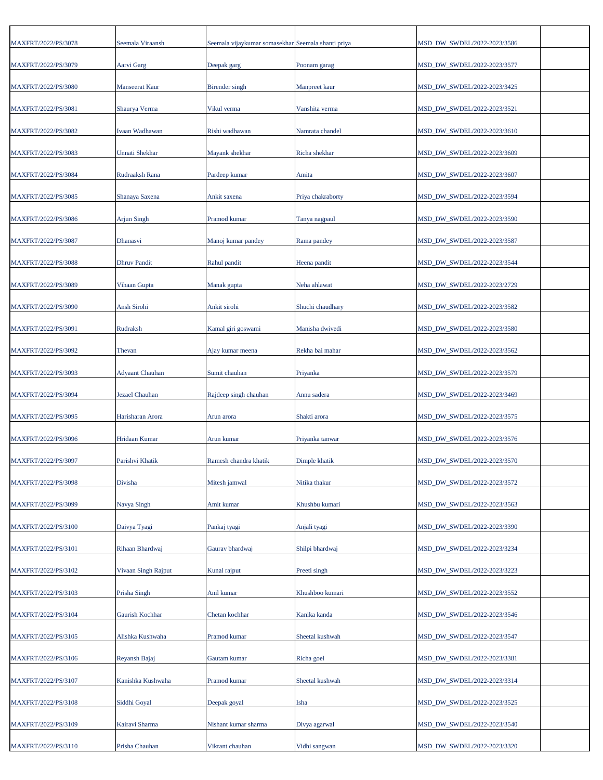| MAXFRT/2022/PS/3078 | Seemala Viraansh       | Seemala vijaykumar somasekhar Seemala shanti priya |                   | MSD_DW_SWDEL/2022-2023/3586 |
|---------------------|------------------------|----------------------------------------------------|-------------------|-----------------------------|
| MAXFRT/2022/PS/3079 | Aarvi Garg             | Deepak garg                                        | Poonam garag      | MSD_DW_SWDEL/2022-2023/3577 |
| MAXFRT/2022/PS/3080 | Manseerat Kaur         | Birender singh                                     | Manpreet kaur     | MSD_DW_SWDEL/2022-2023/3425 |
| MAXFRT/2022/PS/3081 | Shaurya Verma          | Vikul verma                                        | Vanshita verma    | MSD_DW_SWDEL/2022-2023/3521 |
| MAXFRT/2022/PS/3082 | Ivaan Wadhawan         | Rishi wadhawan                                     | Namrata chandel   | MSD_DW_SWDEL/2022-2023/3610 |
| MAXFRT/2022/PS/3083 | Unnati Shekhar         | Mayank shekhar                                     | Richa shekhar     | MSD_DW_SWDEL/2022-2023/3609 |
| MAXFRT/2022/PS/3084 | Rudraaksh Rana         | Pardeep kumar                                      | Amita             | MSD_DW_SWDEL/2022-2023/3607 |
| MAXFRT/2022/PS/3085 | Shanaya Saxena         | Ankit saxena                                       | Priya chakraborty | MSD_DW_SWDEL/2022-2023/3594 |
| MAXFRT/2022/PS/3086 | <b>Arjun Singh</b>     | Pramod kumar                                       | Tanya nagpaul     | MSD_DW_SWDEL/2022-2023/3590 |
| MAXFRT/2022/PS/3087 | Dhanasvi               | Manoj kumar pandey                                 | Rama pandey       | MSD_DW_SWDEL/2022-2023/3587 |
| MAXFRT/2022/PS/3088 | <b>Dhruv Pandit</b>    | Rahul pandit                                       | Heena pandit      | MSD_DW_SWDEL/2022-2023/3544 |
| MAXFRT/2022/PS/3089 | Vihaan Gupta           | Manak gupta                                        | Neha ahlawat      | MSD_DW_SWDEL/2022-2023/2729 |
| MAXFRT/2022/PS/3090 | <b>Ansh Sirohi</b>     | Ankit sirohi                                       | Shuchi chaudhary  | MSD_DW_SWDEL/2022-2023/3582 |
| MAXFRT/2022/PS/3091 | Rudraksh               | Kamal giri goswami                                 | Manisha dwivedi   | MSD_DW_SWDEL/2022-2023/3580 |
| MAXFRT/2022/PS/3092 | Thevan                 | Ajay kumar meena                                   | Rekha bai mahar   | MSD_DW_SWDEL/2022-2023/3562 |
| MAXFRT/2022/PS/3093 | <b>Adyaant Chauhan</b> | Sumit chauhan                                      | Priyanka          | MSD_DW_SWDEL/2022-2023/3579 |
| MAXFRT/2022/PS/3094 | Jezael Chauhan         | Rajdeep singh chauhan                              | Annu sadera       | MSD_DW_SWDEL/2022-2023/3469 |
| MAXFRT/2022/PS/3095 | Harisharan Arora       | Arun arora                                         | Shakti arora      | MSD_DW_SWDEL/2022-2023/3575 |
| MAXFRT/2022/PS/3096 | Hridaan Kumar          | Arun kumar                                         | Priyanka tanwar   | MSD_DW_SWDEL/2022-2023/3576 |
| MAXFRT/2022/PS/3097 | Parishvi Khatik        | Ramesh chandra khatik                              | Dimple khatik     | MSD DW SWDEL/2022-2023/3570 |
| MAXFRT/2022/PS/3098 | Divisha                | Mitesh jamwal                                      | Nitika thakur     | MSD_DW_SWDEL/2022-2023/3572 |
| MAXFRT/2022/PS/3099 | Navya Singh            | Amit kumar                                         | Khushbu kumari    | MSD DW SWDEL/2022-2023/3563 |
| MAXFRT/2022/PS/3100 | Daivya Tyagi           | Pankaj tyagi                                       | Anjali tyagi      | MSD DW SWDEL/2022-2023/3390 |
| MAXFRT/2022/PS/3101 | Rihaan Bhardwaj        | Gaurav bhardwaj                                    | Shilpi bhardwaj   | MSD_DW_SWDEL/2022-2023/3234 |
| MAXFRT/2022/PS/3102 | Vivaan Singh Rajput    | Kunal rajput                                       | Preeti singh      | MSD DW SWDEL/2022-2023/3223 |
| MAXFRT/2022/PS/3103 | Prisha Singh           | Anil kumar                                         | Khushboo kumari   | MSD_DW_SWDEL/2022-2023/3552 |
| MAXFRT/2022/PS/3104 | Gaurish Kochhar        | Chetan kochhar                                     | Kanika kanda      | MSD_DW_SWDEL/2022-2023/3546 |
| MAXFRT/2022/PS/3105 | Alishka Kushwaha       | Pramod kumar                                       | Sheetal kushwah   | MSD_DW_SWDEL/2022-2023/3547 |
| MAXFRT/2022/PS/3106 | Reyansh Bajaj          | Gautam kumar                                       | Richa goel        | MSD_DW_SWDEL/2022-2023/3381 |
| MAXFRT/2022/PS/3107 | Kanishka Kushwaha      | Pramod kumar                                       | Sheetal kushwah   | MSD_DW_SWDEL/2022-2023/3314 |
| MAXFRT/2022/PS/3108 | Siddhi Goyal           | Deepak goyal                                       | Isha              | MSD_DW_SWDEL/2022-2023/3525 |
| MAXFRT/2022/PS/3109 | Kairavi Sharma         | Nishant kumar sharma                               | Divya agarwal     | MSD_DW_SWDEL/2022-2023/3540 |
| MAXFRT/2022/PS/3110 | Prisha Chauhan         | Vikrant chauhan                                    | Vidhi sangwan     | MSD_DW_SWDEL/2022-2023/3320 |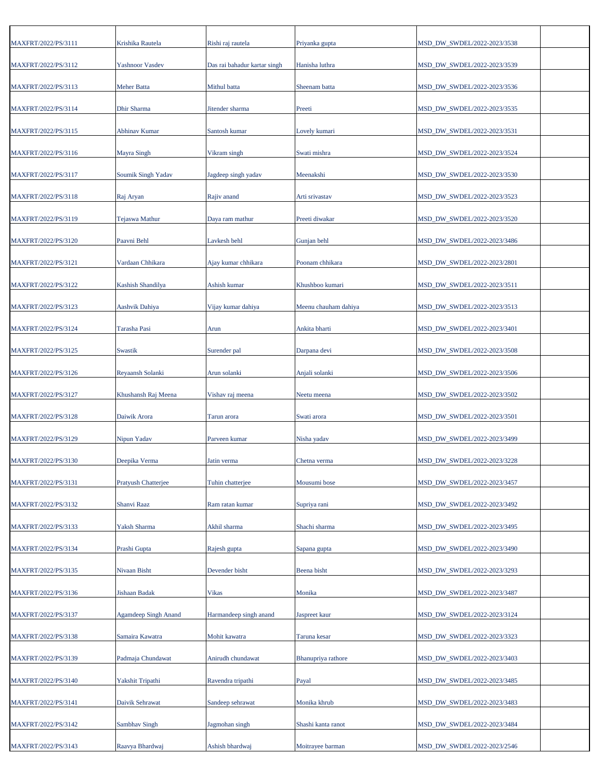| MAXFRT/2022/PS/3111 | Krishika Rautela            | Rishi raj rautela            | Priyanka gupta       | MSD_DW_SWDEL/2022-2023/3538 |  |
|---------------------|-----------------------------|------------------------------|----------------------|-----------------------------|--|
| MAXFRT/2022/PS/3112 | <b>Yashnoor Vasdev</b>      | Das rai bahadur kartar singh | Hanisha luthra       | MSD_DW_SWDEL/2022-2023/3539 |  |
| MAXFRT/2022/PS/3113 | <b>Meher Batta</b>          | Mithul batta                 | Sheenam batta        | MSD_DW_SWDEL/2022-2023/3536 |  |
| MAXFRT/2022/PS/3114 | Dhir Sharma                 | Jitender sharma              | Preeti               | MSD_DW_SWDEL/2022-2023/3535 |  |
| MAXFRT/2022/PS/3115 | Abhinav Kumar               | Santosh kumar                | Lovely kumari        | MSD_DW_SWDEL/2022-2023/3531 |  |
| MAXFRT/2022/PS/3116 | Mayra Singh                 | Vikram singh                 | Swati mishra         | MSD_DW_SWDEL/2022-2023/3524 |  |
| MAXFRT/2022/PS/3117 | Soumik Singh Yadav          | Jagdeep singh yadav          | Meenakshi            | MSD_DW_SWDEL/2022-2023/3530 |  |
| MAXFRT/2022/PS/3118 | Raj Aryan                   | Rajiv anand                  | Arti srivastav       | MSD_DW_SWDEL/2022-2023/3523 |  |
| MAXFRT/2022/PS/3119 | <b>Tejaswa Mathur</b>       | Daya ram mathur              | Preeti diwakar       | MSD_DW_SWDEL/2022-2023/3520 |  |
| MAXFRT/2022/PS/3120 | Paavni Behl                 | Lavkesh behl                 | Gunjan behl          | MSD_DW_SWDEL/2022-2023/3486 |  |
| MAXFRT/2022/PS/3121 | Vardaan Chhikara            | Ajay kumar chhikara          | Poonam chhikara      | MSD_DW_SWDEL/2022-2023/2801 |  |
| MAXFRT/2022/PS/3122 | Kashish Shandilya           | Ashish kumar                 | Khushboo kumari      | MSD_DW_SWDEL/2022-2023/3511 |  |
| MAXFRT/2022/PS/3123 | Aashvik Dahiya              | Vijay kumar dahiya           | Meenu chauham dahiya | MSD_DW_SWDEL/2022-2023/3513 |  |
| MAXFRT/2022/PS/3124 | Tarasha Pasi                | Arun                         | Ankita bharti        | MSD_DW_SWDEL/2022-2023/3401 |  |
| MAXFRT/2022/PS/3125 | Swastik                     | Surender pal                 | Darpana devi         | MSD_DW_SWDEL/2022-2023/3508 |  |
| MAXFRT/2022/PS/3126 | Reyaansh Solanki            | Arun solanki                 | Anjali solanki       | MSD_DW_SWDEL/2022-2023/3506 |  |
| MAXFRT/2022/PS/3127 | Khushansh Raj Meena         | Vishav raj meena             | Neetu meena          | MSD_DW_SWDEL/2022-2023/3502 |  |
| MAXFRT/2022/PS/3128 | Daiwik Arora                | Tarun arora                  | Swati arora          | MSD_DW_SWDEL/2022-2023/3501 |  |
| MAXFRT/2022/PS/3129 | Nipun Yadav                 | Parveen kumar                | Nisha yadav          | MSD_DW_SWDEL/2022-2023/3499 |  |
| MAXFRT/2022/PS/3130 | Deepika Verma               | Jatin verma                  | Chetna verma         | MSD_DW_SWDEL/2022-2023/3228 |  |
| MAXFRT/2022/PS/3131 | Pratyush Chatterjee         | Tuhin chatterjee             | Mousumi bose         | MSD DW SWDEL/2022-2023/3457 |  |
| MAXFRT/2022/PS/3132 | Shanvi Raaz                 | Ram ratan kumar              | Supriya rani         | MSD_DW_SWDEL/2022-2023/3492 |  |
| MAXFRT/2022/PS/3133 | Yaksh Sharma                | Akhil sharma                 | Shachi sharma        | MSD_DW_SWDEL/2022-2023/3495 |  |
| MAXFRT/2022/PS/3134 | Prashi Gupta                | Rajesh gupta                 | Sapana gupta         | MSD_DW_SWDEL/2022-2023/3490 |  |
| MAXFRT/2022/PS/3135 | Nivaan Bisht                | Devender bisht               | Beena bisht          | MSD_DW_SWDEL/2022-2023/3293 |  |
| MAXFRT/2022/PS/3136 | Jishaan Badak               | Vikas                        | Monika               | MSD_DW_SWDEL/2022-2023/3487 |  |
| MAXFRT/2022/PS/3137 | <b>Agamdeep Singh Anand</b> | Harmandeep singh anand       | Jaspreet kaur        | MSD_DW_SWDEL/2022-2023/3124 |  |
| MAXFRT/2022/PS/3138 | Samaira Kawatra             | Mohit kawatra                | Taruna kesar         | MSD_DW_SWDEL/2022-2023/3323 |  |
| MAXFRT/2022/PS/3139 | Padmaja Chundawat           | Anirudh chundawat            | Bhanupriya rathore   | MSD_DW_SWDEL/2022-2023/3403 |  |
| MAXFRT/2022/PS/3140 | Yakshit Tripathi            | Ravendra tripathi            | Payal                | MSD_DW_SWDEL/2022-2023/3485 |  |
| MAXFRT/2022/PS/3141 | Daivik Sehrawat             | Sandeep sehrawat             | Monika khrub         | MSD_DW_SWDEL/2022-2023/3483 |  |
| MAXFRT/2022/PS/3142 | Sambhav Singh               | Jagmohan singh               | Shashi kanta ranot   | MSD_DW_SWDEL/2022-2023/3484 |  |
| MAXFRT/2022/PS/3143 | Raavya Bhardwaj             | Ashish bhardwaj              | Moitrayee barman     | MSD_DW_SWDEL/2022-2023/2546 |  |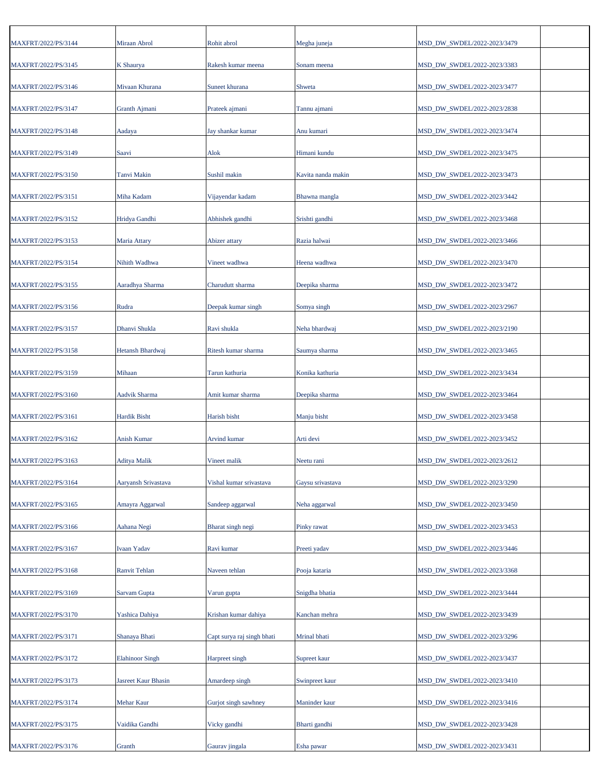| MAXFRT/2022/PS/3144 | Miraan Abrol           | Rohit abrol                | Megha juneja       | MSD_DW_SWDEL/2022-2023/3479 |  |
|---------------------|------------------------|----------------------------|--------------------|-----------------------------|--|
| MAXFRT/2022/PS/3145 | K Shaurya              | Rakesh kumar meena         | Sonam meena        | MSD_DW_SWDEL/2022-2023/3383 |  |
| MAXFRT/2022/PS/3146 | Mivaan Khurana         | Suneet khurana             | Shweta             | MSD_DW_SWDEL/2022-2023/3477 |  |
| MAXFRT/2022/PS/3147 | Granth Ajmani          | Prateek ajmani             | Tannu ajmani       | MSD_DW_SWDEL/2022-2023/2838 |  |
| MAXFRT/2022/PS/3148 | Aadaya                 | Jay shankar kumar          | Anu kumari         | MSD_DW_SWDEL/2022-2023/3474 |  |
| MAXFRT/2022/PS/3149 | Saavi                  | Alok                       | Himani kundu       | MSD DW SWDEL/2022-2023/3475 |  |
| MAXFRT/2022/PS/3150 | Tanvi Makin            | Sushil makin               | Kavita nanda makin | MSD_DW_SWDEL/2022-2023/3473 |  |
| MAXFRT/2022/PS/3151 | Miha Kadam             | Vijayendar kadam           | Bhawna mangla      | MSD_DW_SWDEL/2022-2023/3442 |  |
| MAXFRT/2022/PS/3152 | Hridya Gandhi          | Abhishek gandhi            | Srishti gandhi     | MSD_DW_SWDEL/2022-2023/3468 |  |
| MAXFRT/2022/PS/3153 | Maria Attary           | Abizer attary              | Razia halwai       | MSD_DW_SWDEL/2022-2023/3466 |  |
| MAXFRT/2022/PS/3154 | Nihith Wadhwa          | Vineet wadhwa              | Heena wadhwa       | MSD_DW_SWDEL/2022-2023/3470 |  |
| MAXFRT/2022/PS/3155 | Aaradhya Sharma        | Charudutt sharma           | Deepika sharma     | MSD_DW_SWDEL/2022-2023/3472 |  |
| MAXFRT/2022/PS/3156 | Rudra                  | Deepak kumar singh         | Somya singh        | MSD_DW_SWDEL/2022-2023/2967 |  |
| MAXFRT/2022/PS/3157 | Dhanvi Shukla          | Ravi shukla                | Neha bhardwaj      | MSD_DW_SWDEL/2022-2023/2190 |  |
| MAXFRT/2022/PS/3158 | Hetansh Bhardwaj       | Ritesh kumar sharma        | Saumya sharma      | MSD_DW_SWDEL/2022-2023/3465 |  |
| MAXFRT/2022/PS/3159 | Mihaan                 | Tarun kathuria             | Konika kathuria    | MSD_DW_SWDEL/2022-2023/3434 |  |
| MAXFRT/2022/PS/3160 | Aadvik Sharma          | Amit kumar sharma          | Deepika sharma     | MSD_DW_SWDEL/2022-2023/3464 |  |
| MAXFRT/2022/PS/3161 | <b>Hardik Bisht</b>    | Harish bisht               | Manju bisht        | MSD_DW_SWDEL/2022-2023/3458 |  |
| MAXFRT/2022/PS/3162 | Anish Kumar            | Arvind kumar               | Arti devi          | MSD_DW_SWDEL/2022-2023/3452 |  |
| MAXFRT/2022/PS/3163 | <b>Aditya Malik</b>    | Vineet malik               | Neetu rani         | MSD_DW_SWDEL/2022-2023/2612 |  |
| MAXFRT/2022/PS/3164 | Aaryansh Srivastava    | Vishal kumar srivastava    | Gavsu srivastava   | MSD DW SWDEL/2022-2023/3290 |  |
| MAXFRT/2022/PS/3165 | Amayra Aggarwal        | Sandeep aggarwal           | Neha aggarwal      | MSD_DW_SWDEL/2022-2023/3450 |  |
| MAXFRT/2022/PS/3166 | Aahana Negi            | Bharat singh negi          | Pinky rawat        | MSD_DW_SWDEL/2022-2023/3453 |  |
| MAXFRT/2022/PS/3167 | Ivaan Yadav            | Ravi kumar                 | Preeti yadav       | MSD_DW_SWDEL/2022-2023/3446 |  |
| MAXFRT/2022/PS/3168 | Ranvit Tehlan          | Naveen tehlan              | Pooja kataria      | MSD DW SWDEL/2022-2023/3368 |  |
| MAXFRT/2022/PS/3169 | Sarvam Gupta           | Varun gupta                | Snigdha bhatia     | MSD_DW_SWDEL/2022-2023/3444 |  |
| MAXFRT/2022/PS/3170 | Yashica Dahiya         | Krishan kumar dahiya       | Kanchan mehra      | MSD_DW_SWDEL/2022-2023/3439 |  |
| MAXFRT/2022/PS/3171 | Shanaya Bhati          | Capt surya raj singh bhati | Mrinal bhati       | MSD_DW_SWDEL/2022-2023/3296 |  |
| MAXFRT/2022/PS/3172 | <b>Elahinoor Singh</b> | Harpreet singh             | Supreet kaur       | MSD_DW_SWDEL/2022-2023/3437 |  |
| MAXFRT/2022/PS/3173 | Jasreet Kaur Bhasin    | Amardeep singh             | Swinpreet kaur     | MSD_DW_SWDEL/2022-2023/3410 |  |
| MAXFRT/2022/PS/3174 | Mehar Kaur             | Gurjot singh sawhney       | Maninder kaur      | MSD_DW_SWDEL/2022-2023/3416 |  |
| MAXFRT/2022/PS/3175 | Vaidika Gandhi         | Vicky gandhi               | Bharti gandhi      | MSD_DW_SWDEL/2022-2023/3428 |  |
| MAXFRT/2022/PS/3176 | Granth                 | Gaurav jingala             | Esha pawar         | MSD_DW_SWDEL/2022-2023/3431 |  |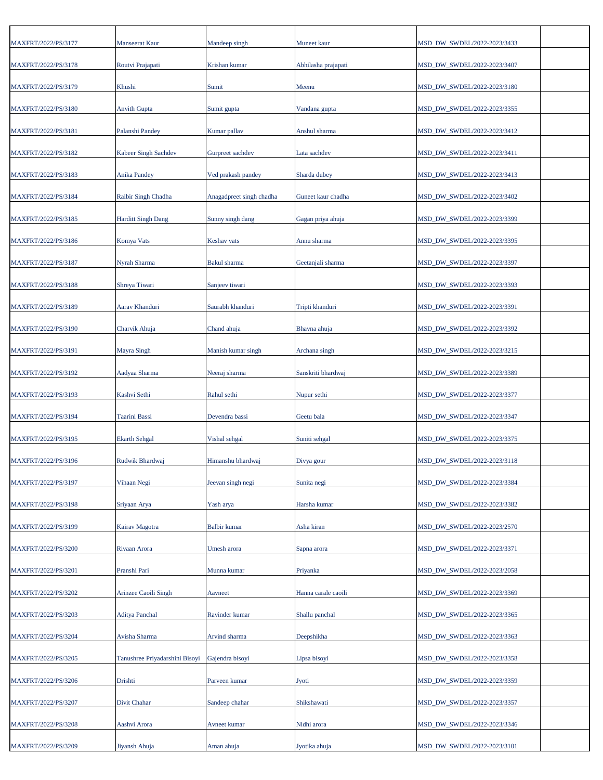| MAXFRT/2022/PS/3177 | <b>Manseerat Kaur</b>          | Mandeep singh            | Muneet kaur         | MSD_DW_SWDEL/2022-2023/3433 |  |
|---------------------|--------------------------------|--------------------------|---------------------|-----------------------------|--|
| MAXFRT/2022/PS/3178 | Routvi Prajapati               | Krishan kumar            | Abhilasha prajapati | MSD_DW_SWDEL/2022-2023/3407 |  |
| MAXFRT/2022/PS/3179 | Khushi                         | Sumit                    | Meenu               | MSD_DW_SWDEL/2022-2023/3180 |  |
| MAXFRT/2022/PS/3180 | <b>Anvith Gupta</b>            | Sumit gupta              | Vandana gupta       | MSD_DW_SWDEL/2022-2023/3355 |  |
| MAXFRT/2022/PS/3181 | Palanshi Pandey                | Kumar pallav             | Anshul sharma       | MSD_DW_SWDEL/2022-2023/3412 |  |
| MAXFRT/2022/PS/3182 | Kabeer Singh Sachdev           | Gurpreet sachdev         | Lata sachdev        | MSD DW SWDEL/2022-2023/3411 |  |
| MAXFRT/2022/PS/3183 | <b>Anika Pandey</b>            | Ved prakash pandey       | Sharda dubey        | MSD_DW_SWDEL/2022-2023/3413 |  |
| MAXFRT/2022/PS/3184 | Raibir Singh Chadha            | Anagadpreet singh chadha | Guneet kaur chadha  | MSD_DW_SWDEL/2022-2023/3402 |  |
|                     |                                |                          |                     |                             |  |
| MAXFRT/2022/PS/3185 | <b>Harditt Singh Dang</b>      | Sunny singh dang         | Gagan priya ahuja   | MSD DW SWDEL/2022-2023/3399 |  |
| MAXFRT/2022/PS/3186 | Komya Vats                     | Keshav vats              | Annu sharma         | MSD_DW_SWDEL/2022-2023/3395 |  |
| MAXFRT/2022/PS/3187 | Nyrah Sharma                   | Bakul sharma             | Geetanjali sharma   | MSD_DW_SWDEL/2022-2023/3397 |  |
| MAXFRT/2022/PS/3188 | Shreya Tiwari                  | Sanjeev tiwari           |                     | MSD_DW_SWDEL/2022-2023/3393 |  |
| MAXFRT/2022/PS/3189 | Aarav Khanduri                 | Saurabh khanduri         | Tripti khanduri     | MSD_DW_SWDEL/2022-2023/3391 |  |
| MAXFRT/2022/PS/3190 | Charvik Ahuja                  | Chand ahuja              | Bhavna ahuja        | MSD_DW_SWDEL/2022-2023/3392 |  |
| MAXFRT/2022/PS/3191 | Mayra Singh                    | Manish kumar singh       | Archana singh       | MSD_DW_SWDEL/2022-2023/3215 |  |
| MAXFRT/2022/PS/3192 | Aadyaa Sharma                  | Neeraj sharma            | Sanskriti bhardwaj  | MSD_DW_SWDEL/2022-2023/3389 |  |
| MAXFRT/2022/PS/3193 | Kashvi Sethi                   | Rahul sethi              | Nupur sethi         | MSD_DW_SWDEL/2022-2023/3377 |  |
| MAXFRT/2022/PS/3194 | Taarini Bassi                  | Devendra bassi           | Geetu bala          | MSD_DW_SWDEL/2022-2023/3347 |  |
| MAXFRT/2022/PS/3195 | <b>Ekarth Sehgal</b>           | Vishal sehgal            | Suniti sehgal       | MSD_DW_SWDEL/2022-2023/3375 |  |
| MAXFRT/2022/PS/3196 | Rudwik Bhardwaj                | Himanshu bhardwaj        | Divya gour          | MSD_DW_SWDEL/2022-2023/3118 |  |
| MAXFRT/2022/PS/3197 | Vihaan Negi                    | Jeevan singh negi        | Sunita negi         | MSD_DW_SWDEL/2022-2023/3384 |  |
| MAXFRT/2022/PS/3198 | Sriyaan Arya                   | Yash arya                | Harsha kumar        | MSD DW SWDEL/2022-2023/3382 |  |
| MAXFRT/2022/PS/3199 | Kairav Magotra                 | <b>Balbir</b> kumar      | Asha kiran          | MSD_DW_SWDEL/2022-2023/2570 |  |
| MAXFRT/2022/PS/3200 | Rivaan Arora                   | Umesh arora              | Sapna arora         | MSD_DW_SWDEL/2022-2023/3371 |  |
| MAXFRT/2022/PS/3201 | Pranshi Pari                   | Munna kumar              | Priyanka            | MSD DW SWDEL/2022-2023/2058 |  |
|                     | <b>Arinzee Caoili Singh</b>    |                          | Hanna carale caoili |                             |  |
| MAXFRT/2022/PS/3202 |                                | Aavneet                  |                     | MSD_DW_SWDEL/2022-2023/3369 |  |
| MAXFRT/2022/PS/3203 | <b>Aditya Panchal</b>          | Ravinder kumar           | Shallu panchal      | MSD_DW_SWDEL/2022-2023/3365 |  |
| MAXFRT/2022/PS/3204 | Avisha Sharma                  | Arvind sharma            | Deepshikha          | MSD_DW_SWDEL/2022-2023/3363 |  |
| MAXFRT/2022/PS/3205 | Tanushree Priyadarshini Bisoyi | Gajendra bisoyi          | Lipsa bisoyi        | MSD_DW_SWDEL/2022-2023/3358 |  |
| MAXFRT/2022/PS/3206 | Drishti                        | Parveen kumar            | Jyoti               | MSD_DW_SWDEL/2022-2023/3359 |  |
| MAXFRT/2022/PS/3207 | Divit Chahar                   | Sandeep chahar           | Shikshawati         | MSD_DW_SWDEL/2022-2023/3357 |  |
| MAXFRT/2022/PS/3208 | Aashvi Arora                   | Avneet kumar             | Nidhi arora         | MSD_DW_SWDEL/2022-2023/3346 |  |
| MAXFRT/2022/PS/3209 | Jiyansh Ahuja                  | Aman ahuja               | Jyotika ahuja       | MSD_DW_SWDEL/2022-2023/3101 |  |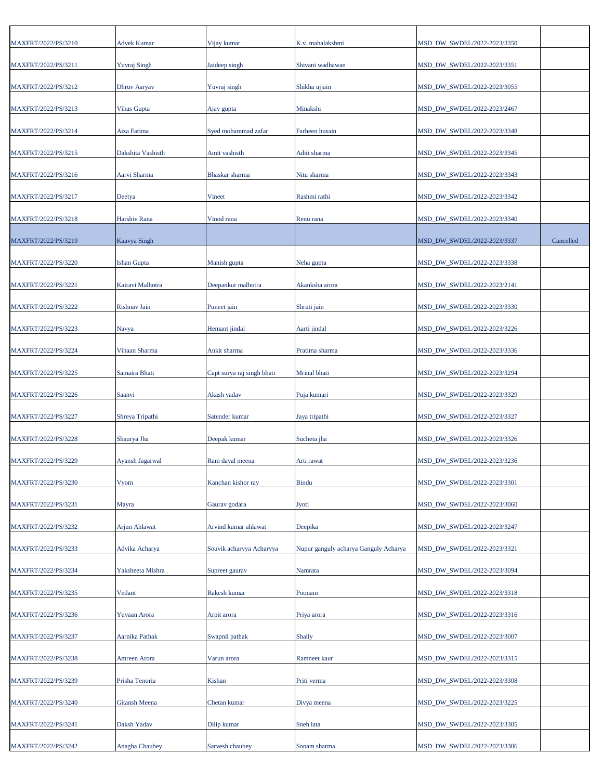| MAXFRT/2022/PS/3210 | <b>Advek Kumar</b>   | Vijay kumar                | K.v. mahalakshmi                      | MSD_DW_SWDEL/2022-2023/3350 |           |
|---------------------|----------------------|----------------------------|---------------------------------------|-----------------------------|-----------|
| MAXFRT/2022/PS/3211 | <b>Yuvraj Singh</b>  | Jaideep singh              | Shivani wadhawan                      | MSD_DW_SWDEL/2022-2023/3351 |           |
| MAXFRT/2022/PS/3212 | Dhruv Aaryav         | Yuvraj singh               | Shikha ujjain                         | MSD_DW_SWDEL/2022-2023/3055 |           |
| MAXFRT/2022/PS/3213 | Vihas Gupta          | Ajay gupta                 | Minakshi                              | MSD_DW_SWDEL/2022-2023/2467 |           |
| MAXFRT/2022/PS/3214 | Aiza Fatima          | Syed mohammad zafar        | Farheen husain                        | MSD_DW_SWDEL/2022-2023/3348 |           |
| MAXFRT/2022/PS/3215 | Dakshita Vashisth    | Amit vashisth              | Aditi sharma                          | MSD_DW_SWDEL/2022-2023/3345 |           |
| MAXFRT/2022/PS/3216 | Aarvi Sharma         | Bhaskar sharma             | Nitu sharma                           | MSD_DW_SWDEL/2022-2023/3343 |           |
| MAXFRT/2022/PS/3217 | Deetya               | Vineet                     | Rashmi rathi                          | MSD_DW_SWDEL/2022-2023/3342 |           |
| MAXFRT/2022/PS/3218 | Harshiv Rana         | Vinod rana                 | Renu rana                             | MSD_DW_SWDEL/2022-2023/3340 |           |
| MAXFRT/2022/PS/3219 | Kaavya Singh         |                            |                                       | MSD_DW_SWDEL/2022-2023/3337 | Cancelled |
| MAXFRT/2022/PS/3220 | <b>Ishan Gupta</b>   | Manish gupta               | Neha gupta                            | MSD_DW_SWDEL/2022-2023/3338 |           |
| MAXFRT/2022/PS/3221 | Kairavi Malhotra     | Deepankur malhotra         | Akanksha arora                        | MSD_DW_SWDEL/2022-2023/2141 |           |
|                     |                      |                            |                                       | MSD DW SWDEL/2022-2023/3330 |           |
| MAXFRT/2022/PS/3222 | Rishnav Jain         | Puneet jain                | Shruti jain                           |                             |           |
| MAXFRT/2022/PS/3223 | Navya                | Hemant jindal              | Aarti jindal                          | MSD_DW_SWDEL/2022-2023/3226 |           |
| MAXFRT/2022/PS/3224 | Vihaan Sharma        | Ankit sharma               | Pratima sharma                        | MSD_DW_SWDEL/2022-2023/3336 |           |
| MAXFRT/2022/PS/3225 | Samaira Bhati        | Capt surya raj singh bhati | Mrinal bhati                          | MSD_DW_SWDEL/2022-2023/3294 |           |
| MAXFRT/2022/PS/3226 | Saanvi               | Akash yadav                | Puja kumari                           | MSD_DW_SWDEL/2022-2023/3329 |           |
| MAXFRT/2022/PS/3227 | Shreya Tripathi      | Satender kumar             | Jaya tripathi                         | MSD_DW_SWDEL/2022-2023/3327 |           |
| MAXFRT/2022/PS/3228 | Shaurya Jha          | Deepak kumar               | Sucheta jha                           | MSD_DW_SWDEL/2022-2023/3326 |           |
| MAXFRT/2022/PS/3229 | Ayansh Jagarwal      | Ram dayal meena            | Arti rawat                            | MSD DW SWDEL/2022-2023/3236 |           |
| MAXFRT/2022/PS/3230 | Vyom                 | Kanchan kishor ray         | <b>Bindu</b>                          | MSD_DW_SWDEL/2022-2023/3301 |           |
| MAXFRT/2022/PS/3231 | Mayra                | Gaurav godara              | Jyoti                                 | MSD DW SWDEL/2022-2023/3060 |           |
| MAXFRT/2022/PS/3232 | <b>Arjun Ahlawat</b> | Arvind kumar ahlawat       | Deepika                               | MSD_DW_SWDEL/2022-2023/3247 |           |
| MAXFRT/2022/PS/3233 | Advika Acharya       | Souvik acharyya Acharyya   | Nupur ganguly acharya Ganguly Acharya | MSD_DW_SWDEL/2022-2023/3321 |           |
| MAXFRT/2022/PS/3234 | Yaksheeta Mishra     | Supreet gaurav             | Namrata                               | MSD DW SWDEL/2022-2023/3094 |           |
| MAXFRT/2022/PS/3235 | Vedant               | Rakesh kumar               | Poonam                                | MSD_DW_SWDEL/2022-2023/3318 |           |
| MAXFRT/2022/PS/3236 | Yuvaan Arora         | Arpit arora                | Priya arora                           | MSD_DW_SWDEL/2022-2023/3316 |           |
| MAXFRT/2022/PS/3237 | Aarnika Pathak       | Swapnil pathak             | Shaily                                | MSD_DW_SWDEL/2022-2023/3007 |           |
| MAXFRT/2022/PS/3238 | Amreen Arora         | Varun arora                | Ramneet kaur                          | MSD_DW_SWDEL/2022-2023/3315 |           |
| MAXFRT/2022/PS/3239 | Prisha Tenoria       | Kishan                     | Priti verma                           | MSD_DW_SWDEL/2022-2023/3308 |           |
| MAXFRT/2022/PS/3240 | Gitansh Meena        | Chetan kumar               | Divya meena                           | MSD_DW_SWDEL/2022-2023/3225 |           |
| MAXFRT/2022/PS/3241 | Daksh Yadav          | Dilip kumar                | Sneh lata                             | MSD_DW_SWDEL/2022-2023/3305 |           |
| MAXFRT/2022/PS/3242 | Anagha Chaubey       | Sarvesh chaubey            | Sonam sharma                          | MSD_DW_SWDEL/2022-2023/3306 |           |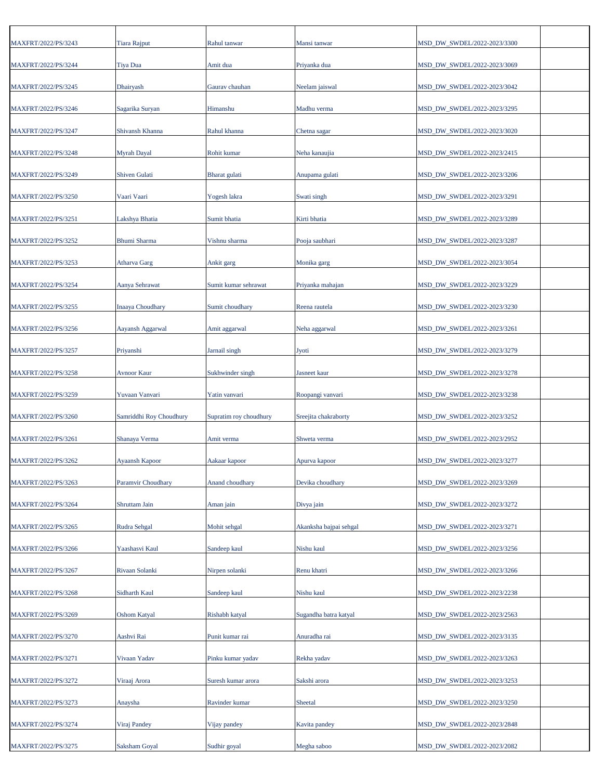| MAXFRT/2022/PS/3243 | <b>Tiara Rajput</b>     | Rahul tanwar           | Mansi tanwar           | MSD_DW_SWDEL/2022-2023/3300 |  |
|---------------------|-------------------------|------------------------|------------------------|-----------------------------|--|
| MAXFRT/2022/PS/3244 | <b>Tiya Dua</b>         | Amit dua               | Priyanka dua           | MSD_DW_SWDEL/2022-2023/3069 |  |
| MAXFRT/2022/PS/3245 | Dhairyash               | Gaurav chauhan         | Neelam jaiswal         | MSD_DW_SWDEL/2022-2023/3042 |  |
| MAXFRT/2022/PS/3246 | Sagarika Suryan         | Himanshu               | Madhu verma            | MSD_DW_SWDEL/2022-2023/3295 |  |
| MAXFRT/2022/PS/3247 | Shivansh Khanna         | Rahul khanna           | Chetna sagar           | MSD_DW_SWDEL/2022-2023/3020 |  |
| MAXFRT/2022/PS/3248 | Myrah Dayal             | Rohit kumar            | Neha kanaujia          | MSD_DW_SWDEL/2022-2023/2415 |  |
| MAXFRT/2022/PS/3249 | <b>Shiven Gulati</b>    | Bharat gulati          | Anupama gulati         | MSD_DW_SWDEL/2022-2023/3206 |  |
| MAXFRT/2022/PS/3250 | Vaari Vaari             | Yogesh lakra           | Swati singh            | MSD_DW_SWDEL/2022-2023/3291 |  |
| MAXFRT/2022/PS/3251 | Lakshya Bhatia          | Sumit bhatia           | Kirti bhatia           | MSD_DW_SWDEL/2022-2023/3289 |  |
| MAXFRT/2022/PS/3252 | Bhumi Sharma            | Vishnu sharma          | Pooja saubhari         | MSD_DW_SWDEL/2022-2023/3287 |  |
| MAXFRT/2022/PS/3253 | <b>Atharva Garg</b>     | Ankit garg             | Monika garg            | MSD_DW_SWDEL/2022-2023/3054 |  |
| MAXFRT/2022/PS/3254 | Aanya Sehrawat          | Sumit kumar sehrawat   | Priyanka mahajan       | MSD_DW_SWDEL/2022-2023/3229 |  |
| MAXFRT/2022/PS/3255 | <b>Inaaya Choudhary</b> | Sumit choudhary        | Reena rautela          | MSD_DW_SWDEL/2022-2023/3230 |  |
| MAXFRT/2022/PS/3256 | Aayansh Aggarwal        | Amit aggarwal          | Neha aggarwal          | MSD_DW_SWDEL/2022-2023/3261 |  |
| MAXFRT/2022/PS/3257 | Priyanshi               | Jarnail singh          | Jyoti                  | MSD_DW_SWDEL/2022-2023/3279 |  |
| MAXFRT/2022/PS/3258 | <b>Avnoor Kaur</b>      | Sukhwinder singh       | Jasneet kaur           | MSD_DW_SWDEL/2022-2023/3278 |  |
| MAXFRT/2022/PS/3259 | Yuvaan Vanvari          | Yatin vanvari          | Roopangi vanvari       | MSD_DW_SWDEL/2022-2023/3238 |  |
| MAXFRT/2022/PS/3260 | Samriddhi Roy Choudhury | Supratim roy choudhury | Sreejita chakraborty   | MSD_DW_SWDEL/2022-2023/3252 |  |
| MAXFRT/2022/PS/3261 | Shanaya Verma           | Amit verma             | Shweta verma           | MSD_DW_SWDEL/2022-2023/2952 |  |
| MAXFRT/2022/PS/3262 | Ayaansh Kapoor          | Aakaar kapoor          | Apurva kapoor          | MSD_DW_SWDEL/2022-2023/3277 |  |
| MAXFRT/2022/PS/3263 | Paramvir Choudhary      | Anand choudhary        | Devika choudhary       | MSD_DW_SWDEL/2022-2023/3269 |  |
| MAXFRT/2022/PS/3264 | Shruttam Jain           | Aman jain              | Divya jain             | MSD_DW_SWDEL/2022-2023/3272 |  |
| MAXFRT/2022/PS/3265 | Rudra Sehgal            | Mohit sehgal           | Akanksha bajpai sehgal | MSD DW SWDEL/2022-2023/3271 |  |
|                     |                         |                        | Nishu kaul             |                             |  |
| MAXFRT/2022/PS/3266 | Yaashasvi Kaul          | Sandeep kaul           |                        | MSD_DW_SWDEL/2022-2023/3256 |  |
| MAXFRT/2022/PS/3267 | Rivaan Solanki          | Nirpen solanki         | Renu khatri            | MSD_DW_SWDEL/2022-2023/3266 |  |
| MAXFRT/2022/PS/3268 | Sidharth Kaul           | Sandeep kaul           | Nishu kaul             | MSD_DW_SWDEL/2022-2023/2238 |  |
| MAXFRT/2022/PS/3269 | <b>Oshom Katyal</b>     | Rishabh katyal         | Sugandha batra katyal  | MSD_DW_SWDEL/2022-2023/2563 |  |
| MAXFRT/2022/PS/3270 | Aashvi Rai              | Punit kumar rai        | Anuradha rai           | MSD_DW_SWDEL/2022-2023/3135 |  |
| MAXFRT/2022/PS/3271 | Vivaan Yadav            | Pinku kumar yadav      | Rekha yadav            | MSD_DW_SWDEL/2022-2023/3263 |  |
| MAXFRT/2022/PS/3272 | Viraaj Arora            | Suresh kumar arora     | Sakshi arora           | MSD_DW_SWDEL/2022-2023/3253 |  |
| MAXFRT/2022/PS/3273 | Anaysha                 | Ravinder kumar         | Sheetal                | MSD_DW_SWDEL/2022-2023/3250 |  |
| MAXFRT/2022/PS/3274 | Viraj Pandey            | Vijay pandey           | Kavita pandey          | MSD_DW_SWDEL/2022-2023/2848 |  |
| MAXFRT/2022/PS/3275 | <b>Saksham Goyal</b>    | Sudhir goyal           | Megha saboo            | MSD_DW_SWDEL/2022-2023/2082 |  |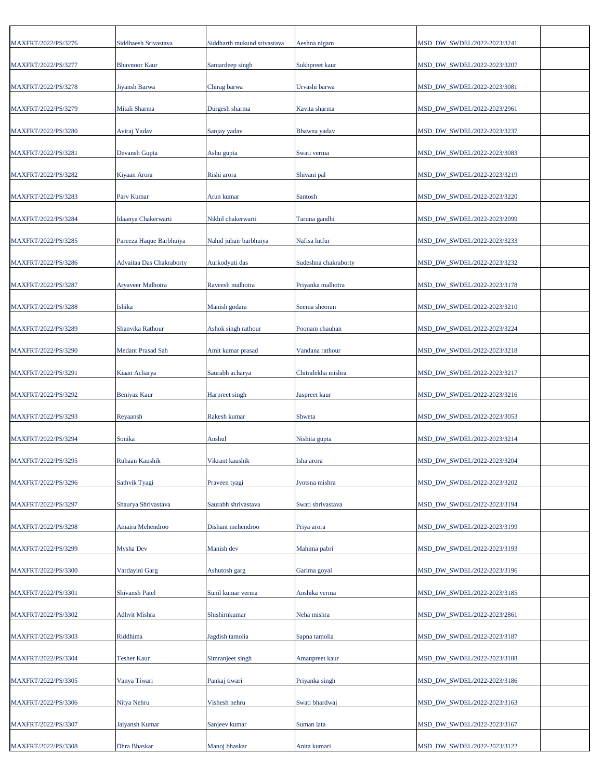| MAXFRT/2022/PS/3276 | Siddhaesh Srivastava     | Siddharth mukund srivastava | Aeshna nigam         | MSD DW SWDEL/2022-2023/3241 |  |
|---------------------|--------------------------|-----------------------------|----------------------|-----------------------------|--|
| MAXFRT/2022/PS/3277 | <b>Bhavnoor Kaur</b>     | Samardeep singh             | Sukhpreet kaur       | MSD_DW_SWDEL/2022-2023/3207 |  |
| MAXFRT/2022/PS/3278 | Jiyansh Barwa            | Chirag barwa                | Urvashi barwa        | MSD_DW_SWDEL/2022-2023/3081 |  |
| MAXFRT/2022/PS/3279 | Mitali Sharma            | Durgesh sharma              | Kavita sharma        | MSD_DW_SWDEL/2022-2023/2961 |  |
| MAXFRT/2022/PS/3280 | Aviraj Yadav             | Sanjay yadav                | Bhawna yadav         | MSD_DW_SWDEL/2022-2023/3237 |  |
| MAXFRT/2022/PS/3281 | Devansh Gupta            | Ashu gupta                  | Swati verma          | MSD_DW_SWDEL/2022-2023/3083 |  |
| MAXFRT/2022/PS/3282 | Kiyaan Arora             | Rishi arora                 | Shivani pal          | MSD_DW_SWDEL/2022-2023/3219 |  |
| MAXFRT/2022/PS/3283 | Parv Kumar               | Arun kumar                  | Santosh              | MSD_DW_SWDEL/2022-2023/3220 |  |
| MAXFRT/2022/PS/3284 | Idaanya Chakerwarti      | Nikhil chakerwarti          | Taruna gandhi        | MSD_DW_SWDEL/2022-2023/2099 |  |
| MAXFRT/2022/PS/3285 | Pareeza Haque Barbhuiya  | Nahid jubair barbhuiya      | Nafisa lutfur        | MSD_DW_SWDEL/2022-2023/3233 |  |
| MAXFRT/2022/PS/3286 | Advaitaa Das Chakraborty | Aurkodyuti das              | Sudeshna chakraborty | MSD_DW_SWDEL/2022-2023/3232 |  |
| MAXFRT/2022/PS/3287 | <b>Aryaveer Malhotra</b> | Raveesh malhotra            | Priyanka malhotra    | MSD_DW_SWDEL/2022-2023/3178 |  |
| MAXFRT/2022/PS/3288 | Ishika                   | Manish godara               | Seema sheoran        | MSD_DW_SWDEL/2022-2023/3210 |  |
| MAXFRT/2022/PS/3289 | Shanvika Rathour         | Ashok singh rathour         | Poonam chauhan       | MSD_DW_SWDEL/2022-2023/3224 |  |
| MAXFRT/2022/PS/3290 | <b>Medant Prasad Sah</b> | Amit kumar prasad           | Vandana rathour      | MSD_DW_SWDEL/2022-2023/3218 |  |
| MAXFRT/2022/PS/3291 | Kiaan Acharya            | Saurabh acharya             | Chitralekha mishra   | MSD_DW_SWDEL/2022-2023/3217 |  |
| MAXFRT/2022/PS/3292 | Beniyaz Kaur             | Harpreet singh              | Jaspreet kaur        | MSD_DW_SWDEL/2022-2023/3216 |  |
| MAXFRT/2022/PS/3293 | Reyaansh                 | Rakesh kumar                | Shweta               | MSD_DW_SWDEL/2022-2023/3053 |  |
| MAXFRT/2022/PS/3294 | Sonika                   | Anshul                      | Nishita gupta        | MSD_DW_SWDEL/2022-2023/3214 |  |
| MAXFRT/2022/PS/3295 | Ruhaan Kaushik           | Vikrant kaushik             | Isha arora           | MSD_DW_SWDEL/2022-2023/3204 |  |
| MAXFRT/2022/PS/3296 | Sathvik Tyagi            | Praveen tyagi               | Jyotsna mishra       | MSD_DW_SWDEL/2022-2023/3202 |  |
| MAXFRT/2022/PS/3297 | Shaurya Shrivastava      | Saurabh shrivastava         | Swati shrivastava    | MSD_DW_SWDEL/2022-2023/3194 |  |
| MAXFRT/2022/PS/3298 | Amaira Mehendroo         | Dishant mehendroo           | Priya arora          | MSD DW SWDEL/2022-2023/3199 |  |
| MAXFRT/2022/PS/3299 | Mysha Dev                | Manish dev                  | Mahima pabri         | MSD_DW_SWDEL/2022-2023/3193 |  |
| MAXFRT/2022/PS/3300 | Vardayini Garg           | Ashutosh garg               | Garima goyal         | MSD DW SWDEL/2022-2023/3196 |  |
| MAXFRT/2022/PS/3301 | Shivansh Patel           | Sunil kumar verma           | Anshika verma        | MSD_DW_SWDEL/2022-2023/3185 |  |
| MAXFRT/2022/PS/3302 | <b>Adhvit Mishra</b>     | Shishirnkumar               | Neha mishra          | MSD_DW_SWDEL/2022-2023/2861 |  |
| MAXFRT/2022/PS/3303 | Riddhima                 | Jagdish tamolia             | Sapna tamolia        | MSD_DW_SWDEL/2022-2023/3187 |  |
| MAXFRT/2022/PS/3304 | <b>Tesher Kaur</b>       | Simranjeet singh            | Amanpreet kaur       | MSD_DW_SWDEL/2022-2023/3188 |  |
| MAXFRT/2022/PS/3305 | Vanya Tiwari             | Pankaj tiwari               | Priyanka singh       | MSD_DW_SWDEL/2022-2023/3186 |  |
| MAXFRT/2022/PS/3306 | Nitya Nehru              | Vishesh nehru               | Swati bhardwaj       | MSD_DW_SWDEL/2022-2023/3163 |  |
| MAXFRT/2022/PS/3307 | Jaiyansh Kumar           | Sanjeev kumar               | Suman lata           | MSD_DW_SWDEL/2022-2023/3167 |  |
| MAXFRT/2022/PS/3308 | Dhra Bhaskar             | Manoj bhaskar               | Anita kumari         | MSD_DW_SWDEL/2022-2023/3122 |  |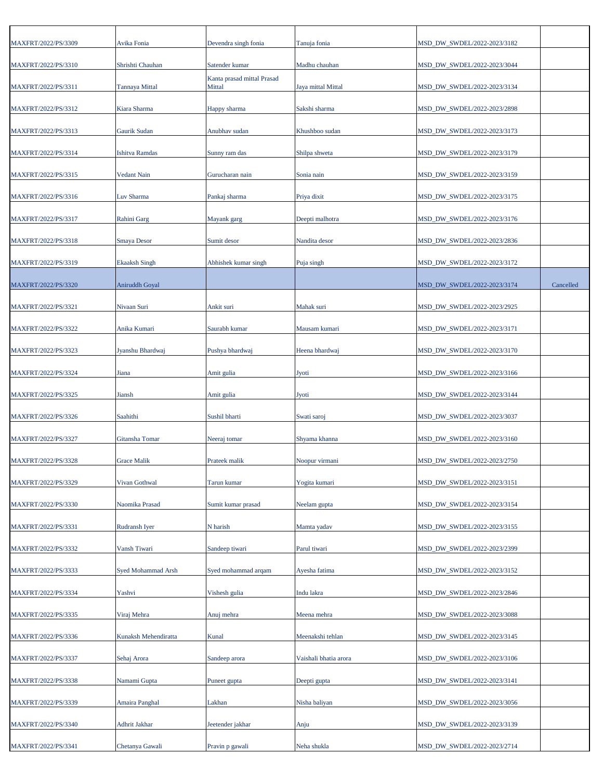| MAXFRT/2022/PS/3309 | Avika Fonia           | Devendra singh fonia                 | Tanuja fonia          | MSD_DW_SWDEL/2022-2023/3182 |           |
|---------------------|-----------------------|--------------------------------------|-----------------------|-----------------------------|-----------|
| MAXFRT/2022/PS/3310 | Shrishti Chauhan      | Satender kumar                       | Madhu chauhan         | MSD_DW_SWDEL/2022-2023/3044 |           |
| MAXFRT/2022/PS/3311 | <b>Tannaya Mittal</b> | Kanta prasad mittal Prasad<br>Mittal | Jaya mittal Mittal    | MSD_DW_SWDEL/2022-2023/3134 |           |
| MAXFRT/2022/PS/3312 | Kiara Sharma          | Happy sharma                         | Sakshi sharma         | MSD_DW_SWDEL/2022-2023/2898 |           |
| MAXFRT/2022/PS/3313 | Gaurik Sudan          | Anubhav sudan                        | Khushboo sudan        | MSD_DW_SWDEL/2022-2023/3173 |           |
|                     |                       |                                      |                       | MSD DW SWDEL/2022-2023/3179 |           |
| MAXFRT/2022/PS/3314 | <b>Ishitva Ramdas</b> | Sunny ram das                        | Shilpa shweta         |                             |           |
| MAXFRT/2022/PS/3315 | Vedant Nain           | Gurucharan nain                      | Sonia nain            | MSD_DW_SWDEL/2022-2023/3159 |           |
| MAXFRT/2022/PS/3316 | Luv Sharma            | Pankaj sharma                        | Priya dixit           | MSD_DW_SWDEL/2022-2023/3175 |           |
| MAXFRT/2022/PS/3317 | Rahini Garg           | Mayank garg                          | Deepti malhotra       | MSD_DW_SWDEL/2022-2023/3176 |           |
| MAXFRT/2022/PS/3318 | <b>Smaya Desor</b>    | Sumit desor                          | Nandita desor         | MSD_DW_SWDEL/2022-2023/2836 |           |
| MAXFRT/2022/PS/3319 | <b>Ekaaksh Singh</b>  | Abhishek kumar singh                 | Puja singh            | MSD_DW_SWDEL/2022-2023/3172 |           |
| MAXFRT/2022/PS/3320 | Aniruddh Goyal        |                                      |                       | MSD_DW_SWDEL/2022-2023/3174 | Cancelled |
| MAXFRT/2022/PS/3321 | Nivaan Suri           | Ankit suri                           | Mahak suri            | MSD_DW_SWDEL/2022-2023/2925 |           |
| MAXFRT/2022/PS/3322 | Anika Kumari          | Saurabh kumar                        | Mausam kumari         | MSD_DW_SWDEL/2022-2023/3171 |           |
| MAXFRT/2022/PS/3323 | Jyanshu Bhardwaj      | Pushya bhardwaj                      | Heena bhardwaj        | MSD_DW_SWDEL/2022-2023/3170 |           |
| MAXFRT/2022/PS/3324 | Jiana                 | Amit gulia                           | <b>Jyoti</b>          | MSD_DW_SWDEL/2022-2023/3166 |           |
| MAXFRT/2022/PS/3325 | Jiansh                | Amit gulia                           | <b>Jyoti</b>          | MSD_DW_SWDEL/2022-2023/3144 |           |
| MAXFRT/2022/PS/3326 | Saahithi              | Sushil bharti                        | Swati saroj           | MSD_DW_SWDEL/2022-2023/3037 |           |
| MAXFRT/2022/PS/3327 | Gitansha Tomar        | Neeraj tomar                         | Shyama khanna         | MSD_DW_SWDEL/2022-2023/3160 |           |
| MAXFRT/2022/PS/3328 | <b>Grace Malik</b>    | Prateek malik                        | Noopur virmani        | MSD DW SWDEL/2022-2023/2750 |           |
| MAXFRT/2022/PS/3329 | Vivan Gothwal         | Tarun kumar                          | Yogita kumari         | MSD_DW_SWDEL/2022-2023/3151 |           |
| MAXFRT/2022/PS/3330 | Naomika Prasad        | Sumit kumar prasad                   | Neelam gupta          | MSD DW SWDEL/2022-2023/3154 |           |
| MAXFRT/2022/PS/3331 | Rudransh Iyer         | N harish                             | Mamta yadav           | MSD_DW_SWDEL/2022-2023/3155 |           |
| MAXFRT/2022/PS/3332 | Vansh Tiwari          | Sandeep tiwari                       | Parul tiwari          | MSD DW SWDEL/2022-2023/2399 |           |
| MAXFRT/2022/PS/3333 | Syed Mohammad Arsh    | Syed mohammad arqam                  | Ayesha fatima         | MSD_DW_SWDEL/2022-2023/3152 |           |
|                     |                       |                                      |                       |                             |           |
| MAXFRT/2022/PS/3334 | Yashvi                | Vishesh gulia                        | Indu lakra            | MSD_DW_SWDEL/2022-2023/2846 |           |
| MAXFRT/2022/PS/3335 | Viraj Mehra           | Anuj mehra                           | Meena mehra           | MSD_DW_SWDEL/2022-2023/3088 |           |
| MAXFRT/2022/PS/3336 | Kunaksh Mehendiratta  | Kunal                                | Meenakshi tehlan      | MSD_DW_SWDEL/2022-2023/3145 |           |
| MAXFRT/2022/PS/3337 | Sehaj Arora           | Sandeep arora                        | Vaishali bhatia arora | MSD_DW_SWDEL/2022-2023/3106 |           |
| MAXFRT/2022/PS/3338 | Namami Gupta          | Puneet gupta                         | Deepti gupta          | MSD_DW_SWDEL/2022-2023/3141 |           |
| MAXFRT/2022/PS/3339 | Amaira Panghal        | Lakhan                               | Nisha baliyan         | MSD_DW_SWDEL/2022-2023/3056 |           |
| MAXFRT/2022/PS/3340 | Adhrit Jakhar         | Jeetender jakhar                     | Anju                  | MSD_DW_SWDEL/2022-2023/3139 |           |
| MAXFRT/2022/PS/3341 | Chetanya Gawali       | Pravin p gawali                      | Neha shukla           | MSD_DW_SWDEL/2022-2023/2714 |           |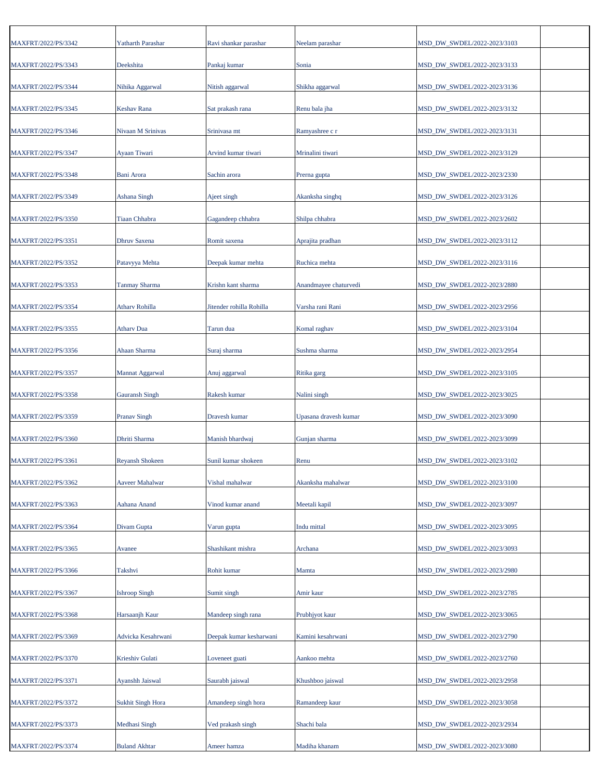| MAXFRT/2022/PS/3342 | Yatharth Parashar        | Ravi shankar parashar    | Neelam parashar       | MSD DW SWDEL/2022-2023/3103 |
|---------------------|--------------------------|--------------------------|-----------------------|-----------------------------|
| MAXFRT/2022/PS/3343 | Deekshita                | Pankaj kumar             | Sonia                 | MSD_DW_SWDEL/2022-2023/3133 |
| MAXFRT/2022/PS/3344 | Nihika Aggarwal          | Nitish aggarwal          | Shikha aggarwal       | MSD_DW_SWDEL/2022-2023/3136 |
| MAXFRT/2022/PS/3345 | Keshav Rana              | Sat prakash rana         | Renu bala jha         | MSD_DW_SWDEL/2022-2023/3132 |
| MAXFRT/2022/PS/3346 | Nivaan M Srinivas        | Srinivasa mt             | Ramyashree c r        | MSD_DW_SWDEL/2022-2023/3131 |
| MAXFRT/2022/PS/3347 | Ayaan Tiwari             | Arvind kumar tiwari      | Mrinalini tiwari      | MSD_DW_SWDEL/2022-2023/3129 |
| MAXFRT/2022/PS/3348 | Bani Arora               | Sachin arora             | Prerna gupta          | MSD_DW_SWDEL/2022-2023/2330 |
| MAXFRT/2022/PS/3349 | Ashana Singh             | Ajeet singh              | Akanksha singhq       | MSD_DW_SWDEL/2022-2023/3126 |
| MAXFRT/2022/PS/3350 | <b>Tiaan Chhabra</b>     | Gagandeep chhabra        | Shilpa chhabra        | MSD_DW_SWDEL/2022-2023/2602 |
| MAXFRT/2022/PS/3351 | Dhruv Saxena             | Romit saxena             | Aprajita pradhan      | MSD_DW_SWDEL/2022-2023/3112 |
| MAXFRT/2022/PS/3352 | Patavyya Mehta           | Deepak kumar mehta       | Ruchica mehta         | MSD_DW_SWDEL/2022-2023/3116 |
| MAXFRT/2022/PS/3353 | Tanmay Sharma            | Krishn kant sharma       | Anandmayee chaturvedi | MSD_DW_SWDEL/2022-2023/2880 |
| MAXFRT/2022/PS/3354 | Atharv Rohilla           | Jitender rohilla Rohilla | Varsha rani Rani      | MSD DW SWDEL/2022-2023/2956 |
| MAXFRT/2022/PS/3355 | <b>Athary Dua</b>        | Tarun dua                | Komal raghav          | MSD_DW_SWDEL/2022-2023/3104 |
| MAXFRT/2022/PS/3356 | Ahaan Sharma             | Suraj sharma             | Sushma sharma         | MSD_DW_SWDEL/2022-2023/2954 |
| MAXFRT/2022/PS/3357 | Mannat Aggarwal          | Anuj aggarwal            | Ritika garg           | MSD_DW_SWDEL/2022-2023/3105 |
| MAXFRT/2022/PS/3358 | <b>Gauransh Singh</b>    | Rakesh kumar             | Nalini singh          | MSD_DW_SWDEL/2022-2023/3025 |
| MAXFRT/2022/PS/3359 | <b>Pranav Singh</b>      | Dravesh kumar            | Upasana dravesh kumar | MSD_DW_SWDEL/2022-2023/3090 |
| MAXFRT/2022/PS/3360 | Dhriti Sharma            | Manish bhardwaj          | Gunjan sharma         | MSD_DW_SWDEL/2022-2023/3099 |
| MAXFRT/2022/PS/3361 | <b>Reyansh Shokeen</b>   | Sunil kumar shokeen      | Renu                  | MSD_DW_SWDEL/2022-2023/3102 |
| MAXFRT/2022/PS/3362 | Aaveer Mahalwar          | Vishal mahalwar          | Akanksha mahalwar     | MSD_DW_SWDEL/2022-2023/3100 |
| MAXFRT/2022/PS/3363 | Aahana Anand             | Vinod kumar anand        | Meetali kapil         | MSD_DW_SWDEL/2022-2023/3097 |
| MAXFRT/2022/PS/3364 | Divam Gupta              | Varun gupta              | Indu mittal           | MSD DW SWDEL/2022-2023/3095 |
| MAXFRT/2022/PS/3365 | Avanee                   | Shashikant mishra        | Archana               | MSD DW SWDEL/2022-2023/3093 |
| MAXFRT/2022/PS/3366 | Takshvi                  | Rohit kumar              | Mamta                 | MSD DW SWDEL/2022-2023/2980 |
| MAXFRT/2022/PS/3367 | <b>Ishroop Singh</b>     | Sumit singh              | Amir kaur             | MSD_DW_SWDEL/2022-2023/2785 |
| MAXFRT/2022/PS/3368 | Harsaanjh Kaur           | Mandeep singh rana       | Prubhjyot kaur        | MSD_DW_SWDEL/2022-2023/3065 |
|                     |                          |                          |                       |                             |
| MAXFRT/2022/PS/3369 | Advicka Kesahrwani       | Deepak kumar kesharwani  | Kamini kesahrwani     | MSD_DW_SWDEL/2022-2023/2790 |
| MAXFRT/2022/PS/3370 | Krieshiv Gulati          | Loveneet guati           | Aankoo mehta          | MSD_DW_SWDEL/2022-2023/2760 |
| MAXFRT/2022/PS/3371 | Ayanshh Jaiswal          | Saurabh jaiswal          | Khushboo jaiswal      | MSD_DW_SWDEL/2022-2023/2958 |
| MAXFRT/2022/PS/3372 | <b>Sukhit Singh Hora</b> | Amandeep singh hora      | Ramandeep kaur        | MSD_DW_SWDEL/2022-2023/3058 |
| MAXFRT/2022/PS/3373 | Medhasi Singh            | Ved prakash singh        | Shachi bala           | MSD_DW_SWDEL/2022-2023/2934 |
| MAXFRT/2022/PS/3374 | <b>Buland Akhtar</b>     | Ameer hamza              | Madiha khanam         | MSD_DW_SWDEL/2022-2023/3080 |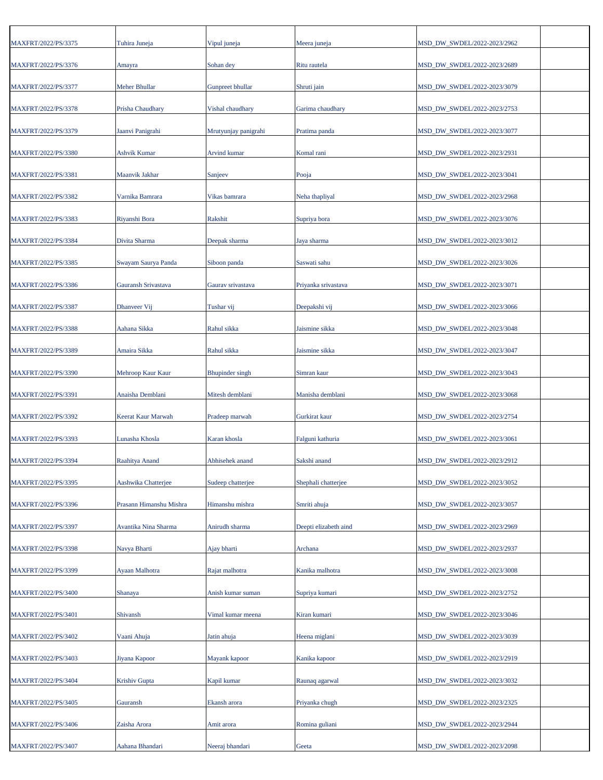| MAXFRT/2022/PS/3375 | Tuhira Juneja           | Vipul juneja           | Meera juneja          | MSD_DW_SWDEL/2022-2023/2962 |
|---------------------|-------------------------|------------------------|-----------------------|-----------------------------|
| MAXFRT/2022/PS/3376 | Amayra                  | Sohan dey              | Ritu rautela          | MSD_DW_SWDEL/2022-2023/2689 |
| MAXFRT/2022/PS/3377 | <b>Meher Bhullar</b>    | Gunpreet bhullar       | Shruti jain           | MSD_DW_SWDEL/2022-2023/3079 |
| MAXFRT/2022/PS/3378 | Prisha Chaudhary        | Vishal chaudhary       | Garima chaudhary      | MSD_DW_SWDEL/2022-2023/2753 |
| MAXFRT/2022/PS/3379 | Jaanvi Panigrahi        | Mrutyunjay panigrahi   | Pratima panda         | MSD_DW_SWDEL/2022-2023/3077 |
| MAXFRT/2022/PS/3380 | <b>Ashvik Kumar</b>     | Arvind kumar           | Komal rani            | MSD_DW_SWDEL/2022-2023/2931 |
| MAXFRT/2022/PS/3381 | Maanvik Jakhar          | Sanjeev                | Pooja                 | MSD_DW_SWDEL/2022-2023/3041 |
| MAXFRT/2022/PS/3382 | Varnika Bamrara         | Vikas bamrara          | Neha thapliyal        | MSD_DW_SWDEL/2022-2023/2968 |
| MAXFRT/2022/PS/3383 | Riyanshi Bora           | Rakshit                | Supriya bora          | MSD_DW_SWDEL/2022-2023/3076 |
| MAXFRT/2022/PS/3384 | Divita Sharma           | Deepak sharma          | Jaya sharma           | MSD_DW_SWDEL/2022-2023/3012 |
| MAXFRT/2022/PS/3385 | Swayam Saurya Panda     | Siboon panda           | Saswati sahu          | MSD_DW_SWDEL/2022-2023/3026 |
| MAXFRT/2022/PS/3386 | Gauransh Srivastava     | Gaurav srivastava      | Priyanka srivastava   | MSD_DW_SWDEL/2022-2023/3071 |
| MAXFRT/2022/PS/3387 | Dhanveer Vij            | Tushar vij             | Deepakshi vij         | MSD_DW_SWDEL/2022-2023/3066 |
| MAXFRT/2022/PS/3388 | Aahana Sikka            | Rahul sikka            | Jaismine sikka        | MSD_DW_SWDEL/2022-2023/3048 |
| MAXFRT/2022/PS/3389 | Amaira Sikka            | Rahul sikka            | Jaismine sikka        | MSD_DW_SWDEL/2022-2023/3047 |
| MAXFRT/2022/PS/3390 | Mehroop Kaur Kaur       | <b>Bhupinder</b> singh | Simran kaur           | MSD_DW_SWDEL/2022-2023/3043 |
| MAXFRT/2022/PS/3391 | Anaisha Demblani        | Mitesh demblani        | Manisha demblani      | MSD_DW_SWDEL/2022-2023/3068 |
| MAXFRT/2022/PS/3392 | Keerat Kaur Marwah      | Pradeep marwah         | Gurkirat kaur         | MSD_DW_SWDEL/2022-2023/2754 |
| MAXFRT/2022/PS/3393 | Lunasha Khosla          | Karan khosla           | Falguni kathuria      | MSD_DW_SWDEL/2022-2023/3061 |
| MAXFRT/2022/PS/3394 | Raahitya Anand          | Abhisehek anand        | Sakshi anand          | MSD_DW_SWDEL/2022-2023/2912 |
| MAXFRT/2022/PS/3395 | Aashwika Chatterjee     | Sudeep chatterjee      | Shephali chatterjee   | MSD DW SWDEL/2022-2023/3052 |
| MAXFRT/2022/PS/3396 | Prasann Himanshu Mishra | Himanshu mishra        | Smriti ahuja          | MSD_DW_SWDEL/2022-2023/3057 |
| MAXFRT/2022/PS/3397 | Avantika Nina Sharma    | Anirudh sharma         | Deepti elizabeth aind | MSD_DW_SWDEL/2022-2023/2969 |
| MAXFRT/2022/PS/3398 | Navya Bharti            | Ajay bharti            | Archana               | MSD_DW_SWDEL/2022-2023/2937 |
| MAXFRT/2022/PS/3399 | Ayaan Malhotra          | Rajat malhotra         | Kanika malhotra       | MSD_DW_SWDEL/2022-2023/3008 |
| MAXFRT/2022/PS/3400 | Shanaya                 | Anish kumar suman      | Supriya kumari        | MSD_DW_SWDEL/2022-2023/2752 |
| MAXFRT/2022/PS/3401 | Shivansh                | Vimal kumar meena      | Kiran kumari          | MSD_DW_SWDEL/2022-2023/3046 |
| MAXFRT/2022/PS/3402 | Vaani Ahuja             | Jatin ahuja            | Heena miglani         | MSD_DW_SWDEL/2022-2023/3039 |
| MAXFRT/2022/PS/3403 | Jiyana Kapoor           | Mayank kapoor          | Kanika kapoor         | MSD_DW_SWDEL/2022-2023/2919 |
| MAXFRT/2022/PS/3404 | Krishiv Gupta           | Kapil kumar            | Raunaq agarwal        | MSD_DW_SWDEL/2022-2023/3032 |
| MAXFRT/2022/PS/3405 | Gauransh                | Ekansh arora           | Priyanka chugh        | MSD_DW_SWDEL/2022-2023/2325 |
| MAXFRT/2022/PS/3406 | Zaisha Arora            | Amit arora             | Romina guliani        | MSD_DW_SWDEL/2022-2023/2944 |
| MAXFRT/2022/PS/3407 | Aahana Bhandari         | Neeraj bhandari        | Geeta                 | MSD_DW_SWDEL/2022-2023/2098 |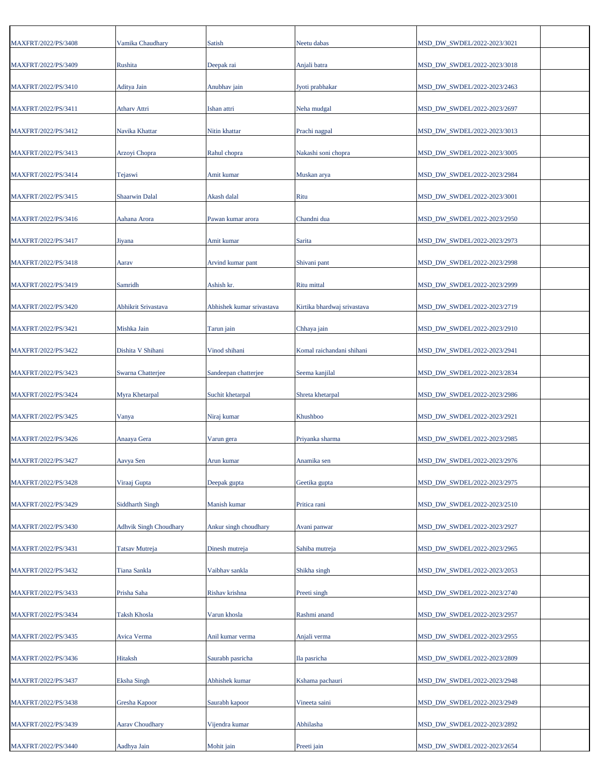| MAXFRT/2022/PS/3408 | Vamika Chaudhary              | Satish                    | Neetu dabas                 | MSD DW SWDEL/2022-2023/3021 |
|---------------------|-------------------------------|---------------------------|-----------------------------|-----------------------------|
| MAXFRT/2022/PS/3409 | Rushita                       | Deepak rai                | Anjali batra                | MSD_DW_SWDEL/2022-2023/3018 |
| MAXFRT/2022/PS/3410 | Aditya Jain                   | Anubhav jain              | Jyoti prabhakar             | MSD DW SWDEL/2022-2023/2463 |
| MAXFRT/2022/PS/3411 | Atharv Attri                  | Ishan attri               | Neha mudgal                 | MSD_DW_SWDEL/2022-2023/2697 |
| MAXFRT/2022/PS/3412 | Navika Khattar                | Nitin khattar             | Prachi nagpal               | MSD_DW_SWDEL/2022-2023/3013 |
| MAXFRT/2022/PS/3413 | Arzoyi Chopra                 | Rahul chopra              | Nakashi soni chopra         | MSD DW SWDEL/2022-2023/3005 |
| MAXFRT/2022/PS/3414 | Tejaswi                       | Amit kumar                | Muskan arya                 | MSD_DW_SWDEL/2022-2023/2984 |
| MAXFRT/2022/PS/3415 | <b>Shaarwin Dalal</b>         | Akash dalal               | Ritu                        | MSD_DW_SWDEL/2022-2023/3001 |
| MAXFRT/2022/PS/3416 | Aahana Arora                  | Pawan kumar arora         | Chandni dua                 | MSD_DW_SWDEL/2022-2023/2950 |
| MAXFRT/2022/PS/3417 | Jiyana                        | Amit kumar                | Sarita                      | MSD_DW_SWDEL/2022-2023/2973 |
| MAXFRT/2022/PS/3418 | Aarav                         | Arvind kumar pant         | Shivani pant                | MSD_DW_SWDEL/2022-2023/2998 |
| MAXFRT/2022/PS/3419 | Samridh                       | Ashish kr.                | Ritu mittal                 | MSD_DW_SWDEL/2022-2023/2999 |
| MAXFRT/2022/PS/3420 | Abhikrit Srivastava           | Abhishek kumar srivastava | Kirtika bhardwaj srivastava | MSD_DW_SWDEL/2022-2023/2719 |
| MAXFRT/2022/PS/3421 | Mishka Jain                   | Tarun jain                | Chhaya jain                 | MSD_DW_SWDEL/2022-2023/2910 |
| MAXFRT/2022/PS/3422 | Dishita V Shihani             | Vinod shihani             | Komal raichandani shihani   | MSD_DW_SWDEL/2022-2023/2941 |
| MAXFRT/2022/PS/3423 | Swarna Chatterjee             |                           | Seema kanjilal              | MSD_DW_SWDEL/2022-2023/2834 |
|                     |                               | Sandeepan chatterjee      |                             |                             |
| MAXFRT/2022/PS/3424 | Myra Khetarpal                | Suchit khetarpal          | Shreta khetarpal            | MSD_DW_SWDEL/2022-2023/2986 |
| MAXFRT/2022/PS/3425 | Vanya                         | Niraj kumar               | Khushboo                    | MSD_DW_SWDEL/2022-2023/2921 |
| MAXFRT/2022/PS/3426 | Anaaya Gera                   | Varun gera                | Priyanka sharma             | MSD_DW_SWDEL/2022-2023/2985 |
| MAXFRT/2022/PS/3427 | Aavya Sen                     | Arun kumar                | Anamika sen                 | MSD_DW_SWDEL/2022-2023/2976 |
| MAXFRT/2022/PS/3428 | Viraaj Gupta                  | Deepak gupta              | Geetika gupta               | MSD_DW_SWDEL/2022-2023/2975 |
| MAXFRT/2022/PS/3429 | <b>Siddharth Singh</b>        | Manish kumar              | Pritica rani                | MSD_DW_SWDEL/2022-2023/2510 |
| MAXFRT/2022/PS/3430 | <b>Adhvik Singh Choudhary</b> | Ankur singh choudhary     | Avani panwar                | MSD_DW_SWDEL/2022-2023/2927 |
| MAXFRT/2022/PS/3431 | <b>Tatsav Mutreja</b>         | Dinesh mutreja            | Sahiba mutreja              | MSD_DW_SWDEL/2022-2023/2965 |
| MAXFRT/2022/PS/3432 | Tiana Sankla                  | Vaibhav sankla            | Shikha singh                | MSD_DW_SWDEL/2022-2023/2053 |
| MAXFRT/2022/PS/3433 | Prisha Saha                   | Rishav krishna            | Preeti singh                | MSD_DW_SWDEL/2022-2023/2740 |
| MAXFRT/2022/PS/3434 | <b>Taksh Khosla</b>           | Varun khosla              | Rashmi anand                | MSD_DW_SWDEL/2022-2023/2957 |
| MAXFRT/2022/PS/3435 | Avica Verma                   | Anil kumar verma          | Anjali verma                | MSD_DW_SWDEL/2022-2023/2955 |
| MAXFRT/2022/PS/3436 | Hitaksh                       | Saurabh pasricha          | Ila pasricha                | MSD_DW_SWDEL/2022-2023/2809 |
| MAXFRT/2022/PS/3437 | <b>Eksha Singh</b>            | Abhishek kumar            | Kshama pachauri             | MSD_DW_SWDEL/2022-2023/2948 |
| MAXFRT/2022/PS/3438 | Gresha Kapoor                 | Saurabh kapoor            | Vineeta saini               | MSD_DW_SWDEL/2022-2023/2949 |
| MAXFRT/2022/PS/3439 | <b>Aarav Choudhary</b>        | Vijendra kumar            | Abhilasha                   | MSD_DW_SWDEL/2022-2023/2892 |
|                     |                               |                           |                             |                             |
| MAXFRT/2022/PS/3440 | Aadhya Jain                   | Mohit jain                | Preeti jain                 | MSD_DW_SWDEL/2022-2023/2654 |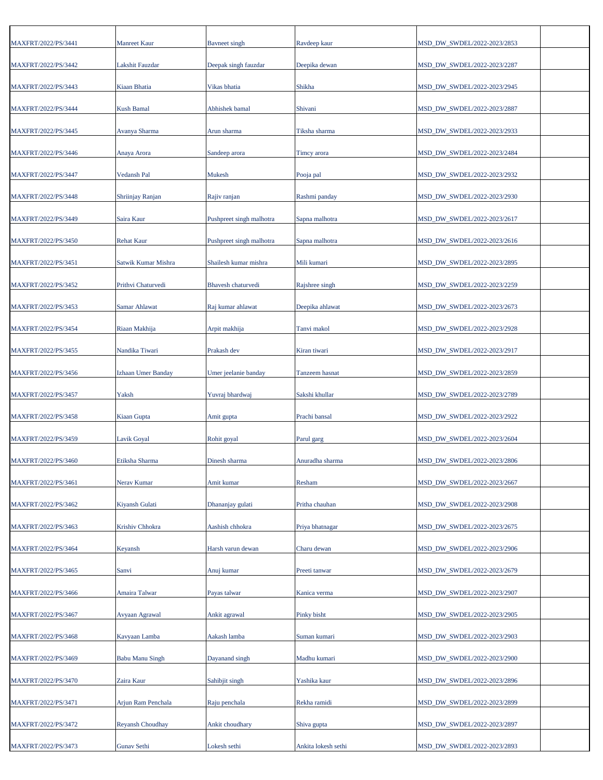| MAXFRT/2022/PS/3441 | <b>Manreet Kaur</b>    | Bayneet singh            | Ravdeep kaur        | MSD_DW_SWDEL/2022-2023/2853 |
|---------------------|------------------------|--------------------------|---------------------|-----------------------------|
| MAXFRT/2022/PS/3442 | Lakshit Fauzdar        | Deepak singh fauzdar     | Deepika dewan       | MSD_DW_SWDEL/2022-2023/2287 |
| MAXFRT/2022/PS/3443 | Kiaan Bhatia           | Vikas bhatia             | Shikha              | MSD DW SWDEL/2022-2023/2945 |
| MAXFRT/2022/PS/3444 | <b>Kush Bamal</b>      | Abhishek bamal           | Shivani             | MSD_DW_SWDEL/2022-2023/2887 |
| MAXFRT/2022/PS/3445 | Avanya Sharma          | Arun sharma              | Tiksha sharma       | MSD_DW_SWDEL/2022-2023/2933 |
| MAXFRT/2022/PS/3446 | Anaya Arora            | Sandeep arora            | Timey arora         | MSD_DW_SWDEL/2022-2023/2484 |
| MAXFRT/2022/PS/3447 | Vedansh Pal            | Mukesh                   | Pooja pal           | MSD_DW_SWDEL/2022-2023/2932 |
| MAXFRT/2022/PS/3448 | Shriinjay Ranjan       | Rajiv ranjan             | Rashmi panday       | MSD_DW_SWDEL/2022-2023/2930 |
| MAXFRT/2022/PS/3449 | Saira Kaur             | Pushpreet singh malhotra | Sapna malhotra      | MSD_DW_SWDEL/2022-2023/2617 |
| MAXFRT/2022/PS/3450 | <b>Rehat Kaur</b>      | Pushpreet singh malhotra | Sapna malhotra      | MSD_DW_SWDEL/2022-2023/2616 |
| MAXFRT/2022/PS/3451 | Satwik Kumar Mishra    | Shailesh kumar mishra    | Mili kumari         | MSD_DW_SWDEL/2022-2023/2895 |
| MAXFRT/2022/PS/3452 | Prithvi Chaturvedi     | Bhavesh chaturvedi       | Rajshree singh      | MSD_DW_SWDEL/2022-2023/2259 |
| MAXFRT/2022/PS/3453 | Samar Ahlawat          | Raj kumar ahlawat        | Deepika ahlawat     | MSD DW SWDEL/2022-2023/2673 |
| MAXFRT/2022/PS/3454 | Riaan Makhija          | Arpit makhija            | Tanvi makol         | MSD_DW_SWDEL/2022-2023/2928 |
| MAXFRT/2022/PS/3455 | Nandika Tiwari         | Prakash dev              | Kiran tiwari        | MSD_DW_SWDEL/2022-2023/2917 |
| MAXFRT/2022/PS/3456 | Izhaan Umer Banday     | Umer jeelanie banday     | Tanzeem hasnat      | MSD_DW_SWDEL/2022-2023/2859 |
| MAXFRT/2022/PS/3457 | Yaksh                  | Yuvraj bhardwaj          | Sakshi khullar      | MSD_DW_SWDEL/2022-2023/2789 |
| MAXFRT/2022/PS/3458 | Kiaan Gupta            | Amit gupta               | Prachi bansal       | MSD_DW_SWDEL/2022-2023/2922 |
| MAXFRT/2022/PS/3459 | Lavik Goyal            | Rohit goyal              | Parul garg          | MSD_DW_SWDEL/2022-2023/2604 |
| MAXFRT/2022/PS/3460 | Etiksha Sharma         | Dinesh sharma            | Anuradha sharma     | MSD_DW_SWDEL/2022-2023/2806 |
| MAXFRT/2022/PS/3461 | Nerav Kumar            | Amit kumar               | Resham              | MSD DW SWDEL/2022-2023/2667 |
| MAXFRT/2022/PS/3462 | Kiyansh Gulati         | Dhananjay gulati         | Pritha chauhan      | MSD_DW_SWDEL/2022-2023/2908 |
| MAXFRT/2022/PS/3463 | Krishiv Chhokra        | Aashish chhokra          | Priya bhatnagar     | MSD DW SWDEL/2022-2023/2675 |
| MAXFRT/2022/PS/3464 | Keyansh                | Harsh varun dewan        | Charu dewan         | MSD_DW_SWDEL/2022-2023/2906 |
| MAXFRT/2022/PS/3465 | Sanvi                  | Anuj kumar               | Preeti tanwar       | MSD DW SWDEL/2022-2023/2679 |
| MAXFRT/2022/PS/3466 | Amaira Talwar          | Payas talwar             | Kanica verma        | MSD_DW_SWDEL/2022-2023/2907 |
| MAXFRT/2022/PS/3467 | Avyaan Agrawal         | Ankit agrawal            | Pinky bisht         | MSD_DW_SWDEL/2022-2023/2905 |
| MAXFRT/2022/PS/3468 | Kavyaan Lamba          | Aakash lamba             | Suman kumari        | MSD_DW_SWDEL/2022-2023/2903 |
| MAXFRT/2022/PS/3469 | <b>Babu Manu Singh</b> | Dayanand singh           | Madhu kumari        | MSD_DW_SWDEL/2022-2023/2900 |
|                     |                        |                          |                     |                             |
| MAXFRT/2022/PS/3470 | Zaira Kaur             | Sahibjit singh           | Yashika kaur        | MSD_DW_SWDEL/2022-2023/2896 |
| MAXFRT/2022/PS/3471 | Arjun Ram Penchala     | Raju penchala            | Rekha ramidi        | MSD_DW_SWDEL/2022-2023/2899 |
| MAXFRT/2022/PS/3472 | Reyansh Choudhay       | Ankit choudhary          | Shiva gupta         | MSD_DW_SWDEL/2022-2023/2897 |
| MAXFRT/2022/PS/3473 | Gunav Sethi            | Lokesh sethi             | Ankita lokesh sethi | MSD_DW_SWDEL/2022-2023/2893 |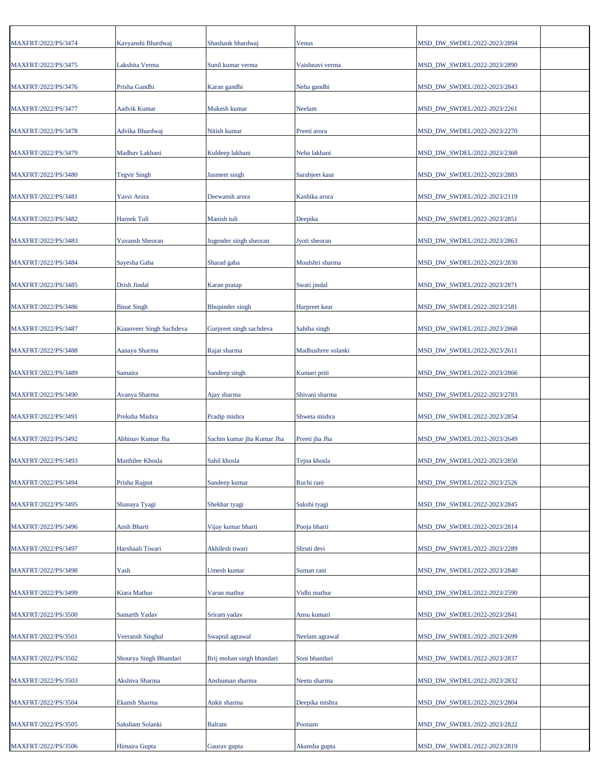| MAXFRT/2022/PS/3474 | Kavyanshi Bhardwaj       | Shashank bhardwaj          | Venus              | MSD_DW_SWDEL/2022-2023/2894 |  |
|---------------------|--------------------------|----------------------------|--------------------|-----------------------------|--|
| MAXFRT/2022/PS/3475 | Lakshita Verma           | Sunil kumar verma          | Vaishnavi verma    | MSD_DW_SWDEL/2022-2023/2890 |  |
| MAXFRT/2022/PS/3476 | Prisha Gandhi            | Karan gandhi               | Neha gandhi        | MSD_DW_SWDEL/2022-2023/2843 |  |
| MAXFRT/2022/PS/3477 | Aadvik Kumar             | Mukesh kumar               | Neelam             | MSD_DW_SWDEL/2022-2023/2261 |  |
| MAXFRT/2022/PS/3478 | Advika Bhardwaj          | Nitish kumar               | Preeti arora       | MSD_DW_SWDEL/2022-2023/2270 |  |
| MAXFRT/2022/PS/3479 | Madhav Lakhani           | Kuldeep lakhani            | Neha lakhani       | MSD_DW_SWDEL/2022-2023/2368 |  |
| MAXFRT/2022/PS/3480 | <b>Tegvir Singh</b>      | Jasmeet singh              | Sarabjeet kaur     | MSD_DW_SWDEL/2022-2023/2883 |  |
| MAXFRT/2022/PS/3481 | Yasvi Arora              | Deewansh arora             | Kashika arora      | MSD_DW_SWDEL/2022-2023/2119 |  |
| MAXFRT/2022/PS/3482 | Harnek Tuli              | Manish tuli                | Deepika            | MSD_DW_SWDEL/2022-2023/2851 |  |
| MAXFRT/2022/PS/3483 | <b>Yuvansh Sheoran</b>   | Jogender singh sheoran     | Jyoti sheoran      | MSD_DW_SWDEL/2022-2023/2863 |  |
| MAXFRT/2022/PS/3484 | Sayesha Gaba             | Sharad gaba                | Moulshri sharma    | MSD_DW_SWDEL/2022-2023/2830 |  |
| MAXFRT/2022/PS/3485 | Drish Jindal             | Karan pratap               | Swati jindal       | MSD_DW_SWDEL/2022-2023/2871 |  |
| MAXFRT/2022/PS/3486 | <b>Binat Singh</b>       | <b>Bhupinder</b> singh     | Harpreet kaur      | MSD_DW_SWDEL/2022-2023/2581 |  |
| MAXFRT/2022/PS/3487 | Kiaanveer Singh Sachdeva | Gurpreet singh sachdeva    | Sahiba singh       | MSD_DW_SWDEL/2022-2023/2868 |  |
| MAXFRT/2022/PS/3488 | Aanaya Sharma            | Rajat sharma               | Madhushree solanki | MSD_DW_SWDEL/2022-2023/2611 |  |
| MAXFRT/2022/PS/3489 | Samaira                  | Sandeep singh              | Kumari priti       | MSD_DW_SWDEL/2022-2023/2866 |  |
| MAXFRT/2022/PS/3490 | Avanya Sharma            | Ajay sharma                | Shivani sharma     | MSD_DW_SWDEL/2022-2023/2783 |  |
| MAXFRT/2022/PS/3491 | Preksha Mishra           | Pradip mishra              | Shweta mishra      | MSD_DW_SWDEL/2022-2023/2854 |  |
| MAXFRT/2022/PS/3492 | Abhinav Kumar Jha        | Sachin kumar jha Kumar Jha | Preeti jha Jha     | MSD_DW_SWDEL/2022-2023/2649 |  |
| MAXFRT/2022/PS/3493 | Maithilee Khosla         | Sahil khosla               | Tejna khosla       | MSD_DW_SWDEL/2022-2023/2850 |  |
| MAXFRT/2022/PS/3494 | Prisha Rajput            | Sandeep kumar              | Ruchi rani         | MSD_DW_SWDEL/2022-2023/2526 |  |
| MAXFRT/2022/PS/3495 | Shanaya Tyagi            | Shekhar tyagi              | Sakshi tyagi       | MSD_DW_SWDEL/2022-2023/2845 |  |
| MAXFRT/2022/PS/3496 | Ansh Bharti              | Vijay kumar bharti         | Pooja bharti       | MSD_DW_SWDEL/2022-2023/2814 |  |
| MAXFRT/2022/PS/3497 | Harshaali Tiwari         | Akhilesh tiwari            | Shruti devi        | MSD_DW_SWDEL/2022-2023/2289 |  |
| MAXFRT/2022/PS/3498 | Yash                     | Umesh kumar                | Suman rani         | MSD DW SWDEL/2022-2023/2840 |  |
| MAXFRT/2022/PS/3499 | Kiara Mathur             | Varun mathur               | Vidhi mathur       | MSD_DW_SWDEL/2022-2023/2590 |  |
| MAXFRT/2022/PS/3500 | Samarth Yadav            | Sriram yadav               | Ansu kumari        | MSD_DW_SWDEL/2022-2023/2841 |  |
| MAXFRT/2022/PS/3501 | <b>Veeransh Singhal</b>  | Swapnil agrawal            | Neelam agrawal     | MSD_DW_SWDEL/2022-2023/2699 |  |
| MAXFRT/2022/PS/3502 | Shourya Singh Bhandari   | Brij mohan singh bhandari  | Soni bhandari      | MSD_DW_SWDEL/2022-2023/2837 |  |
| MAXFRT/2022/PS/3503 | Akshiva Sharma           | Anshuman sharma            | Neetu sharma       | MSD_DW_SWDEL/2022-2023/2832 |  |
| MAXFRT/2022/PS/3504 | Ekansh Sharma            | Ankit sharma               | Deepika mishra     | MSD_DW_SWDEL/2022-2023/2804 |  |
| MAXFRT/2022/PS/3505 | Saksham Solanki          | <b>Balram</b>              | Poonam             | MSD_DW_SWDEL/2022-2023/2822 |  |
| MAXFRT/2022/PS/3506 | Himaira Gupta            | Gaurav gupta               | Akansha gupta      | MSD_DW_SWDEL/2022-2023/2819 |  |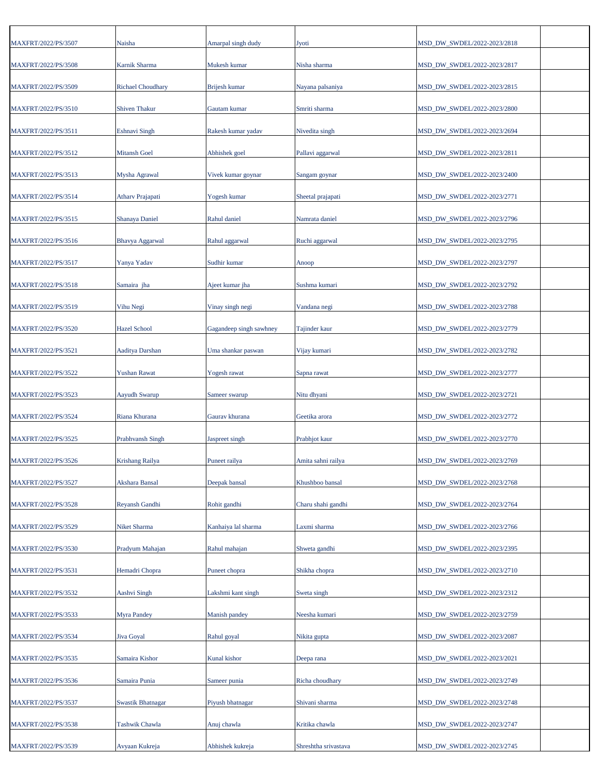| MAXFRT/2022/PS/3507 | Naisha                   | Amarpal singh dudy      | Jyoti                | MSD_DW_SWDEL/2022-2023/2818 |
|---------------------|--------------------------|-------------------------|----------------------|-----------------------------|
| MAXFRT/2022/PS/3508 | Karnik Sharma            | Mukesh kumar            | Nisha sharma         | MSD_DW_SWDEL/2022-2023/2817 |
| MAXFRT/2022/PS/3509 | <b>Richael Choudhary</b> | Brijesh kumar           | Nayana palsaniya     | MSD DW SWDEL/2022-2023/2815 |
| MAXFRT/2022/PS/3510 | <b>Shiven Thakur</b>     | Gautam kumar            | Smriti sharma        | MSD_DW_SWDEL/2022-2023/2800 |
|                     |                          |                         |                      |                             |
| MAXFRT/2022/PS/3511 | <b>Eshnavi Singh</b>     | Rakesh kumar yadav      | Nivedita singh       | MSD_DW_SWDEL/2022-2023/2694 |
| MAXFRT/2022/PS/3512 | <b>Mitansh Goel</b>      | Abhishek goel           | Pallavi aggarwal     | MSD_DW_SWDEL/2022-2023/2811 |
| MAXFRT/2022/PS/3513 | Mysha Agrawal            | Vivek kumar goynar      | Sangam goynar        | MSD_DW_SWDEL/2022-2023/2400 |
| MAXFRT/2022/PS/3514 | <b>Athary Prajapati</b>  | Yogesh kumar            | Sheetal prajapati    | MSD_DW_SWDEL/2022-2023/2771 |
| MAXFRT/2022/PS/3515 | Shanaya Daniel           | Rahul daniel            | Namrata daniel       | MSD_DW_SWDEL/2022-2023/2796 |
| MAXFRT/2022/PS/3516 | Bhavya Aggarwal          | Rahul aggarwal          | Ruchi aggarwal       | MSD_DW_SWDEL/2022-2023/2795 |
| MAXFRT/2022/PS/3517 | Yanya Yadav              | Sudhir kumar            | Anoop                | MSD_DW_SWDEL/2022-2023/2797 |
| MAXFRT/2022/PS/3518 | Samaira jha              | Ajeet kumar jha         | Sushma kumari        | MSD_DW_SWDEL/2022-2023/2792 |
| MAXFRT/2022/PS/3519 | Vihu Negi                | Vinay singh negi        | Vandana negi         | MSD DW SWDEL/2022-2023/2788 |
| MAXFRT/2022/PS/3520 | <b>Hazel School</b>      | Gagandeep singh sawhney | Tajinder kaur        | MSD_DW_SWDEL/2022-2023/2779 |
|                     |                          |                         |                      |                             |
| MAXFRT/2022/PS/3521 | Aaditya Darshan          | Uma shankar paswan      | Vijay kumari         | MSD_DW_SWDEL/2022-2023/2782 |
| MAXFRT/2022/PS/3522 | <b>Yushan Rawat</b>      | Yogesh rawat            | Sapna rawat          | MSD_DW_SWDEL/2022-2023/2777 |
| MAXFRT/2022/PS/3523 | <b>Aayudh Swarup</b>     | Sameer swarup           | Nitu dhyani          | MSD_DW_SWDEL/2022-2023/2721 |
| MAXFRT/2022/PS/3524 | Riana Khurana            | Gaurav khurana          | Geetika arora        | MSD_DW_SWDEL/2022-2023/2772 |
| MAXFRT/2022/PS/3525 | Prabhvansh Singh         | Jaspreet singh          | Prabhjot kaur        | MSD_DW_SWDEL/2022-2023/2770 |
| MAXFRT/2022/PS/3526 | <b>Krishang Railya</b>   | Puneet railya           | Amita sahni railya   | MSD_DW_SWDEL/2022-2023/2769 |
| MAXFRT/2022/PS/3527 | Akshara Bansal           | Deepak bansal           | Khushboo bansal      | MSD_DW_SWDEL/2022-2023/2768 |
| MAXFRT/2022/PS/3528 | Reyansh Gandhi           | Rohit gandhi            | Charu shahi gandhi   | MSD_DW_SWDEL/2022-2023/2764 |
| MAXFRT/2022/PS/3529 | Niket Sharma             | Kanhaiya lal sharma     | Laxmi sharma         | MSD_DW_SWDEL/2022-2023/2766 |
| MAXFRT/2022/PS/3530 | Pradyum Mahajan          | Rahul mahajan           | Shweta gandhi        | MSD_DW_SWDEL/2022-2023/2395 |
| MAXFRT/2022/PS/3531 | Hemadri Chopra           | Puneet chopra           | Shikha chopra        | MSD DW SWDEL/2022-2023/2710 |
|                     |                          |                         |                      |                             |
| MAXFRT/2022/PS/3532 | Aashvi Singh             | Lakshmi kant singh      | Sweta singh          | MSD_DW_SWDEL/2022-2023/2312 |
| MAXFRT/2022/PS/3533 | Myra Pandey              | Manish pandey           | Neesha kumari        | MSD_DW_SWDEL/2022-2023/2759 |
| MAXFRT/2022/PS/3534 | Jiva Goyal               | Rahul goyal             | Nikita gupta         | MSD_DW_SWDEL/2022-2023/2087 |
| MAXFRT/2022/PS/3535 | Samaira Kishor           | Kunal kishor            | Deepa rana           | MSD_DW_SWDEL/2022-2023/2021 |
| MAXFRT/2022/PS/3536 | Samaira Punia            | Sameer punia            | Richa choudhary      | MSD_DW_SWDEL/2022-2023/2749 |
| MAXFRT/2022/PS/3537 | <b>Swastik Bhatnagar</b> | Piyush bhatnagar        | Shivani sharma       | MSD_DW_SWDEL/2022-2023/2748 |
| MAXFRT/2022/PS/3538 | Tashwik Chawla           | Anuj chawla             | Kritika chawla       | MSD_DW_SWDEL/2022-2023/2747 |
| MAXFRT/2022/PS/3539 | Avyaan Kukreja           | Abhishek kukreja        | Shreshtha srivastava | MSD_DW_SWDEL/2022-2023/2745 |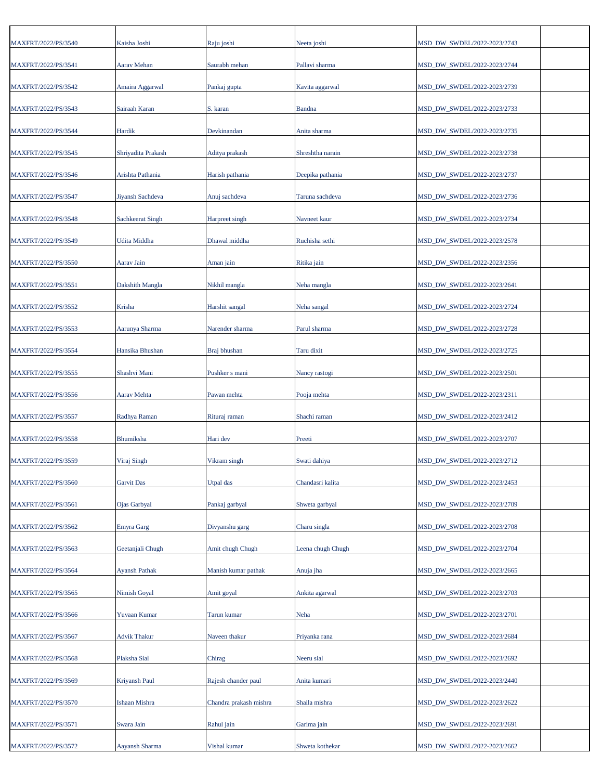| MAXFRT/2022/PS/3540 | Kaisha Joshi         | Raju joshi             | Neeta joshi       | MSD_DW_SWDEL/2022-2023/2743 |
|---------------------|----------------------|------------------------|-------------------|-----------------------------|
| MAXFRT/2022/PS/3541 | Aarav Mehan          | Saurabh mehan          | Pallavi sharma    | MSD_DW_SWDEL/2022-2023/2744 |
| MAXFRT/2022/PS/3542 | Amaira Aggarwal      | Pankaj gupta           | Kavita aggarwal   | MSD_DW_SWDEL/2022-2023/2739 |
| MAXFRT/2022/PS/3543 | Sairaah Karan        | S. karan               | <b>Bandna</b>     | MSD_DW_SWDEL/2022-2023/2733 |
| MAXFRT/2022/PS/3544 | Hardik               | Devkinandan            | Anita sharma      | MSD_DW_SWDEL/2022-2023/2735 |
| MAXFRT/2022/PS/3545 | Shriyadita Prakash   | Aditya prakash         | Shreshtha narain  | MSD_DW_SWDEL/2022-2023/2738 |
| MAXFRT/2022/PS/3546 | Arishta Pathania     | Harish pathania        | Deepika pathania  | MSD_DW_SWDEL/2022-2023/2737 |
| MAXFRT/2022/PS/3547 | Jiyansh Sachdeva     | Anuj sachdeva          | Taruna sachdeva   | MSD_DW_SWDEL/2022-2023/2736 |
|                     |                      |                        |                   |                             |
| MAXFRT/2022/PS/3548 | Sachkeerat Singh     | Harpreet singh         | Navneet kaur      | MSD_DW_SWDEL/2022-2023/2734 |
| MAXFRT/2022/PS/3549 | Udita Middha         | Dhawal middha          | Ruchisha sethi    | MSD_DW_SWDEL/2022-2023/2578 |
| MAXFRT/2022/PS/3550 | Aarav Jain           | Aman jain              | Ritika jain       | MSD_DW_SWDEL/2022-2023/2356 |
| MAXFRT/2022/PS/3551 | Dakshith Mangla      | Nikhil mangla          | Neha mangla       | MSD_DW_SWDEL/2022-2023/2641 |
| MAXFRT/2022/PS/3552 | Krisha               | Harshit sangal         | Neha sangal       | MSD DW SWDEL/2022-2023/2724 |
| MAXFRT/2022/PS/3553 | Aarunya Sharma       | Narender sharma        | Parul sharma      | MSD_DW_SWDEL/2022-2023/2728 |
| MAXFRT/2022/PS/3554 | Hansika Bhushan      | Braj bhushan           | Taru dixit        | MSD_DW_SWDEL/2022-2023/2725 |
| MAXFRT/2022/PS/3555 | Shashvi Mani         | Pushker s mani         | Nancy rastogi     | MSD_DW_SWDEL/2022-2023/2501 |
| MAXFRT/2022/PS/3556 | Aarav Mehta          | Pawan mehta            | Pooja mehta       | MSD_DW_SWDEL/2022-2023/2311 |
| MAXFRT/2022/PS/3557 | Radhya Raman         | Rituraj raman          | Shachi raman      | MSD_DW_SWDEL/2022-2023/2412 |
| MAXFRT/2022/PS/3558 | Bhumiksha            | Hari dev               | Preeti            | MSD_DW_SWDEL/2022-2023/2707 |
| MAXFRT/2022/PS/3559 | Viraj Singh          | Vikram singh           | Swati dahiya      | MSD_DW_SWDEL/2022-2023/2712 |
| MAXFRT/2022/PS/3560 | <b>Garvit Das</b>    | Utpal das              | Chandasri kalita  | MSD DW SWDEL/2022-2023/2453 |
| MAXFRT/2022/PS/3561 | Ojas Garbyal         | Pankaj garbyal         | Shweta garbyal    | MSD_DW_SWDEL/2022-2023/2709 |
| MAXFRT/2022/PS/3562 | Emyra Garg           | Divyanshu garg         | Charu singla      | MSD_DW_SWDEL/2022-2023/2708 |
| MAXFRT/2022/PS/3563 | Geetanjali Chugh     | Amit chugh Chugh       | Leena chugh Chugh | MSD_DW_SWDEL/2022-2023/2704 |
| MAXFRT/2022/PS/3564 | <b>Ayansh Pathak</b> | Manish kumar pathak    | Anuja jha         | MSD DW SWDEL/2022-2023/2665 |
| MAXFRT/2022/PS/3565 | Nimish Goyal         | Amit goyal             | Ankita agarwal    | MSD_DW_SWDEL/2022-2023/2703 |
|                     |                      |                        |                   |                             |
| MAXFRT/2022/PS/3566 | Yuvaan Kumar         | Tarun kumar            | Neha              | MSD_DW_SWDEL/2022-2023/2701 |
| MAXFRT/2022/PS/3567 | <b>Advik Thakur</b>  | Naveen thakur          | Priyanka rana     | MSD_DW_SWDEL/2022-2023/2684 |
| MAXFRT/2022/PS/3568 | Plaksha Sial         | Chirag                 | Neeru sial        | MSD_DW_SWDEL/2022-2023/2692 |
| MAXFRT/2022/PS/3569 | Kriyansh Paul        | Rajesh chander paul    | Anita kumari      | MSD_DW_SWDEL/2022-2023/2440 |
| MAXFRT/2022/PS/3570 | Ishaan Mishra        | Chandra prakash mishra | Shaila mishra     | MSD_DW_SWDEL/2022-2023/2622 |
| MAXFRT/2022/PS/3571 | Swara Jain           | Rahul jain             | Garima jain       | MSD_DW_SWDEL/2022-2023/2691 |
| MAXFRT/2022/PS/3572 | Aayansh Sharma       | Vishal kumar           | Shweta kothekar   | MSD_DW_SWDEL/2022-2023/2662 |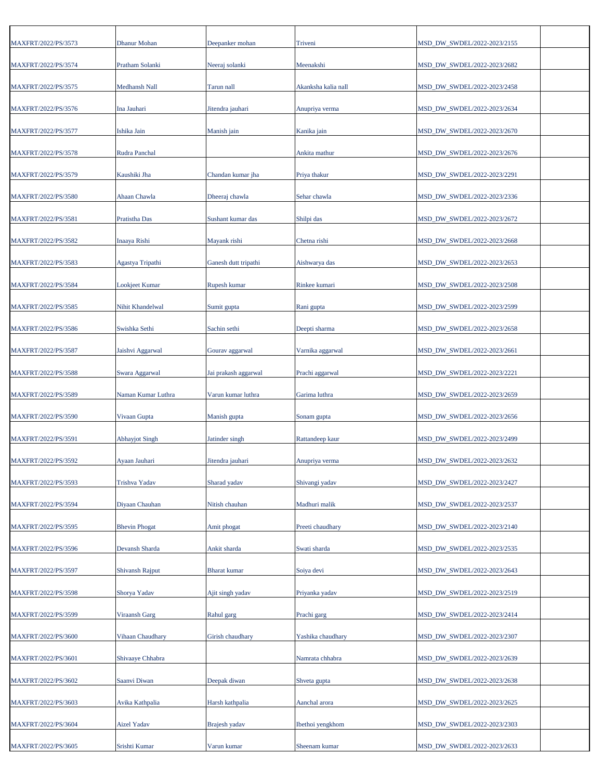| MAXFRT/2022/PS/3573 | Dhanur Mohan           | Deepanker mohan      | Triveni             | MSD_DW_SWDEL/2022-2023/2155                                |  |
|---------------------|------------------------|----------------------|---------------------|------------------------------------------------------------|--|
| MAXFRT/2022/PS/3574 | Pratham Solanki        | Neeraj solanki       | Meenakshi           | MSD_DW_SWDEL/2022-2023/2682                                |  |
| MAXFRT/2022/PS/3575 | Medhansh Nall          | Tarun nall           | Akanksha kalia nall | MSD_DW_SWDEL/2022-2023/2458                                |  |
| MAXFRT/2022/PS/3576 | Ina Jauhari            | Jitendra jauhari     | Anupriya verma      | MSD_DW_SWDEL/2022-2023/2634                                |  |
| MAXFRT/2022/PS/3577 | Ishika Jain            | Manish jain          | Kanika jain         | MSD_DW_SWDEL/2022-2023/2670                                |  |
| MAXFRT/2022/PS/3578 | Rudra Panchal          |                      | Ankita mathur       | MSD_DW_SWDEL/2022-2023/2676                                |  |
| MAXFRT/2022/PS/3579 | Kaushiki Jha           | Chandan kumar jha    | Priya thakur        | MSD_DW_SWDEL/2022-2023/2291                                |  |
| MAXFRT/2022/PS/3580 | Ahaan Chawla           | Dheeraj chawla       | Sehar chawla        | MSD_DW_SWDEL/2022-2023/2336                                |  |
| MAXFRT/2022/PS/3581 | Pratistha Das          | Sushant kumar das    | Shilpi das          | MSD_DW_SWDEL/2022-2023/2672                                |  |
| MAXFRT/2022/PS/3582 | Inaaya Rishi           | Mayank rishi         | Chetna rishi        | MSD_DW_SWDEL/2022-2023/2668                                |  |
| MAXFRT/2022/PS/3583 | Agastya Tripathi       | Ganesh dutt tripathi | Aishwarya das       | MSD_DW_SWDEL/2022-2023/2653                                |  |
| MAXFRT/2022/PS/3584 | <b>Lookjeet Kumar</b>  | Rupesh kumar         | Rinkee kumari       | MSD_DW_SWDEL/2022-2023/2508                                |  |
| MAXFRT/2022/PS/3585 | Nihit Khandelwal       | Sumit gupta          | Rani gupta          | MSD_DW_SWDEL/2022-2023/2599                                |  |
| MAXFRT/2022/PS/3586 | Swishka Sethi          | Sachin sethi         | Deepti sharma       | MSD_DW_SWDEL/2022-2023/2658                                |  |
| MAXFRT/2022/PS/3587 | Jaishvi Aggarwal       | Gourav aggarwal      | Varnika aggarwal    | MSD_DW_SWDEL/2022-2023/2661                                |  |
| MAXFRT/2022/PS/3588 | Swara Aggarwal         | Jai prakash aggarwal | Prachi aggarwal     | MSD_DW_SWDEL/2022-2023/2221                                |  |
| MAXFRT/2022/PS/3589 | Naman Kumar Luthra     | Varun kumar luthra   | Garima luthra       | MSD_DW_SWDEL/2022-2023/2659                                |  |
| MAXFRT/2022/PS/3590 | Vivaan Gupta           | Manish gupta         | Sonam gupta         | MSD_DW_SWDEL/2022-2023/2656                                |  |
| MAXFRT/2022/PS/3591 | Abhayjot Singh         | Jatinder singh       | Rattandeep kaur     | MSD_DW_SWDEL/2022-2023/2499                                |  |
| MAXFRT/2022/PS/3592 | Ayaan Jauhari          | Jitendra jauhari     | Anupriya verma      | MSD_DW_SWDEL/2022-2023/2632                                |  |
| MAXFRT/2022/PS/3593 | Trishva Yadav          | Sharad yadav         | Shivangi yadav      | MSD_DW_SWDEL/2022-2023/2427                                |  |
| MAXFRT/2022/PS/3594 | Diyaan Chauhan         | Nitish chauhan       | Madhuri malik       | MSD DW SWDEL/2022-2023/2537                                |  |
| MAXFRT/2022/PS/3595 | <b>Bhevin Phogat</b>   | Amit phogat          | Preeti chaudhary    | MSD_DW_SWDEL/2022-2023/2140                                |  |
| MAXFRT/2022/PS/3596 | Devansh Sharda         | Ankit sharda         | Swati sharda        | MSD_DW_SWDEL/2022-2023/2535                                |  |
| MAXFRT/2022/PS/3597 | <b>Shivansh Rajput</b> | <b>Bharat</b> kumar  | Soiya devi          | MSD_DW_SWDEL/2022-2023/2643                                |  |
| MAXFRT/2022/PS/3598 | Shorya Yadav           | Ajit singh yadav     | Priyanka yadav      | MSD_DW_SWDEL/2022-2023/2519                                |  |
| MAXFRT/2022/PS/3599 | Viraansh Garg          | Rahul garg           | Prachi garg         | MSD_DW_SWDEL/2022-2023/2414                                |  |
|                     |                        |                      |                     |                                                            |  |
| MAXFRT/2022/PS/3600 | Vihaan Chaudhary       | Girish chaudhary     | Yashika chaudhary   | MSD_DW_SWDEL/2022-2023/2307<br>MSD_DW_SWDEL/2022-2023/2639 |  |
| MAXFRT/2022/PS/3601 | Shivaaye Chhabra       |                      | Namrata chhabra     |                                                            |  |
| MAXFRT/2022/PS/3602 | Saanvi Diwan           | Deepak diwan         | Shveta gupta        | MSD_DW_SWDEL/2022-2023/2638                                |  |
| MAXFRT/2022/PS/3603 | Avika Kathpalia        | Harsh kathpalia      | Aanchal arora       | MSD_DW_SWDEL/2022-2023/2625                                |  |
| MAXFRT/2022/PS/3604 | <b>Aizel Yadav</b>     | Brajesh yadav        | Ibethoi yengkhom    | MSD_DW_SWDEL/2022-2023/2303                                |  |
| MAXFRT/2022/PS/3605 | Srishti Kumar          | Varun kumar          | Sheenam kumar       | MSD_DW_SWDEL/2022-2023/2633                                |  |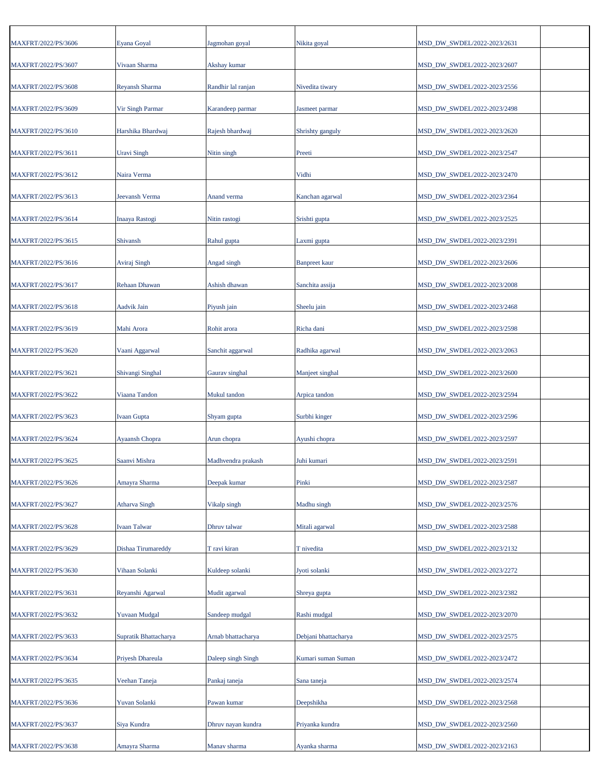| MAXFRT/2022/PS/3606 | Eyana Goyal           | Jagmohan goyal     | Nikita goyal         | MSD_DW_SWDEL/2022-2023/2631 |
|---------------------|-----------------------|--------------------|----------------------|-----------------------------|
| MAXFRT/2022/PS/3607 | Vivaan Sharma         | Akshay kumar       |                      | MSD_DW_SWDEL/2022-2023/2607 |
| MAXFRT/2022/PS/3608 | <b>Reyansh Sharma</b> | Randhir lal ranjan | Nivedita tiwary      | MSD_DW_SWDEL/2022-2023/2556 |
| MAXFRT/2022/PS/3609 | Vir Singh Parmar      | Karandeep parmar   | Jasmeet parmar       | MSD_DW_SWDEL/2022-2023/2498 |
| MAXFRT/2022/PS/3610 | Harshika Bhardwaj     | Rajesh bhardwaj    | Shrishty ganguly     | MSD_DW_SWDEL/2022-2023/2620 |
| MAXFRT/2022/PS/3611 | Uravi Singh           | Nitin singh        | Preeti               | MSD_DW_SWDEL/2022-2023/2547 |
| MAXFRT/2022/PS/3612 | Naira Verma           |                    | Vidhi                | MSD_DW_SWDEL/2022-2023/2470 |
| MAXFRT/2022/PS/3613 | Jeevansh Verma        | <b>Anand verma</b> | Kanchan agarwal      | MSD_DW_SWDEL/2022-2023/2364 |
| MAXFRT/2022/PS/3614 | Inaaya Rastogi        | Nitin rastogi      | Srishti gupta        | MSD_DW_SWDEL/2022-2023/2525 |
| MAXFRT/2022/PS/3615 | Shivansh              | Rahul gupta        | Laxmi gupta          | MSD_DW_SWDEL/2022-2023/2391 |
| MAXFRT/2022/PS/3616 | Aviraj Singh          | Angad singh        | <b>Banpreet</b> kaur | MSD_DW_SWDEL/2022-2023/2606 |
| MAXFRT/2022/PS/3617 | <b>Rehaan Dhawan</b>  | Ashish dhawan      | Sanchita assija      | MSD_DW_SWDEL/2022-2023/2008 |
| MAXFRT/2022/PS/3618 | <b>Aadvik Jain</b>    | Piyush jain        | Sheelu jain          | MSD_DW_SWDEL/2022-2023/2468 |
| MAXFRT/2022/PS/3619 | Mahi Arora            | Rohit arora        | Richa dani           | MSD_DW_SWDEL/2022-2023/2598 |
| MAXFRT/2022/PS/3620 | Vaani Aggarwal        | Sanchit aggarwal   | Radhika agarwal      | MSD_DW_SWDEL/2022-2023/2063 |
| MAXFRT/2022/PS/3621 | Shivangi Singhal      | Gaurav singhal     | Manjeet singhal      | MSD_DW_SWDEL/2022-2023/2600 |
| MAXFRT/2022/PS/3622 | Viaana Tandon         | Mukul tandon       | Arpica tandon        | MSD_DW_SWDEL/2022-2023/2594 |
| MAXFRT/2022/PS/3623 | <b>Ivaan Gupta</b>    | Shyam gupta        | Surbhi kinger        | MSD_DW_SWDEL/2022-2023/2596 |
| MAXFRT/2022/PS/3624 | Ayaansh Chopra        | Arun chopra        | Ayushi chopra        | MSD_DW_SWDEL/2022-2023/2597 |
| MAXFRT/2022/PS/3625 | Saanvi Mishra         | Madhvendra prakash | Juhi kumari          | MSD_DW_SWDEL/2022-2023/2591 |
| MAXFRT/2022/PS/3626 | Amayra Sharma         | Deepak kumar       | Pinki                | MSD_DW_SWDEL/2022-2023/2587 |
| MAXFRT/2022/PS/3627 | <b>Atharva Singh</b>  | Vikalp singh       | Madhu singh          | MSD DW SWDEL/2022-2023/2576 |
| MAXFRT/2022/PS/3628 | <b>Ivaan Talwar</b>   | Dhruv talwar       | Mitali agarwal       | MSD_DW_SWDEL/2022-2023/2588 |
| MAXFRT/2022/PS/3629 | Dishaa Tirumareddy    | T ravi kiran       | T nivedita           | MSD_DW_SWDEL/2022-2023/2132 |
| MAXFRT/2022/PS/3630 | Vihaan Solanki        | Kuldeep solanki    | Jyoti solanki        | MSD_DW_SWDEL/2022-2023/2272 |
| MAXFRT/2022/PS/3631 | Reyanshi Agarwal      | Mudit agarwal      | Shreya gupta         | MSD_DW_SWDEL/2022-2023/2382 |
| MAXFRT/2022/PS/3632 | <b>Yuvaan Mudgal</b>  | Sandeep mudgal     | Rashi mudgal         | MSD_DW_SWDEL/2022-2023/2070 |
| MAXFRT/2022/PS/3633 | Supratik Bhattacharya | Arnab bhattacharya | Debjani bhattacharya | MSD_DW_SWDEL/2022-2023/2575 |
| MAXFRT/2022/PS/3634 | Priyesh Dhareula      | Daleep singh Singh | Kumari suman Suman   | MSD_DW_SWDEL/2022-2023/2472 |
| MAXFRT/2022/PS/3635 | Veehan Taneja         | Pankaj taneja      | Sana taneja          | MSD_DW_SWDEL/2022-2023/2574 |
| MAXFRT/2022/PS/3636 | Yuvan Solanki         | Pawan kumar        | Deepshikha           | MSD_DW_SWDEL/2022-2023/2568 |
| MAXFRT/2022/PS/3637 | Siya Kundra           | Dhruv nayan kundra | Priyanka kundra      | MSD_DW_SWDEL/2022-2023/2560 |
| MAXFRT/2022/PS/3638 | Amayra Sharma         | Manav sharma       | Ayanka sharma        | MSD_DW_SWDEL/2022-2023/2163 |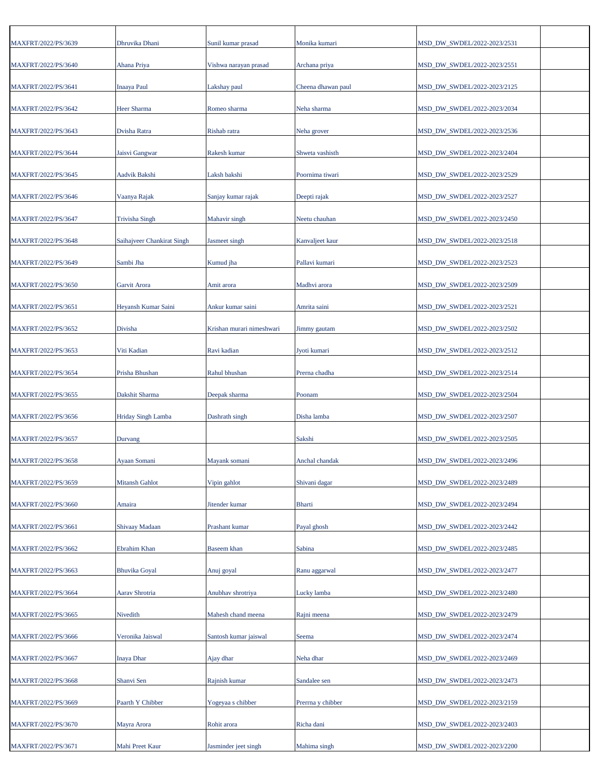| MAXFRT/2022/PS/3639 | Dhruvika Dhani             | Sunil kumar prasad        | Monika kumari      | MSD_DW_SWDEL/2022-2023/2531 |
|---------------------|----------------------------|---------------------------|--------------------|-----------------------------|
| MAXFRT/2022/PS/3640 | Ahana Priya                | Vishwa narayan prasad     | Archana priya      | MSD_DW_SWDEL/2022-2023/2551 |
| MAXFRT/2022/PS/3641 | <b>Inaaya Paul</b>         | Lakshay paul              | Cheena dhawan paul | MSD_DW_SWDEL/2022-2023/2125 |
| MAXFRT/2022/PS/3642 | Heer Sharma                | Romeo sharma              | Neha sharma        | MSD_DW_SWDEL/2022-2023/2034 |
| MAXFRT/2022/PS/3643 | Dvisha Ratra               | Rishab ratra              | Neha grover        | MSD_DW_SWDEL/2022-2023/2536 |
| MAXFRT/2022/PS/3644 | Jaisvi Gangwar             | Rakesh kumar              | Shweta vashisth    | MSD DW SWDEL/2022-2023/2404 |
| MAXFRT/2022/PS/3645 | Aadvik Bakshi              | Laksh bakshi              | Poornima tiwari    | MSD_DW_SWDEL/2022-2023/2529 |
| MAXFRT/2022/PS/3646 | Vaanya Rajak               | Sanjay kumar rajak        | Deepti rajak       | MSD_DW_SWDEL/2022-2023/2527 |
| MAXFRT/2022/PS/3647 | <b>Trivisha Singh</b>      | Mahavir singh             | Neetu chauhan      | MSD_DW_SWDEL/2022-2023/2450 |
| MAXFRT/2022/PS/3648 | Saihajveer Chankirat Singh | Jasmeet singh             | Kanvaljeet kaur    | MSD_DW_SWDEL/2022-2023/2518 |
| MAXFRT/2022/PS/3649 | Sambi Jha                  | Kumud jha                 | Pallavi kumari     | MSD_DW_SWDEL/2022-2023/2523 |
| MAXFRT/2022/PS/3650 | Garvit Arora               | Amit arora                | Madhvi arora       | MSD_DW_SWDEL/2022-2023/2509 |
| MAXFRT/2022/PS/3651 | Heyansh Kumar Saini        | Ankur kumar saini         | Amrita saini       | MSD_DW_SWDEL/2022-2023/2521 |
| MAXFRT/2022/PS/3652 | Divisha                    | Krishan murari nimeshwari | Jimmy gautam       | MSD_DW_SWDEL/2022-2023/2502 |
| MAXFRT/2022/PS/3653 | Viti Kadian                | Ravi kadian               | Jyoti kumari       | MSD_DW_SWDEL/2022-2023/2512 |
| MAXFRT/2022/PS/3654 | Prisha Bhushan             | Rahul bhushan             | Prerna chadha      | MSD_DW_SWDEL/2022-2023/2514 |
| MAXFRT/2022/PS/3655 | Dakshit Sharma             | Deepak sharma             | Poonam             | MSD_DW_SWDEL/2022-2023/2504 |
| MAXFRT/2022/PS/3656 | Hriday Singh Lamba         | Dashrath singh            | Disha lamba        | MSD_DW_SWDEL/2022-2023/2507 |
| MAXFRT/2022/PS/3657 | Durvang                    |                           | Sakshi             | MSD_DW_SWDEL/2022-2023/2505 |
| MAXFRT/2022/PS/3658 | Ayaan Somani               | Mayank somani             | Anchal chandak     | MSD_DW_SWDEL/2022-2023/2496 |
| MAXFRT/2022/PS/3659 | Mitansh Gahlot             | Vipin gahlot              | Shivani dagar      | MSD DW SWDEL/2022-2023/2489 |
| MAXFRT/2022/PS/3660 | Amaira                     | Jitender kumar            | <b>Bharti</b>      | MSD DW SWDEL/2022-2023/2494 |
| MAXFRT/2022/PS/3661 | Shivaay Madaan             | Prashant kumar            | Payal ghosh        | MSD_DW_SWDEL/2022-2023/2442 |
| MAXFRT/2022/PS/3662 | Ebrahim Khan               | Baseem khan               | Sabina             | MSD_DW_SWDEL/2022-2023/2485 |
| MAXFRT/2022/PS/3663 | <b>Bhuvika Goyal</b>       | Anuj goyal                | Ranu aggarwal      | MSD DW SWDEL/2022-2023/2477 |
| MAXFRT/2022/PS/3664 | Aarav Shrotria             | Anubhav shrotriya         | Lucky lamba        | MSD_DW_SWDEL/2022-2023/2480 |
| MAXFRT/2022/PS/3665 | Nivedith                   | Mahesh chand meena        | Rajni meena        | MSD_DW_SWDEL/2022-2023/2479 |
| MAXFRT/2022/PS/3666 | Veronika Jaiswal           | Santosh kumar jaiswal     | Seema              | MSD_DW_SWDEL/2022-2023/2474 |
| MAXFRT/2022/PS/3667 | Inaya Dhar                 | Ajay dhar                 | Neha dhar          | MSD_DW_SWDEL/2022-2023/2469 |
| MAXFRT/2022/PS/3668 | Shanvi Sen                 | Rajnish kumar             | Sandalee sen       | MSD_DW_SWDEL/2022-2023/2473 |
| MAXFRT/2022/PS/3669 | Paarth Y Chibber           | Yogeyaa s chibber         | Prerrna y chibber  | MSD_DW_SWDEL/2022-2023/2159 |
| MAXFRT/2022/PS/3670 | Mayra Arora                | Rohit arora               | Richa dani         | MSD_DW_SWDEL/2022-2023/2403 |
| MAXFRT/2022/PS/3671 | Mahi Preet Kaur            | Jasminder jeet singh      | Mahima singh       | MSD_DW_SWDEL/2022-2023/2200 |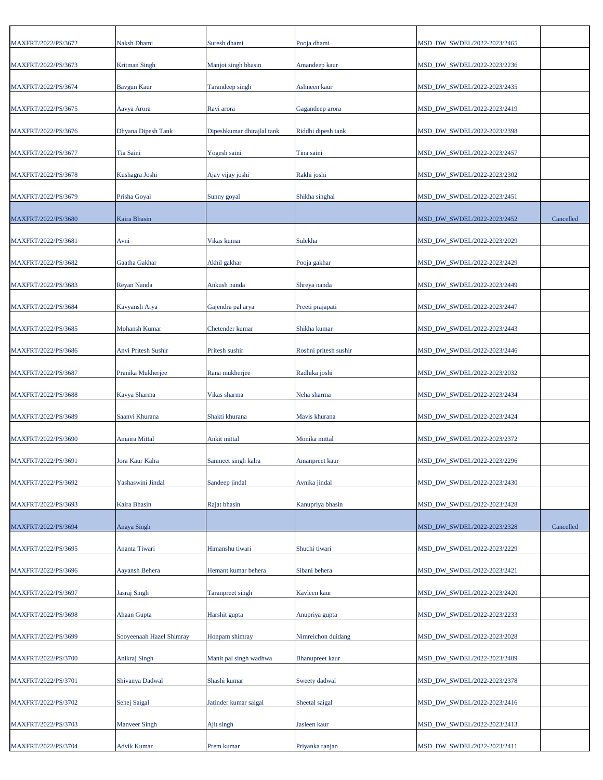| MAXFRT/2022/PS/3672 | Naksh Dhami              | Suresh dhami               | Pooja dhami            | MSD_DW_SWDEL/2022-2023/2465 |           |
|---------------------|--------------------------|----------------------------|------------------------|-----------------------------|-----------|
| MAXFRT/2022/PS/3673 | <b>Kritman Singh</b>     | Manjot singh bhasin        | Amandeep kaur          | MSD_DW_SWDEL/2022-2023/2236 |           |
| MAXFRT/2022/PS/3674 | <b>Bavgun Kaur</b>       | Tarandeep singh            | Ashneen kaur           | MSD_DW_SWDEL/2022-2023/2435 |           |
| MAXFRT/2022/PS/3675 | Aavya Arora              | Ravi arora                 | Gagandeep arora        | MSD_DW_SWDEL/2022-2023/2419 |           |
| MAXFRT/2022/PS/3676 | Dhyana Dipesh Tank       | Dipeshkumar dhirajlal tank | Riddhi dipesh tank     | MSD_DW_SWDEL/2022-2023/2398 |           |
| MAXFRT/2022/PS/3677 | Tia Saini                | Yogesh saini               | Tina saini             | MSD_DW_SWDEL/2022-2023/2457 |           |
| MAXFRT/2022/PS/3678 | Kushagra Joshi           | Ajay vijay joshi           | Rakhi joshi            | MSD_DW_SWDEL/2022-2023/2302 |           |
| MAXFRT/2022/PS/3679 | Prisha Goyal             | Sunny goyal                | Shikha singhal         | MSD_DW_SWDEL/2022-2023/2451 |           |
| MAXFRT/2022/PS/3680 | Kaira Bhasin             |                            |                        | MSD_DW_SWDEL/2022-2023/2452 | Cancelled |
| MAXFRT/2022/PS/3681 | Avni                     | Vikas kumar                | Sulekha                | MSD_DW_SWDEL/2022-2023/2029 |           |
| MAXFRT/2022/PS/3682 | Gaatha Gakhar            | Akhil gakhar               | Pooja gakhar           | MSD_DW_SWDEL/2022-2023/2429 |           |
| MAXFRT/2022/PS/3683 | Reyan Nanda              | Ankush nanda               | Shreya nanda           | MSD_DW_SWDEL/2022-2023/2449 |           |
| MAXFRT/2022/PS/3684 | Kavyansh Arya            | Gajendra pal arya          | Preeti prajapati       | MSD DW SWDEL/2022-2023/2447 |           |
| MAXFRT/2022/PS/3685 | <b>Mohansh Kumar</b>     | Chetender kumar            | Shikha kumar           | MSD_DW_SWDEL/2022-2023/2443 |           |
| MAXFRT/2022/PS/3686 | Anvi Pritesh Sushir      | Pritesh sushir             | Roshni pritesh sushir  | MSD_DW_SWDEL/2022-2023/2446 |           |
| MAXFRT/2022/PS/3687 | Pranika Mukherjee        | Rana mukherjee             | Radhika joshi          | MSD_DW_SWDEL/2022-2023/2032 |           |
| MAXFRT/2022/PS/3688 | Kavya Sharma             | Vikas sharma               | Neha sharma            | MSD_DW_SWDEL/2022-2023/2434 |           |
| MAXFRT/2022/PS/3689 | Saanvi Khurana           | Shakti khurana             | Mavis khurana          | MSD_DW_SWDEL/2022-2023/2424 |           |
| MAXFRT/2022/PS/3690 | Amaira Mittal            | Ankit mittal               | Monika mittal          | MSD_DW_SWDEL/2022-2023/2372 |           |
| MAXFRT/2022/PS/3691 | Jora Kaur Kalra          | Sanmeet singh kalra        | Amanpreet kaur         | MSD DW SWDEL/2022-2023/2296 |           |
| MAXFRT/2022/PS/3692 | Yashaswini Jindal        | Sandeep jindal             | Avnika jindal          | MSD_DW_SWDEL/2022-2023/2430 |           |
| MAXFRT/2022/PS/3693 | Kaira Bhasin             | Rajat bhasin               | Kanupriya bhasin       | MSD_DW_SWDEL/2022-2023/2428 |           |
| MAXFRT/2022/PS/3694 | Anaya Singh              |                            |                        | MSD_DW_SWDEL/2022-2023/2328 | Cancelled |
| MAXFRT/2022/PS/3695 | Ananta Tiwari            | Himanshu tiwari            | Shuchi tiwari          | MSD DW SWDEL/2022-2023/2229 |           |
| MAXFRT/2022/PS/3696 | Aayansh Behera           | Hemant kumar behera        | Sibani behera          | MSD_DW_SWDEL/2022-2023/2421 |           |
| MAXFRT/2022/PS/3697 | Jasraj Singh             | <b>Taranpreet</b> singh    | Kavleen kaur           | MSD_DW_SWDEL/2022-2023/2420 |           |
| MAXFRT/2022/PS/3698 | Ahaan Gupta              | Harshit gupta              | Anupriya gupta         | MSD_DW_SWDEL/2022-2023/2233 |           |
| MAXFRT/2022/PS/3699 | Sooyeenaah Hazel Shimray | Honpam shimray             | Nimreichon duidang     | MSD_DW_SWDEL/2022-2023/2028 |           |
| MAXFRT/2022/PS/3700 | Anikraj Singh            | Manit pal singh wadhwa     | <b>Bhanupreet</b> kaur | MSD_DW_SWDEL/2022-2023/2409 |           |
| MAXFRT/2022/PS/3701 | Shivanya Dadwal          | Shashi kumar               | Sweety dadwal          | MSD_DW_SWDEL/2022-2023/2378 |           |
| MAXFRT/2022/PS/3702 | Sehej Saigal             | Jatinder kumar saigal      | Sheetal saigal         | MSD_DW_SWDEL/2022-2023/2416 |           |
| MAXFRT/2022/PS/3703 | <b>Manveer Singh</b>     | Ajit singh                 | Jasleen kaur           | MSD_DW_SWDEL/2022-2023/2413 |           |
| MAXFRT/2022/PS/3704 | Advik Kumar              | Prem kumar                 | Priyanka ranjan        | MSD_DW_SWDEL/2022-2023/2411 |           |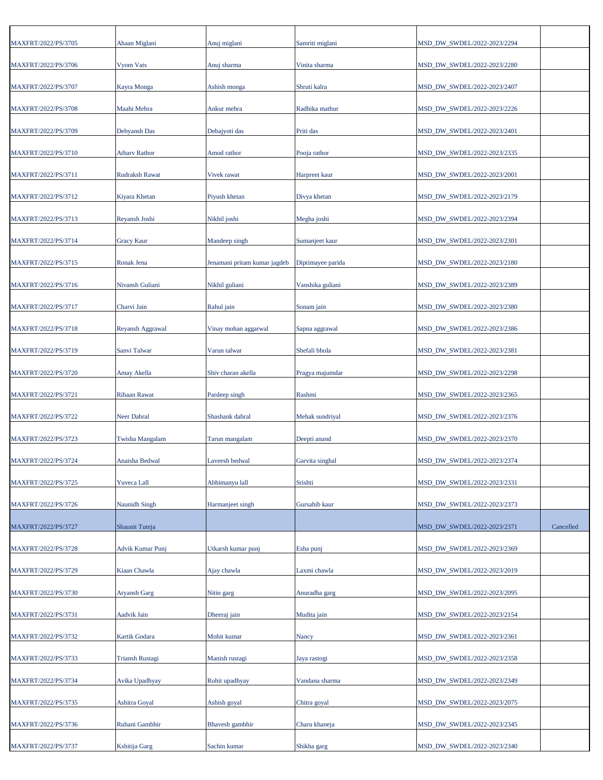| MAXFRT/2022/PS/3705 | Ahaan Miglani          | Anuj miglani                 | Samriti miglani   | MSD DW SWDEL/2022-2023/2294 |           |
|---------------------|------------------------|------------------------------|-------------------|-----------------------------|-----------|
| MAXFRT/2022/PS/3706 | Vyom Vats              | Anuj sharma                  | Vinita sharma     | MSD_DW_SWDEL/2022-2023/2280 |           |
| MAXFRT/2022/PS/3707 | Kayra Monga            | Ashish monga                 | Shruti kalra      | MSD_DW_SWDEL/2022-2023/2407 |           |
| MAXFRT/2022/PS/3708 | Maahi Mehra            | Ankur mehra                  | Radhika mathur    | MSD_DW_SWDEL/2022-2023/2226 |           |
| MAXFRT/2022/PS/3709 | Debyansh Das           | Debajyoti das                | Priti das         | MSD_DW_SWDEL/2022-2023/2401 |           |
| MAXFRT/2022/PS/3710 | <b>Athary Rathor</b>   | Amod rathor                  | Pooja rathor      | MSD_DW_SWDEL/2022-2023/2335 |           |
| MAXFRT/2022/PS/3711 | <b>Rudraksh Rawat</b>  | Vivek rawat                  | Harpreet kaur     | MSD_DW_SWDEL/2022-2023/2001 |           |
| MAXFRT/2022/PS/3712 | Kiyara Khetan          | Piyush khetan                | Divya khetan      | MSD_DW_SWDEL/2022-2023/2179 |           |
| MAXFRT/2022/PS/3713 | Reyansh Joshi          | Nikhil joshi                 | Megha joshi       | MSD DW SWDEL/2022-2023/2394 |           |
| MAXFRT/2022/PS/3714 | <b>Gracy Kaur</b>      | Mandeep singh                | Sumanjeet kaur    | MSD_DW_SWDEL/2022-2023/2301 |           |
| MAXFRT/2022/PS/3715 | Ronak Jena             | Jenamani pritam kumar jagdeb | Diptimayee parida | MSD_DW_SWDEL/2022-2023/2180 |           |
| MAXFRT/2022/PS/3716 | Nivansh Guliani        | Nikhil guliani               | Vanshika guliani  | MSD_DW_SWDEL/2022-2023/2389 |           |
| MAXFRT/2022/PS/3717 | Charvi Jain            | Rahul jain                   | Sonam jain        | MSD_DW_SWDEL/2022-2023/2380 |           |
| MAXFRT/2022/PS/3718 | Reyansh Aggrawal       | Vinay mohan aggarwal         | Sapna aggrawal    | MSD_DW_SWDEL/2022-2023/2386 |           |
| MAXFRT/2022/PS/3719 | Sanvi Talwar           | Varun talwar                 | Shefali bhola     | MSD_DW_SWDEL/2022-2023/2381 |           |
| MAXFRT/2022/PS/3720 | Amay Akella            | Shiv charan akella           | Pragya majumdar   | MSD_DW_SWDEL/2022-2023/2298 |           |
| MAXFRT/2022/PS/3721 | <b>Rihaan Rawat</b>    | Pardeep singh                | Rashmi            | MSD_DW_SWDEL/2022-2023/2365 |           |
| MAXFRT/2022/PS/3722 | <b>Neer Dabral</b>     | Shashank dabral              | Mehak sundriyal   | MSD_DW_SWDEL/2022-2023/2376 |           |
| MAXFRT/2022/PS/3723 | Twisha Mangalam        | Tarun mangalam               | Deepti anand      | MSD_DW_SWDEL/2022-2023/2370 |           |
| MAXFRT/2022/PS/3724 | Anaisha Bedwal         | Laveesh bedwal               | Garvita singhal   | MSD_DW_SWDEL/2022-2023/2374 |           |
| MAXFRT/2022/PS/3725 | Yuveca Lall            | Abhimanyu lall               | Srishti           | MSD_DW_SWDEL/2022-2023/2331 |           |
| MAXFRT/2022/PS/3726 | Naunidh Singh          | Harmanjeet singh             | Gursahib kaur     | MSD_DW_SWDEL/2022-2023/2373 |           |
| MAXFRT/2022/PS/3727 | Shaunit Tuteja         |                              |                   | MSD_DW_SWDEL/2022-2023/2371 | Cancelled |
| MAXFRT/2022/PS/3728 | Advik Kumar Punj       | Utkarsh kumar punj           | Esha punj         | MSD_DW_SWDEL/2022-2023/2369 |           |
| MAXFRT/2022/PS/3729 | Kiaan Chawla           | Ajay chawla                  | Laxmi chawla      | MSD DW SWDEL/2022-2023/2019 |           |
| MAXFRT/2022/PS/3730 | Aryansh Garg           | Nitin garg                   | Anuradha garg     | MSD_DW_SWDEL/2022-2023/2095 |           |
| MAXFRT/2022/PS/3731 | Aadvik Jain            | Dheeraj jain                 | Mudita jain       | MSD_DW_SWDEL/2022-2023/2154 |           |
| MAXFRT/2022/PS/3732 | Kartik Godara          | Mohit kumar                  | Nancy             | MSD_DW_SWDEL/2022-2023/2361 |           |
| MAXFRT/2022/PS/3733 | <b>Triansh Rustagi</b> | Manish rustagi               | Jaya rastogi      | MSD_DW_SWDEL/2022-2023/2358 |           |
| MAXFRT/2022/PS/3734 | Avika Upadhyay         | Rohit upadhyay               | Vandana sharma    | MSD_DW_SWDEL/2022-2023/2349 |           |
| MAXFRT/2022/PS/3735 | Ashitra Goyal          | Ashish goyal                 | Chitra goyal      | MSD_DW_SWDEL/2022-2023/2075 |           |
| MAXFRT/2022/PS/3736 | Ruhani Gambhir         | Bhavesh gambhir              | Charu khaneja     | MSD_DW_SWDEL/2022-2023/2345 |           |
| MAXFRT/2022/PS/3737 | Kshitija Garg          | Sachin kumar                 | Shikha garg       | MSD_DW_SWDEL/2022-2023/2340 |           |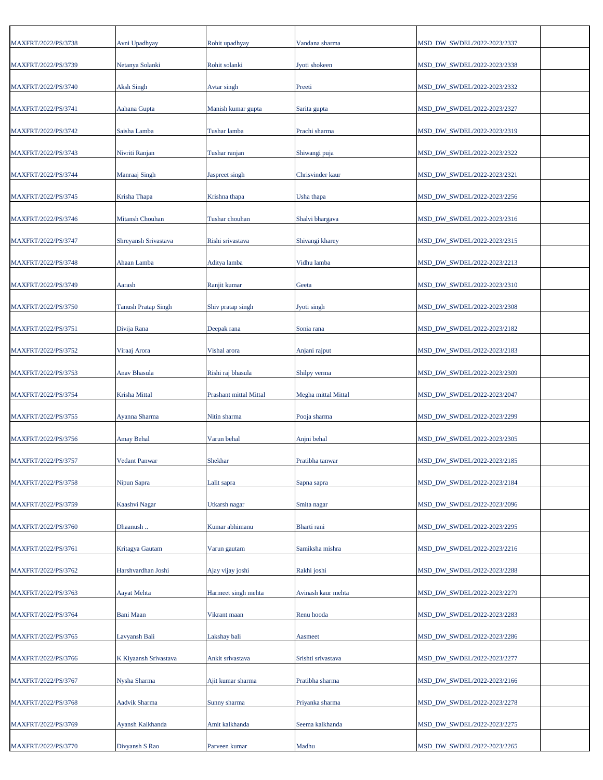| MAXFRT/2022/PS/3738 | Avni Upadhyay                          | Rohit upadhyay         | Vandana sharma      | MSD_DW_SWDEL/2022-2023/2337 |
|---------------------|----------------------------------------|------------------------|---------------------|-----------------------------|
| MAXFRT/2022/PS/3739 | Netanya Solanki                        | Rohit solanki          | Jyoti shokeen       | MSD_DW_SWDEL/2022-2023/2338 |
| MAXFRT/2022/PS/3740 | <b>Aksh Singh</b>                      | Avtar singh            | Preeti              | MSD_DW_SWDEL/2022-2023/2332 |
| MAXFRT/2022/PS/3741 | Aahana Gupta                           | Manish kumar gupta     | Sarita gupta        | MSD_DW_SWDEL/2022-2023/2327 |
| MAXFRT/2022/PS/3742 | Saisha Lamba                           | Tushar lamba           | Prachi sharma       | MSD_DW_SWDEL/2022-2023/2319 |
| MAXFRT/2022/PS/3743 | Nivriti Ranjan                         | Tushar ranjan          | Shiwangi puja       | MSD_DW_SWDEL/2022-2023/2322 |
| MAXFRT/2022/PS/3744 | Manraaj Singh                          | Jaspreet singh         | Chrisvinder kaur    | MSD_DW_SWDEL/2022-2023/2321 |
| MAXFRT/2022/PS/3745 | Krisha Thapa                           | Krishna thapa          | Usha thapa          | MSD_DW_SWDEL/2022-2023/2256 |
| MAXFRT/2022/PS/3746 | Mitansh Chouhan                        | Tushar chouhan         | Shalvi bhargava     | MSD_DW_SWDEL/2022-2023/2316 |
| MAXFRT/2022/PS/3747 | Shreyansh Srivastava                   | Rishi srivastava       | Shivangi kharey     | MSD_DW_SWDEL/2022-2023/2315 |
| MAXFRT/2022/PS/3748 | Ahaan Lamba                            | Aditya lamba           | Vidhu lamba         | MSD_DW_SWDEL/2022-2023/2213 |
| MAXFRT/2022/PS/3749 | Aarash                                 | Ranjit kumar           | Geeta               | MSD_DW_SWDEL/2022-2023/2310 |
| MAXFRT/2022/PS/3750 | <b>Tanush Pratap Singh</b>             | Shiv pratap singh      | Jyoti singh         | MSD_DW_SWDEL/2022-2023/2308 |
| MAXFRT/2022/PS/3751 | Divija Rana                            | Deepak rana            | Sonia rana          | MSD_DW_SWDEL/2022-2023/2182 |
| MAXFRT/2022/PS/3752 | Viraaj Arora                           | Vishal arora           | Anjani rajput       | MSD_DW_SWDEL/2022-2023/2183 |
| MAXFRT/2022/PS/3753 | Anav Bhasula                           | Rishi raj bhasula      | Shilpy verma        | MSD_DW_SWDEL/2022-2023/2309 |
| MAXFRT/2022/PS/3754 | Krisha Mittal                          | Prashant mittal Mittal | Megha mittal Mittal | MSD_DW_SWDEL/2022-2023/2047 |
| MAXFRT/2022/PS/3755 | Ayanna Sharma                          | Nitin sharma           | Pooja sharma        | MSD_DW_SWDEL/2022-2023/2299 |
| MAXFRT/2022/PS/3756 | Amay Behal                             | Varun behal            | Anjni behal         | MSD_DW_SWDEL/2022-2023/2305 |
| MAXFRT/2022/PS/3757 | <b>Vedant Panwar</b>                   | Shekhar                | Pratibha tanwar     | MSD DW SWDEL/2022-2023/2185 |
| MAXFRT/2022/PS/3758 | Nipun Sapra                            | Lalit sapra            | Sapna sapra         | MSD_DW_SWDEL/2022-2023/2184 |
| MAXFRT/2022/PS/3759 | Kaashvi Nagar                          | Utkarsh nagar          | Smita nagar         | MSD DW SWDEL/2022-2023/2096 |
| MAXFRT/2022/PS/3760 | Dhaanush                               | Kumar abhimanu         | Bharti rani         | MSD_DW_SWDEL/2022-2023/2295 |
| MAXFRT/2022/PS/3761 | Kritagya Gautam                        | Varun gautam           | Samiksha mishra     | MSD_DW_SWDEL/2022-2023/2216 |
| MAXFRT/2022/PS/3762 | Harshvardhan Joshi                     | Ajay vijay joshi       | Rakhi joshi         | MSD_DW_SWDEL/2022-2023/2288 |
| MAXFRT/2022/PS/3763 | Aayat Mehta                            | Harmeet singh mehta    | Avinash kaur mehta  | MSD_DW_SWDEL/2022-2023/2279 |
| MAXFRT/2022/PS/3764 | Bani Maan                              | Vikrant maan           | Renu hooda          | MSD_DW_SWDEL/2022-2023/2283 |
|                     |                                        |                        |                     |                             |
| MAXFRT/2022/PS/3765 | Lavyansh Bali<br>K Kiyaansh Srivastava | Lakshay bali           | Aasmeet             | MSD_DW_SWDEL/2022-2023/2286 |
| MAXFRT/2022/PS/3766 |                                        | Ankit srivastava       | Srishti srivastava  | MSD_DW_SWDEL/2022-2023/2277 |
| MAXFRT/2022/PS/3767 | Nysha Sharma                           | Ajit kumar sharma      | Pratibha sharma     | MSD_DW_SWDEL/2022-2023/2166 |
| MAXFRT/2022/PS/3768 | Aadvik Sharma                          | Sunny sharma           | Priyanka sharma     | MSD_DW_SWDEL/2022-2023/2278 |
| MAXFRT/2022/PS/3769 | Ayansh Kalkhanda                       | Amit kalkhanda         | Seema kalkhanda     | MSD_DW_SWDEL/2022-2023/2275 |
| MAXFRT/2022/PS/3770 | Divyansh S Rao                         | Parveen kumar          | Madhu               | MSD_DW_SWDEL/2022-2023/2265 |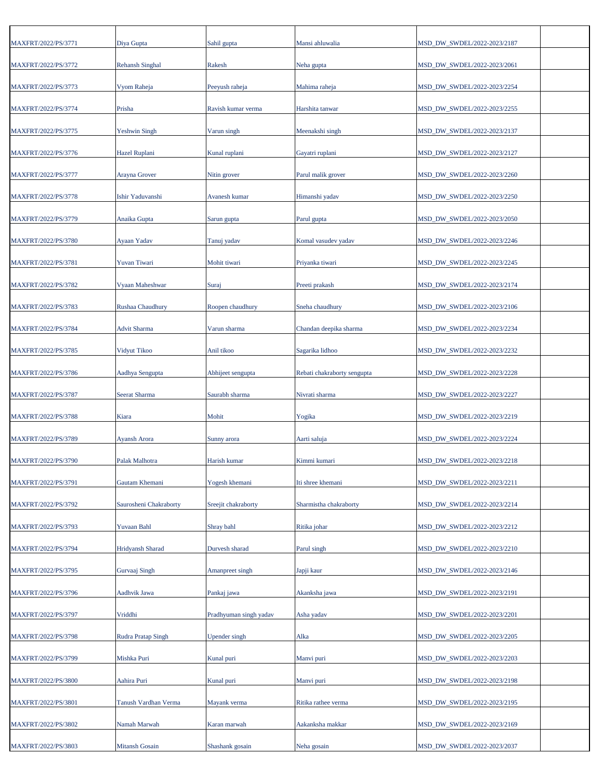| MAXFRT/2022/PS/3771 | Diya Gupta             | Sahil gupta            | Mansi ahluwalia             | MSD_DW_SWDEL/2022-2023/2187 |  |
|---------------------|------------------------|------------------------|-----------------------------|-----------------------------|--|
| MAXFRT/2022/PS/3772 | <b>Rehansh Singhal</b> | Rakesh                 | Neha gupta                  | MSD_DW_SWDEL/2022-2023/2061 |  |
| MAXFRT/2022/PS/3773 | Vyom Raheja            | Peeyush raheja         | Mahima raheja               | MSD_DW_SWDEL/2022-2023/2254 |  |
| MAXFRT/2022/PS/3774 | Prisha                 | Ravish kumar verma     | Harshita tanwar             | MSD_DW_SWDEL/2022-2023/2255 |  |
| MAXFRT/2022/PS/3775 | Yeshwin Singh          | Varun singh            | Meenakshi singh             | MSD_DW_SWDEL/2022-2023/2137 |  |
| MAXFRT/2022/PS/3776 | Hazel Ruplani          | Kunal ruplani          | Gayatri ruplani             | MSD_DW_SWDEL/2022-2023/2127 |  |
| MAXFRT/2022/PS/3777 | Arayna Grover          | Nitin grover           | Parul malik grover          | MSD_DW_SWDEL/2022-2023/2260 |  |
| MAXFRT/2022/PS/3778 | Ishir Yaduvanshi       | Avanesh kumar          | Himanshi yadav              | MSD_DW_SWDEL/2022-2023/2250 |  |
| MAXFRT/2022/PS/3779 | Anaika Gupta           | Sarun gupta            | Parul gupta                 | MSD_DW_SWDEL/2022-2023/2050 |  |
| MAXFRT/2022/PS/3780 | Ayaan Yadav            | Tanuj yadav            | Komal vasudev yadav         | MSD_DW_SWDEL/2022-2023/2246 |  |
| MAXFRT/2022/PS/3781 | Yuvan Tiwari           | Mohit tiwari           | Priyanka tiwari             | MSD_DW_SWDEL/2022-2023/2245 |  |
| MAXFRT/2022/PS/3782 | Vyaan Maheshwar        | Suraj                  | Preeti prakash              | MSD_DW_SWDEL/2022-2023/2174 |  |
| MAXFRT/2022/PS/3783 | Rushaa Chaudhury       | Roopen chaudhury       | Sneha chaudhury             | MSD_DW_SWDEL/2022-2023/2106 |  |
|                     |                        |                        |                             |                             |  |
| MAXFRT/2022/PS/3784 | <b>Advit Sharma</b>    | Varun sharma           | Chandan deepika sharma      | MSD_DW_SWDEL/2022-2023/2234 |  |
| MAXFRT/2022/PS/3785 | Vidyut Tikoo           | Anil tikoo             | Sagarika lidhoo             | MSD_DW_SWDEL/2022-2023/2232 |  |
| MAXFRT/2022/PS/3786 | Aadhya Sengupta        | Abhijeet sengupta      | Rebati chakraborty sengupta | MSD_DW_SWDEL/2022-2023/2228 |  |
| MAXFRT/2022/PS/3787 | Seerat Sharma          | Saurabh sharma         | Nivrati sharma              | MSD_DW_SWDEL/2022-2023/2227 |  |
| MAXFRT/2022/PS/3788 | Kiara                  | Mohit                  | Yogika                      | MSD_DW_SWDEL/2022-2023/2219 |  |
| MAXFRT/2022/PS/3789 | Ayansh Arora           | Sunny arora            | Aarti saluja                | MSD_DW_SWDEL/2022-2023/2224 |  |
| MAXFRT/2022/PS/3790 | Palak Malhotra         | Harish kumar           | Kimmi kumari                | MSD_DW_SWDEL/2022-2023/2218 |  |
| MAXFRT/2022/PS/3791 | Gautam Khemani         | Yogesh khemani         | Iti shree khemani           | MSD DW SWDEL/2022-2023/2211 |  |
| MAXFRT/2022/PS/3792 | Saurosheni Chakraborty | Sreejit chakraborty    | Sharmistha chakraborty      | MSD_DW_SWDEL/2022-2023/2214 |  |
| MAXFRT/2022/PS/3793 | Yuvaan Bahl            | Shray bahl             | Ritika johar                | MSD_DW_SWDEL/2022-2023/2212 |  |
| MAXFRT/2022/PS/3794 | Hridyansh Sharad       | Durvesh sharad         | Parul singh                 | MSD_DW_SWDEL/2022-2023/2210 |  |
| MAXFRT/2022/PS/3795 | Gurvaaj Singh          | Amanpreet singh        | Japji kaur                  | MSD_DW_SWDEL/2022-2023/2146 |  |
| MAXFRT/2022/PS/3796 | Aadhvik Jawa           | Pankaj jawa            | Akanksha jawa               | MSD_DW_SWDEL/2022-2023/2191 |  |
| MAXFRT/2022/PS/3797 | Vriddhi                | Pradhyuman singh yadav | Asha yadav                  | MSD_DW_SWDEL/2022-2023/2201 |  |
| MAXFRT/2022/PS/3798 | Rudra Pratap Singh     | Upender singh          | Alka                        | MSD_DW_SWDEL/2022-2023/2205 |  |
| MAXFRT/2022/PS/3799 | Mishka Puri            | Kunal puri             | Manvi puri                  | MSD_DW_SWDEL/2022-2023/2203 |  |
| MAXFRT/2022/PS/3800 | Aahira Puri            | Kunal puri             | Manvi puri                  | MSD_DW_SWDEL/2022-2023/2198 |  |
| MAXFRT/2022/PS/3801 | Tanush Vardhan Verma   | Mayank verma           | Ritika rathee verma         | MSD_DW_SWDEL/2022-2023/2195 |  |
| MAXFRT/2022/PS/3802 | Namah Marwah           | Karan marwah           | Aakanksha makkar            | MSD_DW_SWDEL/2022-2023/2169 |  |
| MAXFRT/2022/PS/3803 | <b>Mitansh Gosain</b>  | Shashank gosain        | Neha gosain                 | MSD_DW_SWDEL/2022-2023/2037 |  |
|                     |                        |                        |                             |                             |  |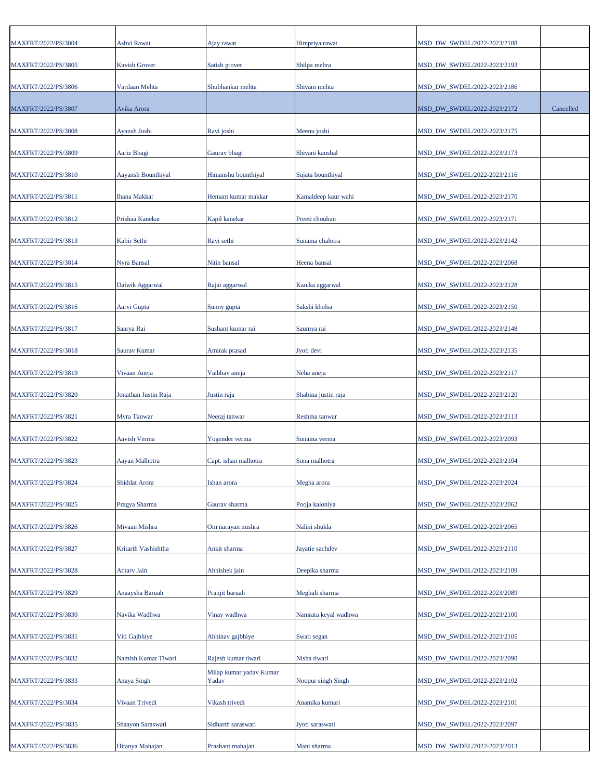| MAXFRT/2022/PS/3804 | Ashvi Rawat          | Ajay rawat                       | Himpriya rawat       | MSD_DW_SWDEL/2022-2023/2188 |           |
|---------------------|----------------------|----------------------------------|----------------------|-----------------------------|-----------|
| MAXFRT/2022/PS/3805 | <b>Kavish Grover</b> | Satish grover                    | Shilpa mehra         | MSD_DW_SWDEL/2022-2023/2193 |           |
| MAXFRT/2022/PS/3806 | Vardaan Mehta        | Shubhankar mehta                 | Shivani mehta        | MSD_DW_SWDEL/2022-2023/2186 |           |
| MAXFRT/2022/PS/3807 | Avika Arora          |                                  |                      | MSD_DW_SWDEL/2022-2023/2172 | Cancelled |
| MAXFRT/2022/PS/3808 | Ayansh Joshi         | Ravi joshi                       | Meenu joshi          | MSD_DW_SWDEL/2022-2023/2175 |           |
| MAXFRT/2022/PS/3809 | Aariz Bhagi          | Gaurav bhagi                     | Shivani kaushal      | MSD_DW_SWDEL/2022-2023/2173 |           |
| MAXFRT/2022/PS/3810 | Aayansh Bounthiyal   | Himanshu bounthiyal              | Sujata bounthiyal    | MSD_DW_SWDEL/2022-2023/2116 |           |
| MAXFRT/2022/PS/3811 | <b>Ihana Makkar</b>  | Hemant kumar makkar              | Kamaldeep kaur wahi  | MSD_DW_SWDEL/2022-2023/2170 |           |
| MAXFRT/2022/PS/3812 | Prishaa Kanekar      | Kapil kanekar                    | Preeti chouhan       | MSD_DW_SWDEL/2022-2023/2171 |           |
|                     |                      |                                  |                      |                             |           |
| MAXFRT/2022/PS/3813 | Kabir Sethi          | Ravi sethi                       | Sunaina chalotra     | MSD_DW_SWDEL/2022-2023/2142 |           |
| MAXFRT/2022/PS/3814 | Nyra Bansal          | Nitin bansal                     | Heena bansal         | MSD_DW_SWDEL/2022-2023/2068 |           |
| MAXFRT/2022/PS/3815 | Daiwik Aggarwal      | Rajat aggarwal                   | Kanika aggarwal      | MSD DW SWDEL/2022-2023/2128 |           |
| MAXFRT/2022/PS/3816 | Aarvi Gupta          | Sunny gupta                      | Sakshi kholsa        | MSD DW SWDEL/2022-2023/2150 |           |
| MAXFRT/2022/PS/3817 | Saarya Rai           | Sushant kumar rai                | Saumya rai           | MSD_DW_SWDEL/2022-2023/2148 |           |
| MAXFRT/2022/PS/3818 | Saurav Kumar         | Amirak prasad                    | Jyoti devi           | MSD_DW_SWDEL/2022-2023/2135 |           |
| MAXFRT/2022/PS/3819 | Vivaan Aneja         | Vaibhav aneja                    | Neha aneja           | MSD_DW_SWDEL/2022-2023/2117 |           |
| MAXFRT/2022/PS/3820 | Jonathan Justin Raja | Justin raja                      | Shabina justin raja  | MSD_DW_SWDEL/2022-2023/2120 |           |
| MAXFRT/2022/PS/3821 | Myra Tanwar          | Neeraj tanwar                    | Reshma tanwar        | MSD_DW_SWDEL/2022-2023/2113 |           |
| MAXFRT/2022/PS/3822 | Aavish Verma         | Yogender verma                   | Sunaina verma        | MSD_DW_SWDEL/2022-2023/2093 |           |
| MAXFRT/2022/PS/3823 | Aayan Malhotra       | Capt. ishan malhotra             | Sona malhotra        | MSD_DW_SWDEL/2022-2023/2104 |           |
| MAXFRT/2022/PS/3824 | Shiddat Arora        | Ishan arora                      | Megha arora          | MSD_DW_SWDEL/2022-2023/2024 |           |
| MAXFRT/2022/PS/3825 | Pragya Sharma        | Gaurav sharma                    | Pooja kaloniya       | MSD_DW_SWDEL/2022-2023/2062 |           |
| MAXFRT/2022/PS/3826 | Mivaan Mishra        | Om narayan mishra                | Nalini shukla        | MSD DW SWDEL/2022-2023/2065 |           |
| MAXFRT/2022/PS/3827 | Kritarth Vashishtha  | Ankit sharma                     | Jayatie sachdev      | MSD_DW_SWDEL/2022-2023/2110 |           |
| MAXFRT/2022/PS/3828 | Athary Jain          | Abhishek jain                    | Deepika sharma       | MSD_DW_SWDEL/2022-2023/2109 |           |
| MAXFRT/2022/PS/3829 | Anaaysha Baruah      | Pranjit baruah                   | Meghali sharma       | MSD_DW_SWDEL/2022-2023/2089 |           |
| MAXFRT/2022/PS/3830 | Navika Wadhwa        | Vinay wadhwa                     | Namrata keyal wadhwa | MSD_DW_SWDEL/2022-2023/2100 |           |
| MAXFRT/2022/PS/3831 | Viti Gajbhiye        | Abhinav gajbhiye                 | Swati segan          | MSD_DW_SWDEL/2022-2023/2105 |           |
| MAXFRT/2022/PS/3832 | Namish Kumar Tiwari  | Rajesh kumar tiwari              | Nisha tiwari         | MSD_DW_SWDEL/2022-2023/2090 |           |
| MAXFRT/2022/PS/3833 | Anaya Singh          | Milap kumar yadav Kumar<br>Yadav | Noopur singh Singh   | MSD_DW_SWDEL/2022-2023/2102 |           |
| MAXFRT/2022/PS/3834 | Vivaan Trivedi       | Vikash trivedi                   | Anamika kumari       | MSD_DW_SWDEL/2022-2023/2101 |           |
|                     |                      |                                  |                      |                             |           |
| MAXFRT/2022/PS/3835 | Shaayon Saraswati    | Sidharth saraswati               | Jyoti saraswati      | MSD_DW_SWDEL/2022-2023/2097 |           |
| MAXFRT/2022/PS/3836 | Hitanya Mahajan      | Prashant mahajan                 | Mani sharma          | MSD_DW_SWDEL/2022-2023/2013 |           |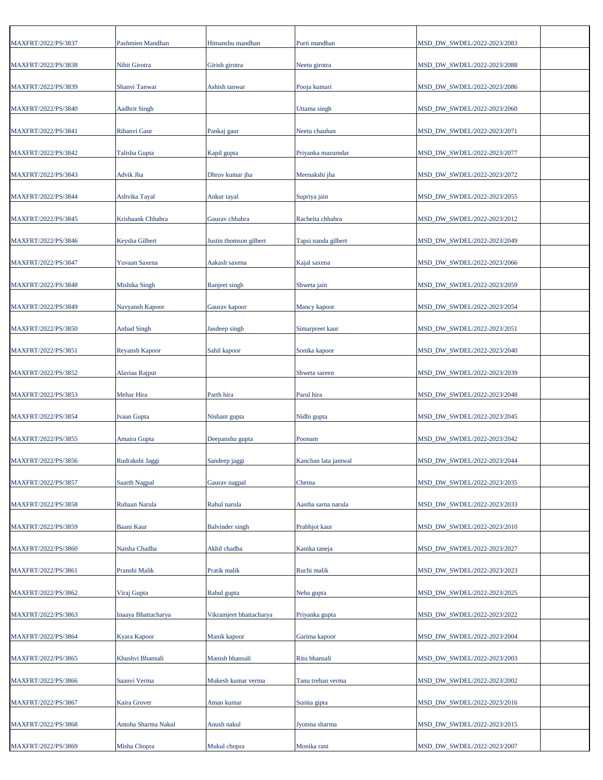| MAXFRT/2022/PS/3837 | Pashmien Mandhan     | Himanshu mandhan        | Purti mandhan       | MSD_DW_SWDEL/2022-2023/2083 |
|---------------------|----------------------|-------------------------|---------------------|-----------------------------|
| MAXFRT/2022/PS/3838 | Nihit Girotra        | Girish girotra          | Neetu girotra       | MSD_DW_SWDEL/2022-2023/2088 |
| MAXFRT/2022/PS/3839 | Shanvi Tanwar        | Ashish tanwar           | Pooja kumari        | MSD_DW_SWDEL/2022-2023/2086 |
| MAXFRT/2022/PS/3840 | <b>Aadhrit Singh</b> |                         | Uttama singh        | MSD_DW_SWDEL/2022-2023/2060 |
| MAXFRT/2022/PS/3841 | Rihanvi Gaur         | Pankaj gaur             | Neetu chauhan       | MSD_DW_SWDEL/2022-2023/2071 |
| MAXFRT/2022/PS/3842 | Talisha Gupta        | Kapil gupta             | Priyanka mazumdar   | MSD_DW_SWDEL/2022-2023/2077 |
| MAXFRT/2022/PS/3843 | Advik Jha            | Dhruv kumar jha         | Meenakshi jha       | MSD_DW_SWDEL/2022-2023/2072 |
| MAXFRT/2022/PS/3844 | Ashvika Tayal        | Ankur tayal             | Supriya jain        | MSD_DW_SWDEL/2022-2023/2055 |
| MAXFRT/2022/PS/3845 | Krishaank Chhabra    | Gaurav chhabra          | Racheita chhabra    | MSD_DW_SWDEL/2022-2023/2012 |
| MAXFRT/2022/PS/3846 | Keysha Gilbert       | Justin thomson gilbert  | Tapsi nanda gilbert | MSD_DW_SWDEL/2022-2023/2049 |
| MAXFRT/2022/PS/3847 | Yuvaan Saxena        | Aakash saxena           | Kajal saxena        | MSD_DW_SWDEL/2022-2023/2066 |
| MAXFRT/2022/PS/3848 | Mishika Singh        | Ranjeet singh           | Shweta jain         | MSD_DW_SWDEL/2022-2023/2059 |
| MAXFRT/2022/PS/3849 | Navyansh Kapoor      | Gaurav kapoor           | Mancy kapoor        | MSD_DW_SWDEL/2022-2023/2054 |
| MAXFRT/2022/PS/3850 | <b>Anhad Singh</b>   | Jasdeep singh           | Simarpreet kaur     | MSD_DW_SWDEL/2022-2023/2051 |
| MAXFRT/2022/PS/3851 | Reyansh Kapoor       | Sahil kapoor            | Sonika kapoor       | MSD_DW_SWDEL/2022-2023/2040 |
| MAXFRT/2022/PS/3852 | Alaviaa Rajput       |                         | Shweta sareen       | MSD_DW_SWDEL/2022-2023/2039 |
| MAXFRT/2022/PS/3853 | Mehar Hira           | Parth hira              | Parul hira          | MSD_DW_SWDEL/2022-2023/2048 |
| MAXFRT/2022/PS/3854 | <b>Ivaan Gupta</b>   | Nishant gupta           | Nidhi gupta         | MSD_DW_SWDEL/2022-2023/2045 |
| MAXFRT/2022/PS/3855 | Amaira Gupta         | Deepanshu gupta         | Poonam              | MSD_DW_SWDEL/2022-2023/2042 |
| MAXFRT/2022/PS/3856 | Rudrakshi Jaggi      | Sandeep jaggi           | Kanchan lata jamwal | MSD DW SWDEL/2022-2023/2044 |
| MAXFRT/2022/PS/3857 | Saarth Nagpal        | Gaurav nagpal           | Chetna              | MSD_DW_SWDEL/2022-2023/2035 |
| MAXFRT/2022/PS/3858 | Ruhaan Narula        | Rahul narula            | Aastha sarna narula | MSD DW SWDEL/2022-2023/2033 |
| MAXFRT/2022/PS/3859 | Baani Kaur           | <b>Balvinder</b> singh  | Prabhjot kaur       | MSD_DW_SWDEL/2022-2023/2010 |
| MAXFRT/2022/PS/3860 | Naisha Chadha        | Akhil chadha            | Kanika taneja       | MSD_DW_SWDEL/2022-2023/2027 |
| MAXFRT/2022/PS/3861 | Pranshi Malik        | Pratik malik            | Ruchi malik         | MSD_DW_SWDEL/2022-2023/2023 |
| MAXFRT/2022/PS/3862 | Viraj Gupta          | Rahul gupta             | Neha gupta          | MSD_DW_SWDEL/2022-2023/2025 |
| MAXFRT/2022/PS/3863 | Inaaya Bhattacharya  | Vikramjeet bhattacharya | Priyanka gupta      | MSD_DW_SWDEL/2022-2023/2022 |
| MAXFRT/2022/PS/3864 | Kyara Kapoor         | Manik kapoor            | Garima kapoor       | MSD_DW_SWDEL/2022-2023/2004 |
| MAXFRT/2022/PS/3865 | Khushvi Bhansali     | Manish bhansali         | Ritu bhansali       | MSD_DW_SWDEL/2022-2023/2003 |
| MAXFRT/2022/PS/3866 | Saanvi Verma         | Mukesh kumar verma      | Tanu trehan verma   | MSD_DW_SWDEL/2022-2023/2002 |
| MAXFRT/2022/PS/3867 | Kaira Grover         | Aman kumar              | Sunita gipta        | MSD_DW_SWDEL/2022-2023/2016 |
| MAXFRT/2022/PS/3868 | Amoha Sharma Nakul   | Anush nakul             | Jyotsna sharma      | MSD_DW_SWDEL/2022-2023/2015 |
| MAXFRT/2022/PS/3869 | Misha Chopra         | Mukul chopra            | Monika rani         | MSD_DW_SWDEL/2022-2023/2007 |